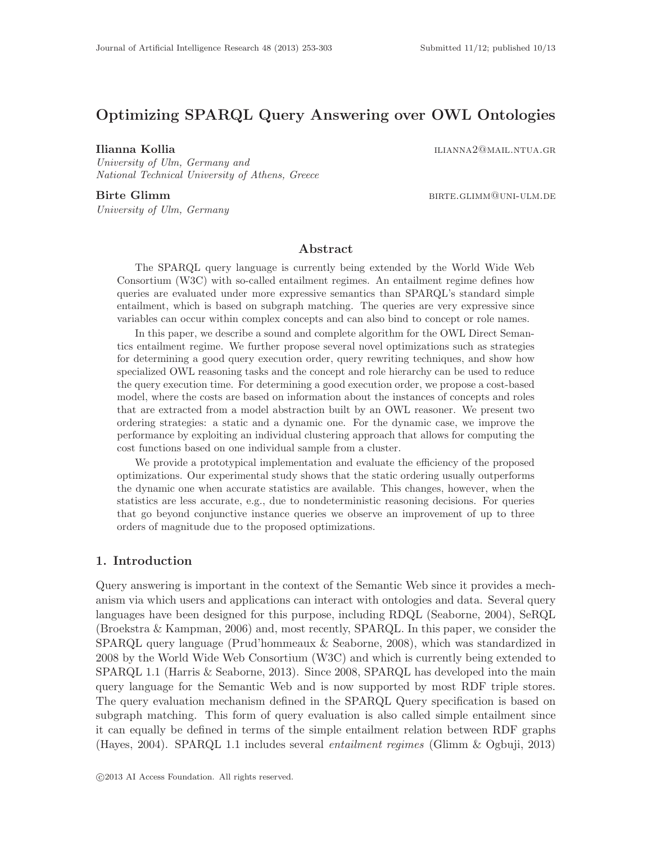# Optimizing SPARQL Query Answering over OWL Ontologies

**Ilianna Kollia** ilianna 2@mail.ntua.gr

University of Ulm, Germany and National Technical University of Athens, Greece

University of Ulm, Germany

Birte Glimm birthe in the settlement of the BIRTE.GLIMM@UNI-ULM.DE

## Abstract

The SPARQL query language is currently being extended by the World Wide Web Consortium (W3C) with so-called entailment regimes. An entailment regime defines how queries are evaluated under more expressive semantics than SPARQL's standard simple entailment, which is based on subgraph matching. The queries are very expressive since variables can occur within complex concepts and can also bind to concept or role names.

In this paper, we describe a sound and complete algorithm for the OWL Direct Semantics entailment regime. We further propose several novel optimizations such as strategies for determining a good query execution order, query rewriting techniques, and show how specialized OWL reasoning tasks and the concept and role hierarchy can be used to reduce the query execution time. For determining a good execution order, we propose a cost-based model, where the costs are based on information about the instances of concepts and roles that are extracted from a model abstraction built by an OWL reasoner. We present two ordering strategies: a static and a dynamic one. For the dynamic case, we improve the performance by exploiting an individual clustering approach that allows for computing the cost functions based on one individual sample from a cluster.

We provide a prototypical implementation and evaluate the efficiency of the proposed optimizations. Our experimental study shows that the static ordering usually outperforms the dynamic one when accurate statistics are available. This changes, however, when the statistics are less accurate, e.g., due to nondeterministic reasoning decisions. For queries that go beyond conjunctive instance queries we observe an improvement of up to three orders of magnitude due to the proposed optimizations.

## 1. Introduction

Query answering is important in the context of the Semantic Web since it provides a mechanism via which users and applications can interact with ontologies and data. Several query languages have been designed for this purpose, including RDQL (Seaborne, 2004), SeRQL (Broekstra & Kampman, 2006) and, most recently, SPARQL. In this paper, we consider the SPARQL query language (Prud'hommeaux & Seaborne, 2008), which was standardized in 2008 by the World Wide Web Consortium (W3C) and which is currently being extended to SPARQL 1.1 (Harris & Seaborne, 2013). Since 2008, SPARQL has developed into the main query language for the Semantic Web and is now supported by most RDF triple stores. The query evaluation mechanism defined in the SPARQL Query specification is based on subgraph matching. This form of query evaluation is also called simple entailment since it can equally be defined in terms of the simple entailment relation between RDF graphs (Hayes, 2004). SPARQL 1.1 includes several entailment regimes (Glimm & Ogbuji, 2013)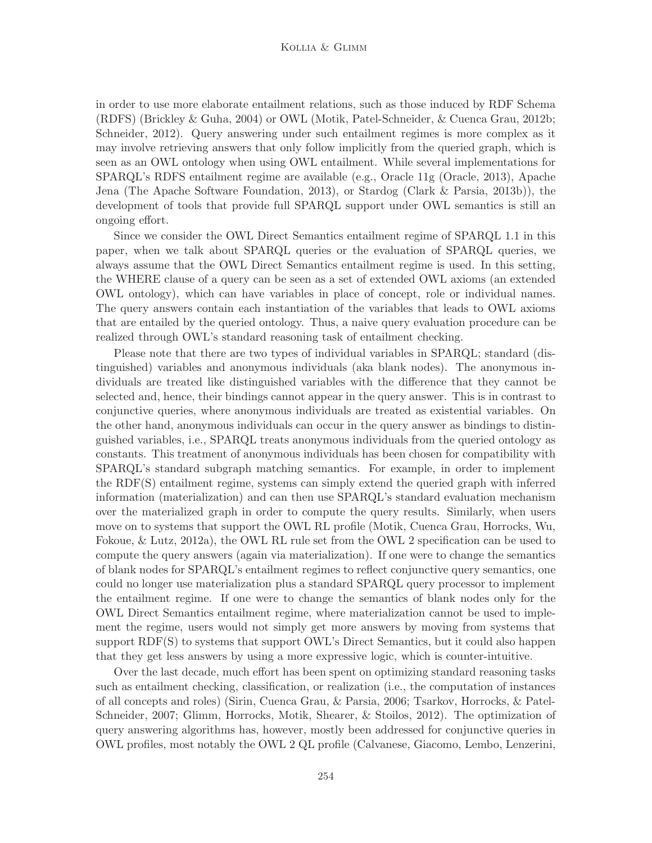#### Kollia & Glimm

in order to use more elaborate entailment relations, such as those induced by RDF Schema (RDFS) (Brickley & Guha, 2004) or OWL (Motik, Patel-Schneider, & Cuenca Grau, 2012b; Schneider, 2012). Query answering under such entailment regimes is more complex as it may involve retrieving answers that only follow implicitly from the queried graph, which is seen as an OWL ontology when using OWL entailment. While several implementations for SPARQL's RDFS entailment regime are available (e.g., Oracle 11g (Oracle, 2013), Apache Jena (The Apache Software Foundation, 2013), or Stardog (Clark & Parsia, 2013b)), the development of tools that provide full SPARQL support under OWL semantics is still an ongoing effort.

Since we consider the OWL Direct Semantics entailment regime of SPARQL 1.1 in this paper, when we talk about SPARQL queries or the evaluation of SPARQL queries, we always assume that the OWL Direct Semantics entailment regime is used. In this setting, the WHERE clause of a query can be seen as a set of extended OWL axioms (an extended OWL ontology), which can have variables in place of concept, role or individual names. The query answers contain each instantiation of the variables that leads to OWL axioms that are entailed by the queried ontology. Thus, a naive query evaluation procedure can be realized through OWL's standard reasoning task of entailment checking.

Please note that there are two types of individual variables in SPARQL; standard (distinguished) variables and anonymous individuals (aka blank nodes). The anonymous individuals are treated like distinguished variables with the difference that they cannot be selected and, hence, their bindings cannot appear in the query answer. This is in contrast to conjunctive queries, where anonymous individuals are treated as existential variables. On the other hand, anonymous individuals can occur in the query answer as bindings to distinguished variables, i.e., SPARQL treats anonymous individuals from the queried ontology as constants. This treatment of anonymous individuals has been chosen for compatibility with SPARQL's standard subgraph matching semantics. For example, in order to implement the RDF(S) entailment regime, systems can simply extend the queried graph with inferred information (materialization) and can then use SPARQL's standard evaluation mechanism over the materialized graph in order to compute the query results. Similarly, when users move on to systems that support the OWL RL profile (Motik, Cuenca Grau, Horrocks, Wu, Fokoue, & Lutz, 2012a), the OWL RL rule set from the OWL 2 specification can be used to compute the query answers (again via materialization). If one were to change the semantics of blank nodes for SPARQL's entailment regimes to reflect conjunctive query semantics, one could no longer use materialization plus a standard SPARQL query processor to implement the entailment regime. If one were to change the semantics of blank nodes only for the OWL Direct Semantics entailment regime, where materialization cannot be used to implement the regime, users would not simply get more answers by moving from systems that support RDF(S) to systems that support OWL's Direct Semantics, but it could also happen that they get less answers by using a more expressive logic, which is counter-intuitive.

Over the last decade, much effort has been spent on optimizing standard reasoning tasks such as entailment checking, classification, or realization (i.e., the computation of instances of all concepts and roles) (Sirin, Cuenca Grau, & Parsia, 2006; Tsarkov, Horrocks, & Patel-Schneider, 2007; Glimm, Horrocks, Motik, Shearer, & Stoilos, 2012). The optimization of query answering algorithms has, however, mostly been addressed for conjunctive queries in OWL profiles, most notably the OWL 2 QL profile (Calvanese, Giacomo, Lembo, Lenzerini,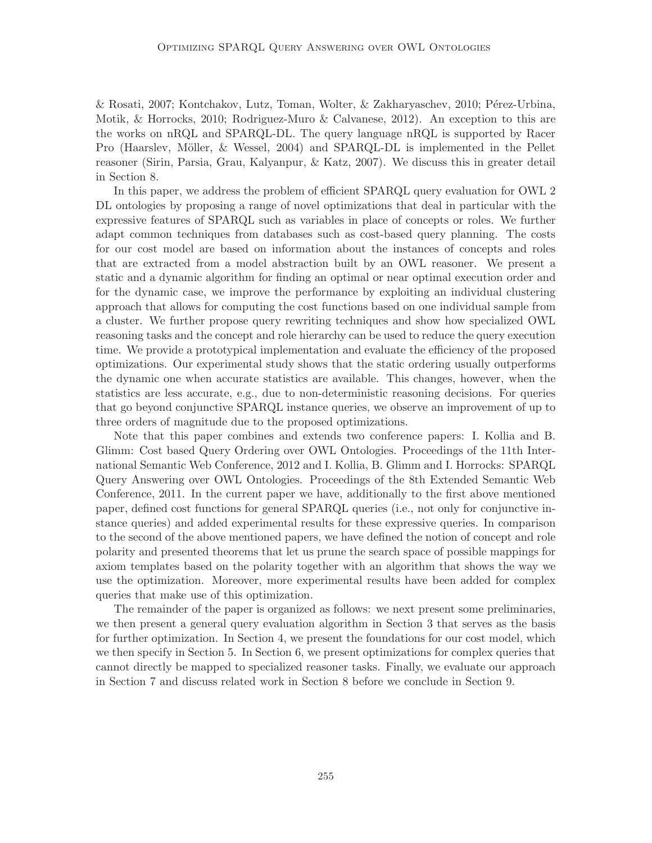& Rosati, 2007; Kontchakov, Lutz, Toman, Wolter, & Zakharyaschev, 2010; Pérez-Urbina, Motik, & Horrocks, 2010; Rodriguez-Muro & Calvanese, 2012). An exception to this are the works on nRQL and SPARQL-DL. The query language nRQL is supported by Racer Pro (Haarslev, Möller, & Wessel, 2004) and SPARQL-DL is implemented in the Pellet reasoner (Sirin, Parsia, Grau, Kalyanpur, & Katz, 2007). We discuss this in greater detail in Section 8.

In this paper, we address the problem of efficient SPARQL query evaluation for OWL 2 DL ontologies by proposing a range of novel optimizations that deal in particular with the expressive features of SPARQL such as variables in place of concepts or roles. We further adapt common techniques from databases such as cost-based query planning. The costs for our cost model are based on information about the instances of concepts and roles that are extracted from a model abstraction built by an OWL reasoner. We present a static and a dynamic algorithm for finding an optimal or near optimal execution order and for the dynamic case, we improve the performance by exploiting an individual clustering approach that allows for computing the cost functions based on one individual sample from a cluster. We further propose query rewriting techniques and show how specialized OWL reasoning tasks and the concept and role hierarchy can be used to reduce the query execution time. We provide a prototypical implementation and evaluate the efficiency of the proposed optimizations. Our experimental study shows that the static ordering usually outperforms the dynamic one when accurate statistics are available. This changes, however, when the statistics are less accurate, e.g., due to non-deterministic reasoning decisions. For queries that go beyond conjunctive SPARQL instance queries, we observe an improvement of up to three orders of magnitude due to the proposed optimizations.

Note that this paper combines and extends two conference papers: I. Kollia and B. Glimm: Cost based Query Ordering over OWL Ontologies. Proceedings of the 11th International Semantic Web Conference, 2012 and I. Kollia, B. Glimm and I. Horrocks: SPARQL Query Answering over OWL Ontologies. Proceedings of the 8th Extended Semantic Web Conference, 2011. In the current paper we have, additionally to the first above mentioned paper, defined cost functions for general SPARQL queries (i.e., not only for conjunctive instance queries) and added experimental results for these expressive queries. In comparison to the second of the above mentioned papers, we have defined the notion of concept and role polarity and presented theorems that let us prune the search space of possible mappings for axiom templates based on the polarity together with an algorithm that shows the way we use the optimization. Moreover, more experimental results have been added for complex queries that make use of this optimization.

The remainder of the paper is organized as follows: we next present some preliminaries, we then present a general query evaluation algorithm in Section 3 that serves as the basis for further optimization. In Section 4, we present the foundations for our cost model, which we then specify in Section 5. In Section 6, we present optimizations for complex queries that cannot directly be mapped to specialized reasoner tasks. Finally, we evaluate our approach in Section 7 and discuss related work in Section 8 before we conclude in Section 9.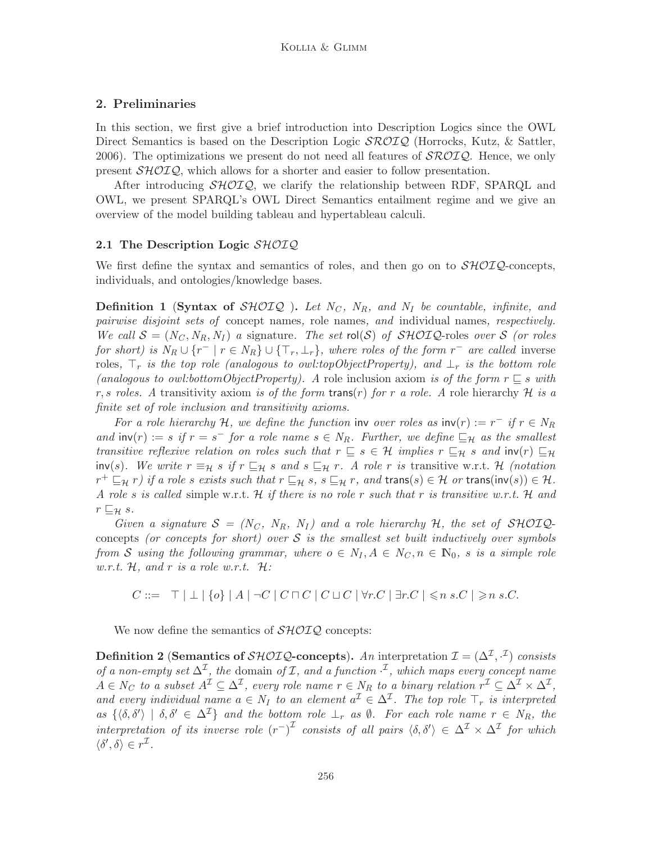## 2. Preliminaries

In this section, we first give a brief introduction into Description Logics since the OWL Direct Semantics is based on the Description Logic  $\mathcal{SROLQ}$  (Horrocks, Kutz, & Sattler, 2006). The optimizations we present do not need all features of  $\mathcal{SROLQ}$ . Hence, we only present SHOIQ, which allows for a shorter and easier to follow presentation.

After introducing  $\mathcal{SHOLQ}$ , we clarify the relationship between RDF, SPARQL and OWL, we present SPARQL's OWL Direct Semantics entailment regime and we give an overview of the model building tableau and hypertableau calculi.

## 2.1 The Description Logic SHOIQ

We first define the syntax and semantics of roles, and then go on to  $\mathcal{SHOL}Q$ -concepts, individuals, and ontologies/knowledge bases.

**Definition 1 (Syntax of SHOIQ).** Let  $N_C$ ,  $N_R$ , and  $N_I$  be countable, infinite, and pairwise disjoint sets of concept names, role names, and individual names, respectively. We call  $S = (N_C, N_R, N_I)$  a signature. The set rol(S) of SHOIQ-roles over S (or roles for short) is  $N_R \cup \{r^- | r \in N_R\} \cup \{\top_r, \bot_r\}$ , where roles of the form  $r^-$  are called inverse roles,  $\top_r$  is the top role (analogous to owl:topObjectProperty), and  $\bot_r$  is the bottom role (analogous to owl:bottomObjectProperty). A role inclusion axiom is of the form  $r \sqsubseteq s$  with r, s roles. A transitivity axiom is of the form trans(r) for r a role. A role hierarchy  $\mathcal H$  is a finite set of role inclusion and transitivity axioms.

For a role hierarchy H, we define the function inv over roles as  $inv(r) := r^{-1}$  if  $r \in N_R$ and  $\text{inv}(r) := s$  if  $r = s^-$  for a role name  $s \in N_R$ . Further, we define  $\sqsubseteq_{\mathcal{H}}$  as the smallest transitive reflexive relation on roles such that  $r \subseteq s \in \mathcal{H}$  implies  $r \subseteq_H s$  and  $inv(r) \subseteq_H$ inv(s). We write  $r \equiv_H s$  if  $r \sqsubseteq_H s$  and  $s \sqsubseteq_H r$ . A role r is transitive w.r.t. H (notation  $r^+ \sqsubseteq_{\mathcal{H}} r$ ) if a role s exists such that  $r \sqsubseteq_{\mathcal{H}} s$ ,  $s \sqsubseteq_{\mathcal{H}} r$ , and trans $(s) \in \mathcal{H}$  or trans $(\mathsf{inv}(s)) \in \mathcal{H}$ . A role s is called simple w.r.t. H if there is no role r such that r is transitive w.r.t. H and  $r \sqsubseteq_{\mathcal{H}} s.$ 

Given a signature  $S = (N_C, N_R, N_I)$  and a role hierarchy H, the set of SHOIQconcepts (or concepts for short) over  $S$  is the smallest set built inductively over symbols from S using the following grammar, where  $o \in N_I, A \in N_C, n \in \mathbb{N}_0$ , s is a simple role w.r.t.  $H$ , and r is a role w.r.t.  $H$ :

 $C ::= \top | \bot | \{o\} | A | \neg C | C \sqcap C | C \sqcup C | \forall r.C | \exists r.C | \leq n s.C | \geq n s.C.$ 

We now define the semantics of  $\mathcal{SHOLQ}$  concepts:

Definition 2 (Semantics of  $\mathcal{SHOLQ}\text{-}\mathbf{concepts}$ ). An interpretation  $\mathcal{I} = (\Delta^{\mathcal{I}}, \cdot^{\mathcal{I}})$  consists of a non-empty set  $\Delta^{\mathcal{I}}$ , the domain of  $\mathcal{I}$ , and a function  $\cdot^{\mathcal{I}}$ , which maps every concept name  $A \in N_C$  to a subset  $A^{\mathcal{I}} \subseteq \Delta^{\mathcal{I}}$ , every role name  $r \in N_R$  to a binary relation  $r^{\mathcal{I}} \subseteq \Delta^{\mathcal{I}} \times \Delta^{\mathcal{I}}$ , and every individual name  $a \in N_I$  to an element  $a^{\mathcal{I}} \in \Delta^{\mathcal{I}}$ . The top role  $\top_r$  is interpreted as  $\{\langle \delta, \delta' \rangle \mid \delta, \delta' \in \Delta^{\mathcal{I}}\}\$  and the bottom role  $\perp_r$  as  $\emptyset$ . For each role name  $r \in N_R$ , the interpretation of its inverse role  $(r^{-})^{\mathcal{I}}$  consists of all pairs  $\langle \delta, \delta' \rangle \in \Delta^{\mathcal{I}} \times \Delta^{\mathcal{I}}$  for which  $\langle \delta', \delta \rangle \in r^{\mathcal{I}}$ .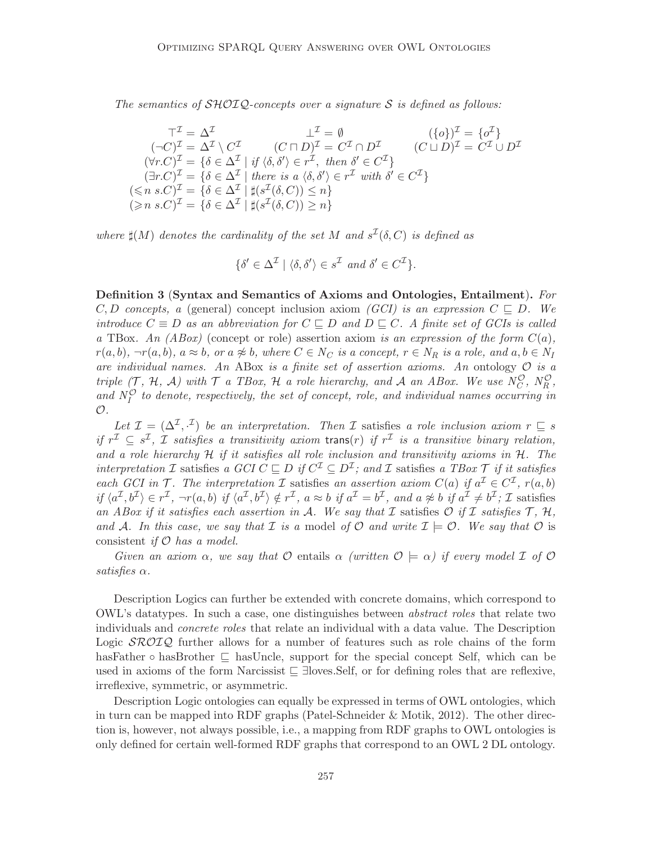The semantics of  $\mathcal{SHOLQ}$ -concepts over a signature S is defined as follows:

$$
\top^{\mathcal{I}} = \Delta^{\mathcal{I}} \qquad \bot^{\mathcal{I}} = \emptyset \qquad (\{o\})^{\mathcal{I}} = \{o^{\mathcal{I}}\}
$$
  
\n
$$
(\neg C)^{\mathcal{I}} = \Delta^{\mathcal{I}} \setminus C^{\mathcal{I}} \qquad (C \sqcap D)^{\mathcal{I}} = C^{\mathcal{I}} \cap D^{\mathcal{I}} \qquad (C \sqcup D)^{\mathcal{I}} = C^{\mathcal{I}} \cup D^{\mathcal{I}}
$$
  
\n
$$
(\forall r.C)^{\mathcal{I}} = \{\delta \in \Delta^{\mathcal{I}} \mid \text{if } \langle \delta, \delta' \rangle \in r^{\mathcal{I}}, \text{ then } \delta' \in C^{\mathcal{I}}\}
$$
  
\n
$$
(\exists r.C)^{\mathcal{I}} = \{\delta \in \Delta^{\mathcal{I}} \mid \text{there is a } \langle \delta, \delta' \rangle \in r^{\mathcal{I}} \text{ with } \delta' \in C^{\mathcal{I}}\}
$$
  
\n
$$
(\leq n s.C)^{\mathcal{I}} = \{\delta \in \Delta^{\mathcal{I}} \mid \sharp(s^{\mathcal{I}}(\delta, C)) \leq n\}
$$
  
\n
$$
(\geq n s.C)^{\mathcal{I}} = \{\delta \in \Delta^{\mathcal{I}} \mid \sharp(s^{\mathcal{I}}(\delta, C)) \geq n\}
$$

where  $\sharp(M)$  denotes the cardinality of the set M and  $s^{\mathcal{I}}(\delta, C)$  is defined as

$$
\{\delta' \in \Delta^{\mathcal{I}} \mid \langle \delta, \delta' \rangle \in s^{\mathcal{I}} \text{ and } \delta' \in C^{\mathcal{I}}\}.
$$

Definition 3 (Syntax and Semantics of Axioms and Ontologies, Entailment). For C, D concepts, a (general) concept inclusion axiom (GCI) is an expression  $C \subseteq D$ . We introduce  $C \equiv D$  as an abbreviation for  $C \sqsubseteq D$  and  $D \sqsubseteq C$ . A finite set of GCIs is called a TBox. An (ABox) (concept or role) assertion axiom is an expression of the form  $C(a)$ ,  $r(a, b), \neg r(a, b), a \approx b$ , or  $a \not\approx b$ , where  $C \in N_C$  is a concept,  $r \in N_R$  is a role, and  $a, b \in N_I$ are individual names. An ABox is a finite set of assertion axioms. An ontology  $\mathcal O$  is a triple  $(\mathcal{T}, \mathcal{H}, \mathcal{A})$  with  $\mathcal{T}$  a TBox,  $\mathcal{H}$  a role hierarchy, and  $\mathcal{A}$  an ABox. We use  $N_C^{\mathcal{O}}, N_R^{\mathcal{O}}$ , and  $N_I^{\mathcal{O}}$  to denote, respectively, the set of concept, role, and individual names occurring in  $\mathcal{O}.$ 

Let  $\mathcal{I} = (\Delta^{\mathcal{I}}, \cdot^{\mathcal{I}})$  be an interpretation. Then  $\mathcal{I}$  satisfies a role inclusion axiom  $r \subseteq s$ if  $r^{\mathcal{I}} \subseteq s^{\mathcal{I}}$ ,  $\mathcal{I}$  satisfies a transitivity axiom trans $(r)$  if  $r^{\mathcal{I}}$  is a transitive binary relation, and a role hierarchy  $H$  if it satisfies all role inclusion and transitivity axioms in  $H$ . The interpretation I satisfies a GCI  $C \sqsubseteq D$  if  $C^{\mathcal{I}} \subseteq D^{\mathcal{I}}$ ; and I satisfies a TBox  $\mathcal T$  if it satisfies each GCI in  $\mathcal T$ . The interpretation  $\mathcal I$  satisfies an assertion axiom  $C(a)$  if  $a^{\mathcal I} \in C^{\mathcal I}$ ,  $r(a,b)$ if  $\langle a^{\mathcal{I}}, b^{\mathcal{I}} \rangle \in r^{\mathcal{I}}$ ,  $\neg r(a, b)$  if  $\langle a^{\mathcal{I}}, b^{\mathcal{I}} \rangle \notin r^{\mathcal{I}}$ ,  $a \approx b$  if  $a^{\mathcal{I}} = b^{\mathcal{I}}$ , and  $a \not\approx b$  if  $a^{\mathcal{I}} \neq b^{\mathcal{I}}$ ;  $\mathcal{I}$  satisfies an ABox if it satisfies each assertion in A. We say that I satisfies  $\mathcal{O}$  if I satisfies  $\mathcal{T}, \mathcal{H},$ and A. In this case, we say that I is a model of O and write  $\mathcal{I} \models \mathcal{O}$ . We say that O is consistent if  $\mathcal O$  has a model.

Given an axiom  $\alpha$ , we say that O entails  $\alpha$  (written  $\mathcal{O} \models \alpha$ ) if every model  $\mathcal I$  of  $\mathcal O$ satisfies  $\alpha$ .

Description Logics can further be extended with concrete domains, which correspond to OWL's datatypes. In such a case, one distinguishes between abstract roles that relate two individuals and concrete roles that relate an individual with a data value. The Description Logic  $\mathcal{SROLQ}$  further allows for a number of features such as role chains of the form hasFather ◦ hasBrother ⊑ hasUncle, support for the special concept Self, which can be used in axioms of the form Narcissist ⊑ ∃loves.Self, or for defining roles that are reflexive, irreflexive, symmetric, or asymmetric.

Description Logic ontologies can equally be expressed in terms of OWL ontologies, which in turn can be mapped into RDF graphs (Patel-Schneider & Motik, 2012). The other direction is, however, not always possible, i.e., a mapping from RDF graphs to OWL ontologies is only defined for certain well-formed RDF graphs that correspond to an OWL 2 DL ontology.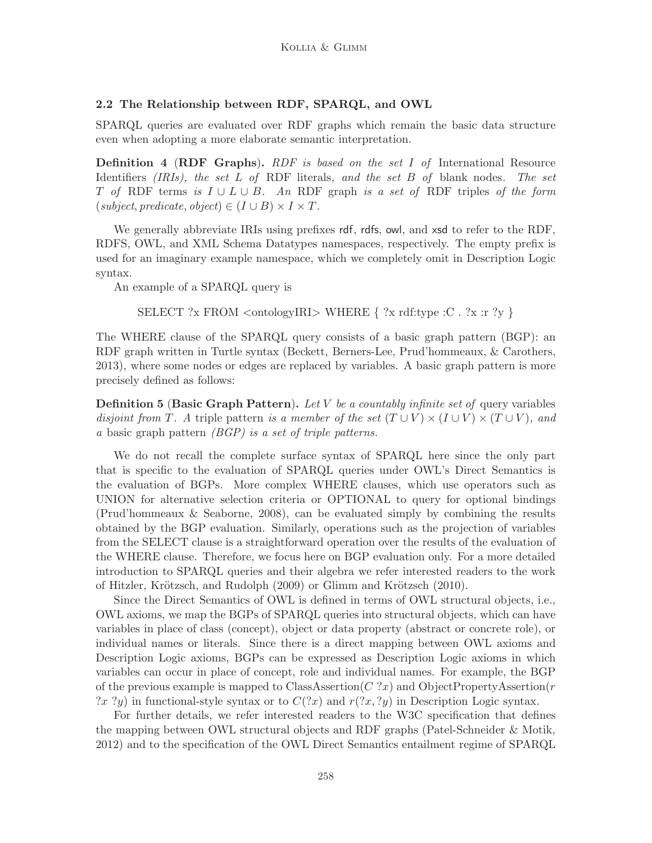## 2.2 The Relationship between RDF, SPARQL, and OWL

SPARQL queries are evaluated over RDF graphs which remain the basic data structure even when adopting a more elaborate semantic interpretation.

**Definition 4 (RDF Graphs).** RDF is based on the set I of International Resource Identifiers *(IRIs)*, the set L of RDF literals, and the set B of blank nodes. The set T of RDF terms is  $I \cup L \cup B$ . An RDF graph is a set of RDF triples of the form  $(subject, predicate, object) \in (I \cup B) \times I \times T$ .

We generally abbreviate IRIs using prefixes rdf, rdfs, owl, and xsd to refer to the RDF, RDFS, OWL, and XML Schema Datatypes namespaces, respectively. The empty prefix is used for an imaginary example namespace, which we completely omit in Description Logic syntax.

An example of a SPARQL query is

```
SELECT ?x FROM \langle \text{ontologyIRI} \rangle WHERE \{ ?x rdf:type :C . ?x :r ?y \}
```
The WHERE clause of the SPARQL query consists of a basic graph pattern (BGP): an RDF graph written in Turtle syntax (Beckett, Berners-Lee, Prud'hommeaux, & Carothers, 2013), where some nodes or edges are replaced by variables. A basic graph pattern is more precisely defined as follows:

**Definition 5 (Basic Graph Pattern).** Let V be a countably infinite set of query variables disjoint from T. A triple pattern is a member of the set  $(T \cup V) \times (I \cup V) \times (T \cup V)$ , and a basic graph pattern (BGP) is a set of triple patterns.

We do not recall the complete surface syntax of SPARQL here since the only part that is specific to the evaluation of SPARQL queries under OWL's Direct Semantics is the evaluation of BGPs. More complex WHERE clauses, which use operators such as UNION for alternative selection criteria or OPTIONAL to query for optional bindings (Prud'hommeaux & Seaborne, 2008), can be evaluated simply by combining the results obtained by the BGP evaluation. Similarly, operations such as the projection of variables from the SELECT clause is a straightforward operation over the results of the evaluation of the WHERE clause. Therefore, we focus here on BGP evaluation only. For a more detailed introduction to SPARQL queries and their algebra we refer interested readers to the work of Hitzler, Krötzsch, and Rudolph (2009) or Glimm and Krötzsch (2010).

Since the Direct Semantics of OWL is defined in terms of OWL structural objects, i.e., OWL axioms, we map the BGPs of SPARQL queries into structural objects, which can have variables in place of class (concept), object or data property (abstract or concrete role), or individual names or literals. Since there is a direct mapping between OWL axioms and Description Logic axioms, BGPs can be expressed as Description Logic axioms in which variables can occur in place of concept, role and individual names. For example, the BGP of the previous example is mapped to ClassAssertion( $C$ ?x) and ObjectPropertyAssertion( $r$ ?x ?y) in functional-style syntax or to  $C(?x)$  and  $r(?x, ?y)$  in Description Logic syntax.

For further details, we refer interested readers to the W3C specification that defines the mapping between OWL structural objects and RDF graphs (Patel-Schneider & Motik, 2012) and to the specification of the OWL Direct Semantics entailment regime of SPARQL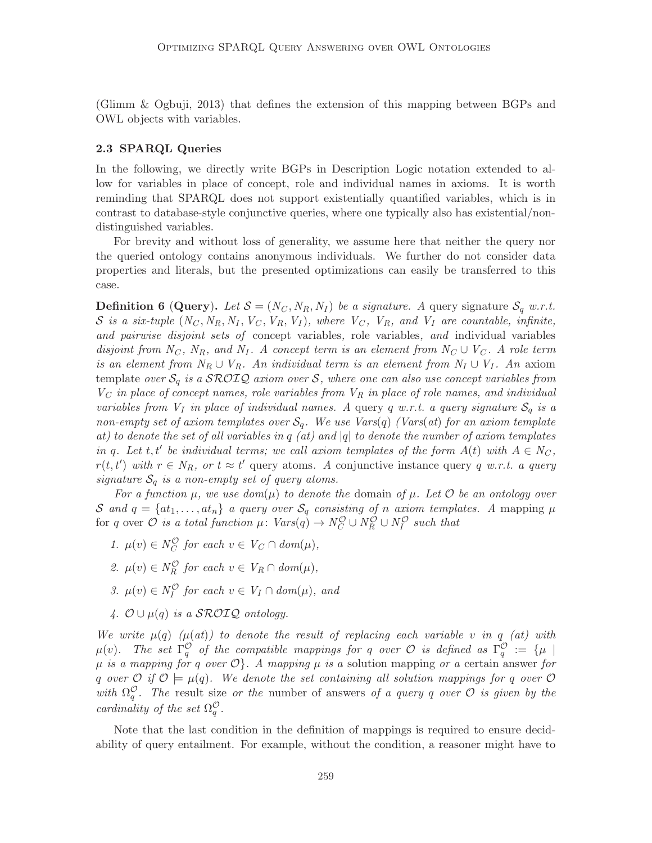(Glimm & Ogbuji, 2013) that defines the extension of this mapping between BGPs and OWL objects with variables.

#### 2.3 SPARQL Queries

In the following, we directly write BGPs in Description Logic notation extended to allow for variables in place of concept, role and individual names in axioms. It is worth reminding that SPARQL does not support existentially quantified variables, which is in contrast to database-style conjunctive queries, where one typically also has existential/nondistinguished variables.

For brevity and without loss of generality, we assume here that neither the query nor the queried ontology contains anonymous individuals. We further do not consider data properties and literals, but the presented optimizations can easily be transferred to this case.

**Definition 6 (Query).** Let  $S = (N_C, N_R, N_I)$  be a signature. A query signature  $S_q$  w.r.t. S is a six-tuple  $(N_C, N_R, N_I, V_C, V_R, V_I)$ , where  $V_C$ ,  $V_R$ , and  $V_I$  are countable, infinite, and pairwise disjoint sets of concept variables, role variables, and individual variables disjoint from  $N_C$ ,  $N_R$ , and  $N_I$ . A concept term is an element from  $N_C \cup V_C$ . A role term is an element from  $N_R \cup V_R$ . An individual term is an element from  $N_I \cup V_I$ . An axiom template over  $S_q$  is a SROIQ axiom over S, where one can also use concept variables from  $V_C$  in place of concept names, role variables from  $V_R$  in place of role names, and individual variables from  $V_I$  in place of individual names. A query q w.r.t. a query signature  $\mathcal{S}_q$  is a non-empty set of axiom templates over  $S_q$ . We use Vars(q) (Vars(at) for an axiom template at) to denote the set of all variables in q (at) and |q| to denote the number of axiom templates in q. Let t, t' be individual terms; we call axiom templates of the form  $A(t)$  with  $A \in N_C$ ,  $r(t, t')$  with  $r \in N_R$ , or  $t \approx t'$  query atoms. A conjunctive instance query q w.r.t. a query signature  $S_q$  is a non-empty set of query atoms.

For a function  $\mu$ , we use  $dom(\mu)$  to denote the domain of  $\mu$ . Let  $\mathcal O$  be an ontology over S and  $q = \{at_1, \ldots, at_n\}$  a query over  $\mathcal{S}_q$  consisting of n axiom templates. A mapping  $\mu$ for q over  $\mathcal O$  is a total function  $\mu\colon \text{Vars}(q) \to N_C^{\mathcal O} \cup N_R^{\mathcal O} \cup N_I^{\mathcal O}$  such that

- 1.  $\mu(v) \in N_C^{\mathcal{O}}$  for each  $v \in V_C \cap \text{dom}(\mu)$ ,
- 2.  $\mu(v) \in N_R^{\mathcal{O}}$  for each  $v \in V_R \cap dom(\mu)$ ,
- 3.  $\mu(v) \in N_I^{\mathcal{O}}$  for each  $v \in V_I \cap dom(\mu)$ , and
- 4.  $\mathcal{O} \cup \mu(q)$  is a SROIQ ontology.

We write  $\mu(q)$  ( $\mu(at)$ ) to denote the result of replacing each variable v in q (at) with  $\mu(v)$ . The set  $\Gamma_q^{\mathcal{O}}$  of the compatible mappings for q over  $\mathcal{O}$  is defined as  $\Gamma_q^{\mathcal{O}} := \{\mu \mid$  $\mu$  is a mapping for q over  $\mathcal{O}\}$ . A mapping  $\mu$  is a solution mapping or a certain answer for q over  $\mathcal{O}$  if  $\mathcal{O} \models \mu(q)$ . We denote the set containing all solution mappings for q over  $\mathcal{O}$ with  $\Omega_q^{\mathcal{O}}$ . The result size or the number of answers of a query q over  $\mathcal{O}$  is given by the cardinality of the set  $\Omega_q^{\mathcal{O}}$ .

Note that the last condition in the definition of mappings is required to ensure decidability of query entailment. For example, without the condition, a reasoner might have to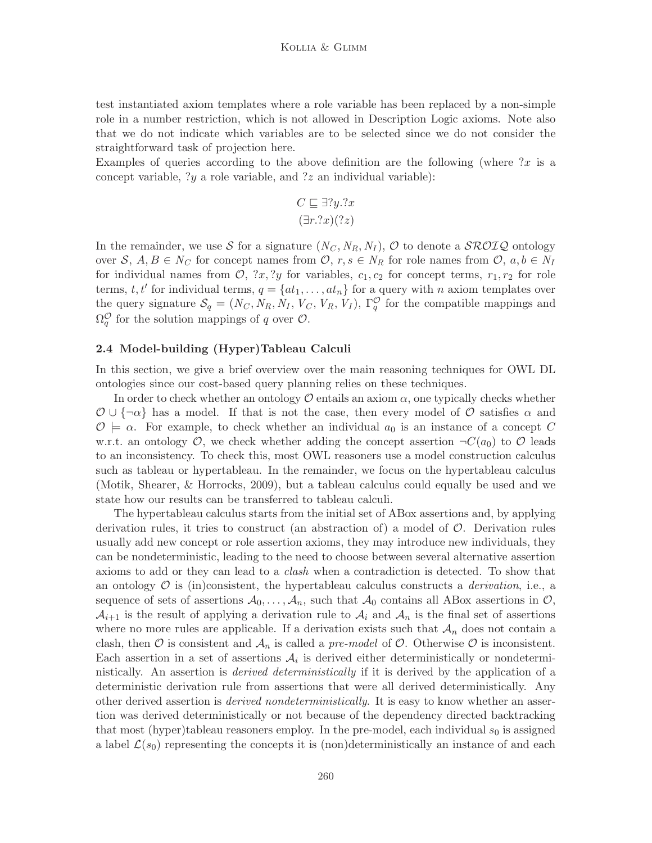test instantiated axiom templates where a role variable has been replaced by a non-simple role in a number restriction, which is not allowed in Description Logic axioms. Note also that we do not indicate which variables are to be selected since we do not consider the straightforward task of projection here.

Examples of queries according to the above definition are the following (where  $x$  is a concept variable, ?y a role variable, and ?z an individual variable):

$$
C \sqsubseteq \exists ?y. ?x
$$

$$
(\exists r. ?x)(?z)
$$

In the remainder, we use S for a signature  $(N_C, N_R, N_I)$ , O to denote a  $\mathcal{SROTQ}$  ontology over S,  $A, B \in N_C$  for concept names from  $\mathcal{O}, r, s \in N_R$  for role names from  $\mathcal{O}, a, b \in N_I$ for individual names from  $\mathcal{O}, \{x, y\}$  for variables,  $c_1, c_2$  for concept terms,  $r_1, r_2$  for role terms, t, t' for individual terms,  $q = \{at_1, \ldots, at_n\}$  for a query with n axiom templates over the query signature  $S_q = (N_C, N_R, N_I, V_C, V_R, V_I)$ ,  $\Gamma_q^{\mathcal{O}}$  for the compatible mappings and  $\Omega_q^{\mathcal{O}}$  for the solution mappings of q over  $\mathcal{O}$ .

#### 2.4 Model-building (Hyper)Tableau Calculi

In this section, we give a brief overview over the main reasoning techniques for OWL DL ontologies since our cost-based query planning relies on these techniques.

In order to check whether an ontology  $\mathcal O$  entails an axiom  $\alpha$ , one typically checks whether  $\mathcal{O} \cup \{\neg \alpha\}$  has a model. If that is not the case, then every model of  $\mathcal O$  satisfies  $\alpha$  and  $\mathcal{O} \models \alpha$ . For example, to check whether an individual  $a_0$  is an instance of a concept C w.r.t. an ontology O, we check whether adding the concept assertion  $\neg C(a_0)$  to O leads to an inconsistency. To check this, most OWL reasoners use a model construction calculus such as tableau or hypertableau. In the remainder, we focus on the hypertableau calculus (Motik, Shearer, & Horrocks, 2009), but a tableau calculus could equally be used and we state how our results can be transferred to tableau calculi.

The hypertableau calculus starts from the initial set of ABox assertions and, by applying derivation rules, it tries to construct (an abstraction of) a model of  $\mathcal{O}$ . Derivation rules usually add new concept or role assertion axioms, they may introduce new individuals, they can be nondeterministic, leading to the need to choose between several alternative assertion axioms to add or they can lead to a clash when a contradiction is detected. To show that an ontology  $\mathcal O$  is (in)consistent, the hypertableau calculus constructs a *derivation*, i.e., a sequence of sets of assertions  $A_0, \ldots, A_n$ , such that  $A_0$  contains all ABox assertions in  $\mathcal{O}$ ,  $\mathcal{A}_{i+1}$  is the result of applying a derivation rule to  $\mathcal{A}_i$  and  $\mathcal{A}_n$  is the final set of assertions where no more rules are applicable. If a derivation exists such that  $A_n$  does not contain a clash, then  $\mathcal O$  is consistent and  $\mathcal A_n$  is called a pre-model of  $\mathcal O$ . Otherwise  $\mathcal O$  is inconsistent. Each assertion in a set of assertions  $A_i$  is derived either deterministically or nondeterministically. An assertion is *derived deterministically* if it is derived by the application of a deterministic derivation rule from assertions that were all derived deterministically. Any other derived assertion is *derived nondeterministically*. It is easy to know whether an assertion was derived deterministically or not because of the dependency directed backtracking that most (hyper)tableau reasoners employ. In the pre-model, each individual  $s_0$  is assigned a label  $\mathcal{L}(s_0)$  representing the concepts it is (non)deterministically an instance of and each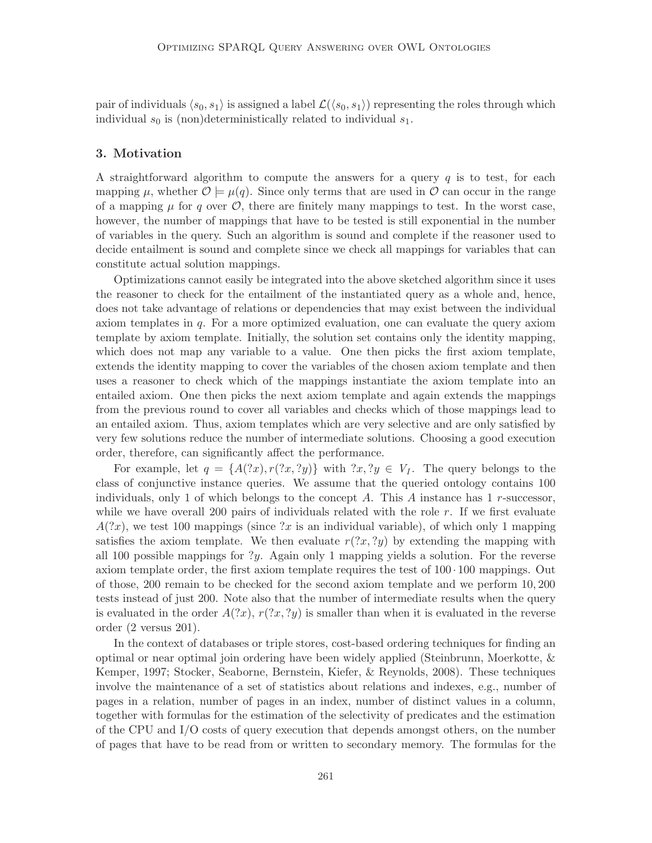pair of individuals  $\langle s_0, s_1 \rangle$  is assigned a label  $\mathcal{L}(\langle s_0, s_1 \rangle)$  representing the roles through which individual  $s_0$  is (non)deterministically related to individual  $s_1$ .

### 3. Motivation

A straightforward algorithm to compute the answers for a query  $q$  is to test, for each mapping  $\mu$ , whether  $\mathcal{O} \models \mu(q)$ . Since only terms that are used in  $\mathcal{O}$  can occur in the range of a mapping  $\mu$  for q over  $\mathcal{O}$ , there are finitely many mappings to test. In the worst case, however, the number of mappings that have to be tested is still exponential in the number of variables in the query. Such an algorithm is sound and complete if the reasoner used to decide entailment is sound and complete since we check all mappings for variables that can constitute actual solution mappings.

Optimizations cannot easily be integrated into the above sketched algorithm since it uses the reasoner to check for the entailment of the instantiated query as a whole and, hence, does not take advantage of relations or dependencies that may exist between the individual axiom templates in q. For a more optimized evaluation, one can evaluate the query axiom template by axiom template. Initially, the solution set contains only the identity mapping, which does not map any variable to a value. One then picks the first axiom template, extends the identity mapping to cover the variables of the chosen axiom template and then uses a reasoner to check which of the mappings instantiate the axiom template into an entailed axiom. One then picks the next axiom template and again extends the mappings from the previous round to cover all variables and checks which of those mappings lead to an entailed axiom. Thus, axiom templates which are very selective and are only satisfied by very few solutions reduce the number of intermediate solutions. Choosing a good execution order, therefore, can significantly affect the performance.

For example, let  $q = \{A(?x), r(?x, ?y)\}\$  with  $?x, ?y \in V_I$ . The query belongs to the class of conjunctive instance queries. We assume that the queried ontology contains 100 individuals, only 1 of which belongs to the concept A. This A instance has  $1 r$ -successor, while we have overall 200 pairs of individuals related with the role  $r$ . If we first evaluate  $A(2x)$ , we test 100 mappings (since ?x is an individual variable), of which only 1 mapping satisfies the axiom template. We then evaluate  $r(2x, 2y)$  by extending the mapping with all 100 possible mappings for  $y$ . Again only 1 mapping yields a solution. For the reverse axiom template order, the first axiom template requires the test of  $100 \cdot 100$  mappings. Out of those, 200 remain to be checked for the second axiom template and we perform 10, 200 tests instead of just 200. Note also that the number of intermediate results when the query is evaluated in the order  $A(2x)$ ,  $r(2x, 2y)$  is smaller than when it is evaluated in the reverse order (2 versus 201).

In the context of databases or triple stores, cost-based ordering techniques for finding an optimal or near optimal join ordering have been widely applied (Steinbrunn, Moerkotte, & Kemper, 1997; Stocker, Seaborne, Bernstein, Kiefer, & Reynolds, 2008). These techniques involve the maintenance of a set of statistics about relations and indexes, e.g., number of pages in a relation, number of pages in an index, number of distinct values in a column, together with formulas for the estimation of the selectivity of predicates and the estimation of the CPU and I/O costs of query execution that depends amongst others, on the number of pages that have to be read from or written to secondary memory. The formulas for the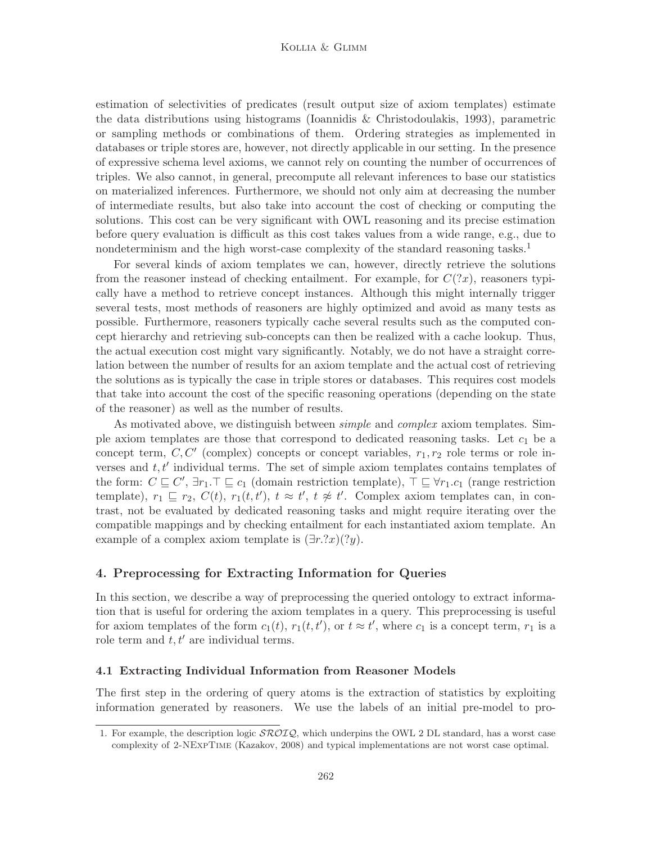#### Kollia & Glimm

estimation of selectivities of predicates (result output size of axiom templates) estimate the data distributions using histograms (Ioannidis & Christodoulakis, 1993), parametric or sampling methods or combinations of them. Ordering strategies as implemented in databases or triple stores are, however, not directly applicable in our setting. In the presence of expressive schema level axioms, we cannot rely on counting the number of occurrences of triples. We also cannot, in general, precompute all relevant inferences to base our statistics on materialized inferences. Furthermore, we should not only aim at decreasing the number of intermediate results, but also take into account the cost of checking or computing the solutions. This cost can be very significant with OWL reasoning and its precise estimation before query evaluation is difficult as this cost takes values from a wide range, e.g., due to nondeterminism and the high worst-case complexity of the standard reasoning tasks.<sup>1</sup>

For several kinds of axiom templates we can, however, directly retrieve the solutions from the reasoner instead of checking entailment. For example, for  $C(2x)$ , reasoners typically have a method to retrieve concept instances. Although this might internally trigger several tests, most methods of reasoners are highly optimized and avoid as many tests as possible. Furthermore, reasoners typically cache several results such as the computed concept hierarchy and retrieving sub-concepts can then be realized with a cache lookup. Thus, the actual execution cost might vary significantly. Notably, we do not have a straight correlation between the number of results for an axiom template and the actual cost of retrieving the solutions as is typically the case in triple stores or databases. This requires cost models that take into account the cost of the specific reasoning operations (depending on the state of the reasoner) as well as the number of results.

As motivated above, we distinguish between simple and complex axiom templates. Simple axiom templates are those that correspond to dedicated reasoning tasks. Let  $c_1$  be a concept term,  $C, C'$  (complex) concepts or concept variables,  $r_1, r_2$  role terms or role inverses and  $t, t'$  individual terms. The set of simple axiom templates contains templates of the form:  $C \sqsubseteq C'$ ,  $\exists r_1 \top \sqsubseteq c_1$  (domain restriction template),  $\top \sqsubseteq \forall r_1.c_1$  (range restriction template),  $r_1 \sqsubseteq r_2$ ,  $C(t)$ ,  $r_1(t, t')$ ,  $t \approx t'$ ,  $t \not\approx t'$ . Complex axiom templates can, in contrast, not be evaluated by dedicated reasoning tasks and might require iterating over the compatible mappings and by checking entailment for each instantiated axiom template. An example of a complex axiom template is  $(\exists r \cdot ?x)(?y)$ .

## 4. Preprocessing for Extracting Information for Queries

In this section, we describe a way of preprocessing the queried ontology to extract information that is useful for ordering the axiom templates in a query. This preprocessing is useful for axiom templates of the form  $c_1(t)$ ,  $r_1(t, t')$ , or  $t \approx t'$ , where  $c_1$  is a concept term,  $r_1$  is a role term and  $t, t'$  are individual terms.

#### 4.1 Extracting Individual Information from Reasoner Models

The first step in the ordering of query atoms is the extraction of statistics by exploiting information generated by reasoners. We use the labels of an initial pre-model to pro-

<sup>1.</sup> For example, the description logic  $\mathcal{SROIO}$ , which underpins the OWL 2 DL standard, has a worst case complexity of 2-NExpTime (Kazakov, 2008) and typical implementations are not worst case optimal.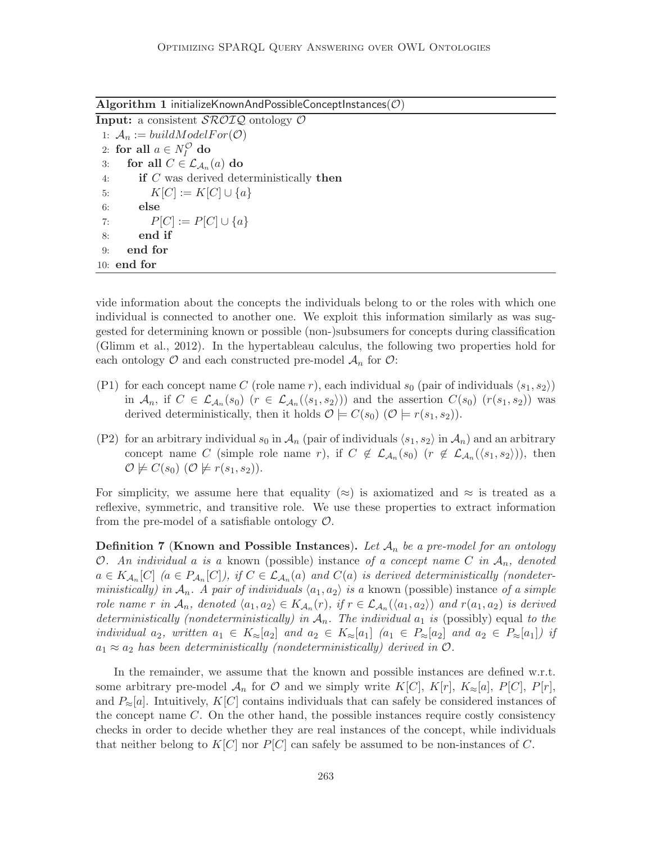Algorithm 1 initializeKnownAndPossibleConceptInstances( $\mathcal{O}$ )

**Input:** a consistent  $\mathcal{SROIQ}$  ontology  $\mathcal O$ 1:  $A_n := buildModelFor(\mathcal{O})$ 2: for all  $a \in N_I^{\mathcal{O}}$  do 3: for all  $C \in \mathcal{L}_{\mathcal{A}_n}(a)$  do 4: if  $C$  was derived deterministically then 5:  $K[C] := K[C] \cup \{a\}$ 6: else 7:  $P[C] := P[C] \cup \{a\}$ 8: end if 9: end for 10: end for

vide information about the concepts the individuals belong to or the roles with which one individual is connected to another one. We exploit this information similarly as was suggested for determining known or possible (non-)subsumers for concepts during classification (Glimm et al., 2012). In the hypertableau calculus, the following two properties hold for each ontology  $\mathcal O$  and each constructed pre-model  $\mathcal A_n$  for  $\mathcal O$ :

- (P1) for each concept name C (role name r), each individual  $s_0$  (pair of individuals  $\langle s_1, s_2 \rangle$ ) in  $A_n$ , if  $C \in \mathcal{L}_{A_n}(s_0)$   $(r \in \mathcal{L}_{A_n}(\langle s_1, s_2 \rangle))$  and the assertion  $C(s_0)$   $(r(s_1, s_2))$  was derived deterministically, then it holds  $\mathcal{O} \models C(s_0)$  ( $\mathcal{O} \models r(s_1, s_2)$ ).
- (P2) for an arbitrary individual  $s_0$  in  $\mathcal{A}_n$  (pair of individuals  $\langle s_1, s_2 \rangle$  in  $\mathcal{A}_n$ ) and an arbitrary concept name C (simple role name r), if  $C \notin L_{\mathcal{A}_n}(s_0)$   $(r \notin L_{\mathcal{A}_n}(\langle s_1, s_2 \rangle))$ , then  $\mathcal{O} \not\models C(s_0)$   $(\mathcal{O} \not\models r(s_1, s_2)).$

For simplicity, we assume here that equality ( $\approx$ ) is axiomatized and  $\approx$  is treated as a reflexive, symmetric, and transitive role. We use these properties to extract information from the pre-model of a satisfiable ontology  $\mathcal{O}$ .

**Definition 7 (Known and Possible Instances).** Let  $\mathcal{A}_n$  be a pre-model for an ontology O. An individual a is a known (possible) instance of a concept name C in  $A_n$ , denoted  $a \in K_{\mathcal{A}_n}[C]$  ( $a \in P_{\mathcal{A}_n}[C]$ ), if  $C \in \mathcal{L}_{\mathcal{A}_n}(a)$  and  $C(a)$  is derived deterministically (nondeterministically) in  $A_n$ . A pair of individuals  $\langle a_1, a_2 \rangle$  is a known (possible) instance of a simple role name r in  $\mathcal{A}_n$ , denoted  $\langle a_1, a_2 \rangle \in K_{\mathcal{A}_n}(r)$ , if  $r \in \mathcal{L}_{\mathcal{A}_n}(\langle a_1, a_2 \rangle)$  and  $r(a_1, a_2)$  is derived deterministically (nondeterministically) in  $A_n$ . The individual  $a_1$  is (possibly) equal to the individual  $a_2$ , written  $a_1 \in K_{\approx}[a_2]$  and  $a_2 \in K_{\approx}[a_1]$   $(a_1 \in P_{\approx}[a_2]$  and  $a_2 \in P_{\approx}[a_1]$ ) if  $a_1 \approx a_2$  has been deterministically (nondeterministically) derived in  $\mathcal{O}$ .

In the remainder, we assume that the known and possible instances are defined w.r.t. some arbitrary pre-model  $\mathcal{A}_n$  for  $\mathcal O$  and we simply write  $K[C], K[r], K_{\approx}[a], P[C], P[r],$ and  $P_{\approx}[a]$ . Intuitively, K[C] contains individuals that can safely be considered instances of the concept name  $C$ . On the other hand, the possible instances require costly consistency checks in order to decide whether they are real instances of the concept, while individuals that neither belong to  $K[C]$  nor  $P[C]$  can safely be assumed to be non-instances of C.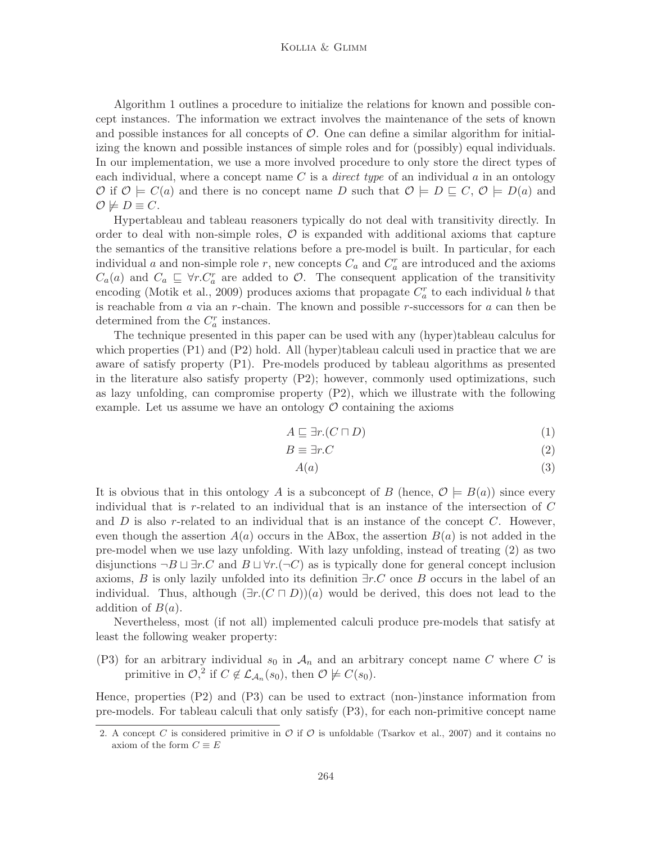#### Kollia & Glimm

Algorithm 1 outlines a procedure to initialize the relations for known and possible concept instances. The information we extract involves the maintenance of the sets of known and possible instances for all concepts of  $\mathcal{O}$ . One can define a similar algorithm for initializing the known and possible instances of simple roles and for (possibly) equal individuals. In our implementation, we use a more involved procedure to only store the direct types of each individual, where a concept name C is a *direct type* of an individual  $\alpha$  in an ontology  $\mathcal{O}$  if  $\mathcal{O} \models C(a)$  and there is no concept name D such that  $\mathcal{O} \models D \sqsubseteq C, \mathcal{O} \models D(a)$  and  $\mathcal{O} \not\models D \equiv C.$ 

Hypertableau and tableau reasoners typically do not deal with transitivity directly. In order to deal with non-simple roles,  $\mathcal O$  is expanded with additional axioms that capture the semantics of the transitive relations before a pre-model is built. In particular, for each individual a and non-simple role r, new concepts  $C_a$  and  $C_a^r$  are introduced and the axioms  $C_a(a)$  and  $C_a \subseteq \forall r.C_a^r$  are added to  $\mathcal{O}$ . The consequent application of the transitivity encoding (Motik et al., 2009) produces axioms that propagate  $C_a^r$  to each individual b that is reachable from  $\alpha$  via an r-chain. The known and possible r-successors for  $\alpha$  can then be determined from the  $C_a^r$  instances.

The technique presented in this paper can be used with any (hyper)tableau calculus for which properties (P1) and (P2) hold. All (hyper)tableau calculi used in practice that we are aware of satisfy property (P1). Pre-models produced by tableau algorithms as presented in the literature also satisfy property (P2); however, commonly used optimizations, such as lazy unfolding, can compromise property (P2), which we illustrate with the following example. Let us assume we have an ontology  $\mathcal O$  containing the axioms

$$
A \sqsubseteq \exists r. (C \sqcap D) \tag{1}
$$

$$
B \equiv \exists r.C \tag{2}
$$

$$
A(a) \tag{3}
$$

It is obvious that in this ontology A is a subconcept of B (hence,  $\mathcal{O} \models B(a)$ ) since every individual that is r-related to an individual that is an instance of the intersection of  $C$ and  $D$  is also r-related to an individual that is an instance of the concept  $C$ . However, even though the assertion  $A(a)$  occurs in the ABox, the assertion  $B(a)$  is not added in the pre-model when we use lazy unfolding. With lazy unfolding, instead of treating (2) as two disjunctions  $\neg B \sqcup \exists r.C$  and  $B \sqcup \forall r.(\neg C)$  as is typically done for general concept inclusion axioms, B is only lazily unfolded into its definition  $\exists r.C$  once B occurs in the label of an individual. Thus, although  $(\exists r.(C \sqcap D))(a)$  would be derived, this does not lead to the addition of  $B(a)$ .

Nevertheless, most (if not all) implemented calculi produce pre-models that satisfy at least the following weaker property:

(P3) for an arbitrary individual  $s_0$  in  $\mathcal{A}_n$  and an arbitrary concept name C where C is primitive in  $\mathcal{O},^2$  if  $C \notin \mathcal{L}_{\mathcal{A}_n}(s_0)$ , then  $\mathcal{O} \not\models C(s_0)$ .

Hence, properties (P2) and (P3) can be used to extract (non-)instance information from pre-models. For tableau calculi that only satisfy (P3), for each non-primitive concept name

<sup>2.</sup> A concept C is considered primitive in  $\mathcal O$  if  $\mathcal O$  is unfoldable (Tsarkov et al., 2007) and it contains no axiom of the form  $C \equiv E$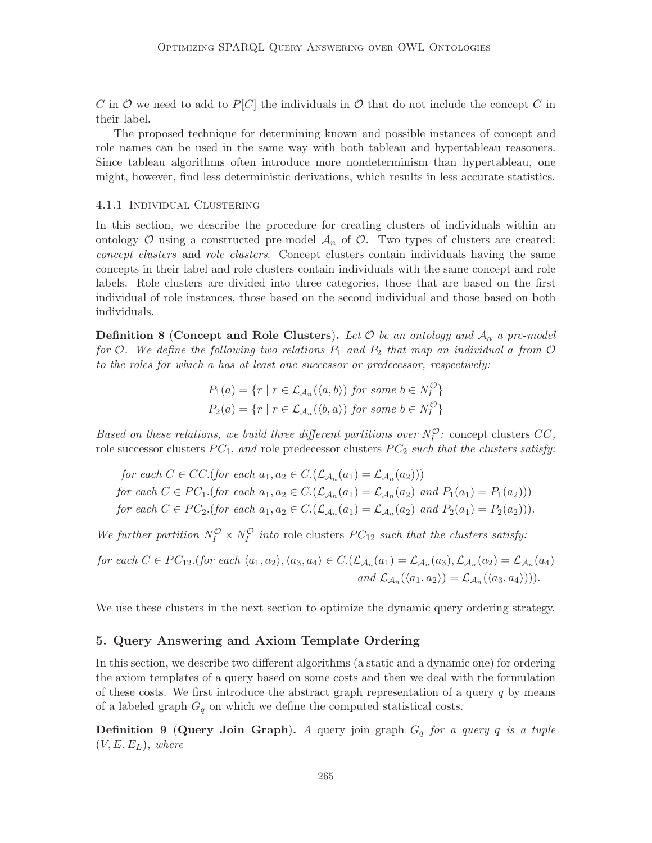C in O we need to add to  $P[C]$  the individuals in O that do not include the concept C in their label.

The proposed technique for determining known and possible instances of concept and role names can be used in the same way with both tableau and hypertableau reasoners. Since tableau algorithms often introduce more nondeterminism than hypertableau, one might, however, find less deterministic derivations, which results in less accurate statistics.

#### 4.1.1 Individual Clustering

In this section, we describe the procedure for creating clusters of individuals within an ontology  $\mathcal O$  using a constructed pre-model  $\mathcal A_n$  of  $\mathcal O$ . Two types of clusters are created: concept clusters and role clusters. Concept clusters contain individuals having the same concepts in their label and role clusters contain individuals with the same concept and role labels. Role clusters are divided into three categories, those that are based on the first individual of role instances, those based on the second individual and those based on both individuals.

**Definition 8 (Concept and Role Clusters).** Let  $\mathcal O$  be an ontology and  $\mathcal A_n$  a pre-model for O. We define the following two relations  $P_1$  and  $P_2$  that map an individual a from O to the roles for which a has at least one successor or predecessor, respectively:

$$
P_1(a) = \{r \mid r \in \mathcal{L}_{\mathcal{A}_n}(\langle a, b \rangle) \text{ for some } b \in N_I^{\mathcal{O}}\}
$$
  

$$
P_2(a) = \{r \mid r \in \mathcal{L}_{\mathcal{A}_n}(\langle b, a \rangle) \text{ for some } b \in N_I^{\mathcal{O}}\}
$$

Based on these relations, we build three different partitions over  $N_I^{\mathcal{O}}$ : concept clusters  $CC$ , role successor clusters  $PC_1$ , and role predecessor clusters  $PC_2$  such that the clusters satisfy:

for each  $C \in CC.$  (for each  $a_1, a_2 \in C.$   $(\mathcal{L}_{\mathcal{A}_n}(a_1) = \mathcal{L}_{\mathcal{A}_n}(a_2))$ ) for each  $C \in PC_1$ . (for each  $a_1, a_2 \in C$ .  $(\mathcal{L}_{\mathcal{A}_n}(a_1) = \mathcal{L}_{\mathcal{A}_n}(a_2)$  and  $P_1(a_1) = P_1(a_2))$ ) for each  $C \in PC_2$ .(for each  $a_1, a_2 \in C$ .( $\mathcal{L}_{\mathcal{A}_n}(a_1) = \mathcal{L}_{\mathcal{A}_n}(a_2)$  and  $P_2(a_1) = P_2(a_2)$ )).

We further partition  $N_I^{\mathcal{O}} \times N_I^{\mathcal{O}}$  into role clusters  $PC_{12}$  such that the clusters satisfy:

for each  $C \in PC_{12}$ .(for each  $\langle a_1, a_2 \rangle$ ,  $\langle a_3, a_4 \rangle \in C$ .( $\mathcal{L}_{\mathcal{A}_n}(a_1) = \mathcal{L}_{\mathcal{A}_n}(a_3)$ ,  $\mathcal{L}_{\mathcal{A}_n}(a_2) = \mathcal{L}_{\mathcal{A}_n}(a_4)$ and  $\mathcal{L}_{\mathcal{A}_n}(\langle a_1, a_2 \rangle) = \mathcal{L}_{\mathcal{A}_n}(\langle a_3, a_4 \rangle)).$ 

We use these clusters in the next section to optimize the dynamic query ordering strategy.

## 5. Query Answering and Axiom Template Ordering

In this section, we describe two different algorithms (a static and a dynamic one) for ordering the axiom templates of a query based on some costs and then we deal with the formulation of these costs. We first introduce the abstract graph representation of a query  $q$  by means of a labeled graph  $G_q$  on which we define the computed statistical costs.

**Definition 9 (Query Join Graph).** A query join graph  $G_q$  for a query q is a tuple  $(V, E, E_L)$ , where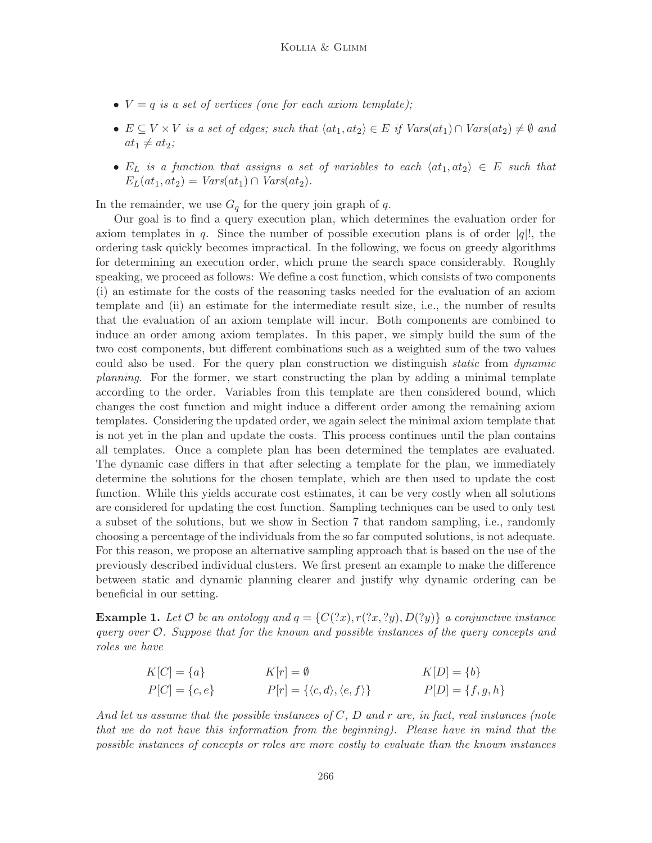- $V = q$  is a set of vertices (one for each axiom template);
- $E \subseteq V \times V$  is a set of edges; such that  $\langle at_1, at_2 \rangle \in E$  if  $Vars(at_1) \cap Vars(at_2) \neq \emptyset$  and  $at_1 \neq at_2;$
- E<sub>L</sub> is a function that assigns a set of variables to each  $\langle at_1, at_2 \rangle \in E$  such that  $E_L(at_1, at_2) = Vars(at_1) \cap Vars(at_2).$

In the remainder, we use  $G_q$  for the query join graph of q.

Our goal is to find a query execution plan, which determines the evaluation order for axiom templates in q. Since the number of possible execution plans is of order  $|q|$ , the ordering task quickly becomes impractical. In the following, we focus on greedy algorithms for determining an execution order, which prune the search space considerably. Roughly speaking, we proceed as follows: We define a cost function, which consists of two components (i) an estimate for the costs of the reasoning tasks needed for the evaluation of an axiom template and (ii) an estimate for the intermediate result size, i.e., the number of results that the evaluation of an axiom template will incur. Both components are combined to induce an order among axiom templates. In this paper, we simply build the sum of the two cost components, but different combinations such as a weighted sum of the two values could also be used. For the query plan construction we distinguish *static* from *dynamic* planning. For the former, we start constructing the plan by adding a minimal template according to the order. Variables from this template are then considered bound, which changes the cost function and might induce a different order among the remaining axiom templates. Considering the updated order, we again select the minimal axiom template that is not yet in the plan and update the costs. This process continues until the plan contains all templates. Once a complete plan has been determined the templates are evaluated. The dynamic case differs in that after selecting a template for the plan, we immediately determine the solutions for the chosen template, which are then used to update the cost function. While this yields accurate cost estimates, it can be very costly when all solutions are considered for updating the cost function. Sampling techniques can be used to only test a subset of the solutions, but we show in Section 7 that random sampling, i.e., randomly choosing a percentage of the individuals from the so far computed solutions, is not adequate. For this reason, we propose an alternative sampling approach that is based on the use of the previously described individual clusters. We first present an example to make the difference between static and dynamic planning clearer and justify why dynamic ordering can be beneficial in our setting.

**Example 1.** Let O be an ontology and  $q = \{C(2x), r(2x, 2y), D(2y)\}\$ a conjunctive instance query over  $\mathcal{O}$ . Suppose that for the known and possible instances of the query concepts and roles we have

$$
K[C] = \{a\}
$$
  
\n
$$
F[C] = \{c, e\}
$$
  
\n
$$
F[r] = \{\langle c, d \rangle, \langle e, f \rangle\}
$$
  
\n
$$
F[D] = \{f, g, h\}
$$
  
\n
$$
F[D] = \{f, g, h\}
$$

And let us assume that the possible instances of  $C$ ,  $D$  and  $r$  are, in fact, real instances (note that we do not have this information from the beginning). Please have in mind that the possible instances of concepts or roles are more costly to evaluate than the known instances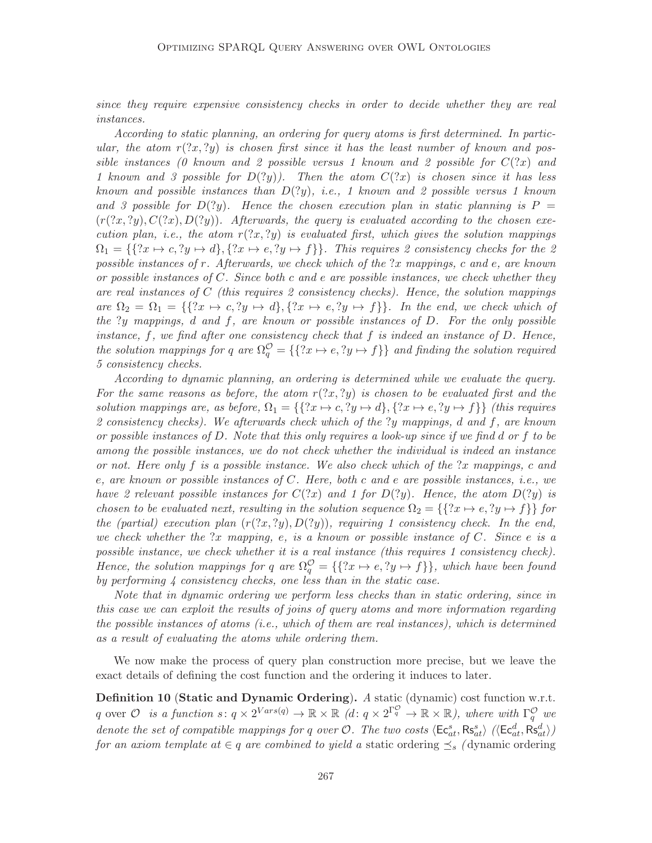since they require expensive consistency checks in order to decide whether they are real instances.

According to static planning, an ordering for query atoms is first determined. In particular, the atom  $r(2x, 2y)$  is chosen first since it has the least number of known and possible instances (0 known and 2 possible versus 1 known and 2 possible for  $C(2x)$  and 1 known and 3 possible for  $D(?y)$ ). Then the atom  $C(?x)$  is chosen since it has less known and possible instances than  $D(2y)$ , i.e., 1 known and 2 possible versus 1 known and 3 possible for  $D(?y)$ . Hence the chosen execution plan in static planning is  $P =$  $(r(2x, 2y), C(2x), D(2y))$ . Afterwards, the query is evaluated according to the chosen execution plan, i.e., the atom  $r(2x, 2y)$  is evaluated first, which gives the solution mappings  $\Omega_1 = \{\{?x \mapsto c, ?y \mapsto d\}, \{?x \mapsto e, ?y \mapsto f\}\}.$  This requires 2 consistency checks for the 2 possible instances of  $r$ . Afterwards, we check which of the  $2x$  mappings, c and e, are known or possible instances of C. Since both c and e are possible instances, we check whether they are real instances of  $C$  (this requires 2 consistency checks). Hence, the solution mappings are  $\Omega_2 = \Omega_1 = \{ \{?x \mapsto c, ?y \mapsto d\}, \{?x \mapsto e, ?y \mapsto f\} \}$ . In the end, we check which of the ?y mappings, d and f, are known or possible instances of D. For the only possible instance,  $f$ , we find after one consistency check that  $f$  is indeed an instance of  $D$ . Hence, the solution mappings for q are  $\Omega_q^{\mathcal{O}} = \{\{?x \mapsto e, ?y \mapsto f\}\}\$ and finding the solution required 5 consistency checks.

According to dynamic planning, an ordering is determined while we evaluate the query. For the same reasons as before, the atom  $r(2x, 2y)$  is chosen to be evaluated first and the solution mappings are, as before,  $\Omega_1 = \{ \{x \mapsto c, y \mapsto d\}, \{x \mapsto e, y \mapsto f\} \}$  (this requires 2 consistency checks). We afterwards check which of the ?y mappings, d and f, are known or possible instances of D. Note that this only requires a look-up since if we find d or f to be among the possible instances, we do not check whether the individual is indeed an instance or not. Here only f is a possible instance. We also check which of the  $x$  mappings, c and e, are known or possible instances of C. Here, both c and e are possible instances, i.e., we have 2 relevant possible instances for  $C(2x)$  and 1 for  $D(2y)$ . Hence, the atom  $D(2y)$  is chosen to be evaluated next, resulting in the solution sequence  $\Omega_2 = \{\{?x \mapsto e, ?y \mapsto f\}\}\$ for the (partial) execution plan  $(r(2x, 2y), D(2y))$ , requiring 1 consistency check. In the end, we check whether the ?x mapping, e, is a known or possible instance of  $C$ . Since e is a possible instance, we check whether it is a real instance (this requires 1 consistency check). Hence, the solution mappings for q are  $\Omega_q^{\mathcal{O}} = \{\{?x \mapsto e, ?y \mapsto f\}\}\,$ , which have been found by performing  $\lambda$  consistency checks, one less than in the static case.

Note that in dynamic ordering we perform less checks than in static ordering, since in this case we can exploit the results of joins of query atoms and more information regarding the possible instances of atoms (i.e., which of them are real instances), which is determined as a result of evaluating the atoms while ordering them.

We now make the process of query plan construction more precise, but we leave the exact details of defining the cost function and the ordering it induces to later.

Definition 10 (Static and Dynamic Ordering). A static (dynamic) cost function w.r.t. q over  $\mathcal O$  is a function  $s: q \times 2^{Vars(q)} \to \mathbb R \times \mathbb R$   $(d: q \times 2^{\Gamma_q^{\mathcal O}} \to \mathbb R \times \mathbb R)$ , where with  $\Gamma_q^{\mathcal O}$  we denote the set of compatible mappings for q over  $\mathcal{O}$ . The two costs  $\langle \mathsf{Ec}^s_{at}, \mathsf{Rs}^s_{at} \rangle$   $(\langle \mathsf{Ec}^d_{at}, \mathsf{Rs}^d_{at} \rangle)$ for an axiom template at  $\in q$  are combined to yield a static ordering  $\preceq_s$  (dynamic ordering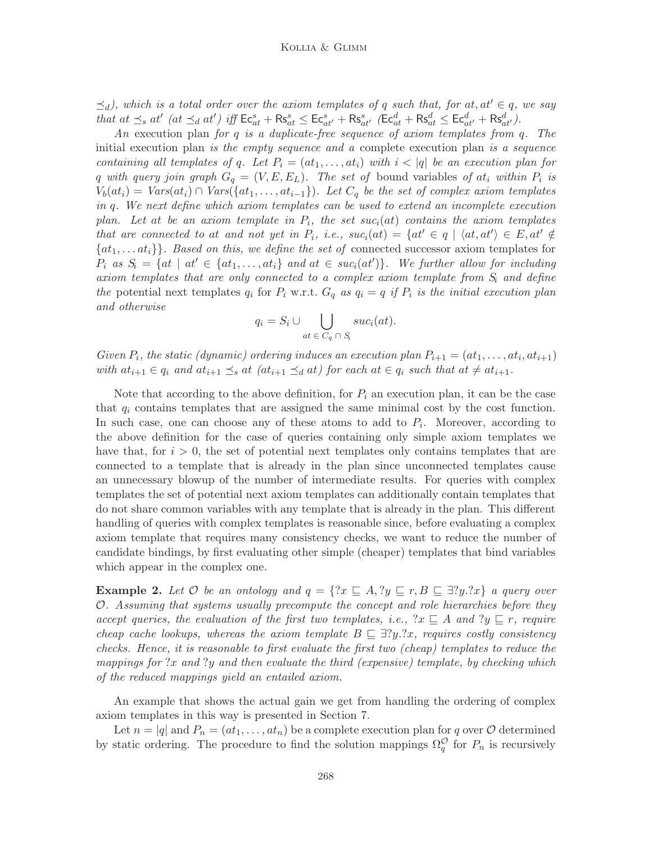$\preceq_d$ ), which is a total order over the axiom templates of q such that, for at, at'  $\in q$ , we say that at  $\preceq_s at'$  (at  $\preceq_d at'$ ) iff  $\mathsf{Ec}^s_{at} + \mathsf{Rs}^s_{at} \leq \mathsf{Ec}^s_{at'} + \mathsf{Rs}^s_{at'}$  ( $\mathsf{Ec}^d_{at} + \mathsf{Rs}^d_{at} \leq \mathsf{Ec}^d_{at'} + \mathsf{Rs}^d_{at'}$ ).

An execution plan for q is a duplicate-free sequence of axiom templates from q. The initial execution plan is the empty sequence and a complete execution plan is a sequence containing all templates of q. Let  $P_i = (at_1, \ldots, at_i)$  with  $i < |q|$  be an execution plan for q with query join graph  $G_q = (V, E, E_L)$ . The set of bound variables of at<sub>i</sub> within  $P_i$  is  $V_b(at_i) = Var(s(at_i) \cap Var(s(\lbrace at_1, \ldots, at_{i-1} \rbrace))$ . Let  $C_q$  be the set of complex axiom templates in q. We next define which axiom templates can be used to extend an incomplete execution plan. Let at be an axiom template in  $P_i$ , the set suc<sub>i</sub>(at) contains the axiom templates that are connected to at and not yet in  $P_i$ , i.e.,  $suc_i(at) = \{at' \in q \mid \langle at, at' \rangle \in E, at' \notin \emptyset\}$  $\{at_1, \ldots at_i\}\$ . Based on this, we define the set of connected successor axiom templates for  $P_i$  as  $S_i = \{at \mid at' \in \{at_1, \ldots, at_i\} \text{ and at } \in suc_i(at')\}.$  We further allow for including axiom templates that are only connected to a complex axiom template from  $S_i$  and define the potential next templates  $q_i$  for  $P_i$  w.r.t.  $G_q$  as  $q_i = q$  if  $P_i$  is the initial execution plan and otherwise

$$
q_i = S_i \cup \bigcup_{at \in C_q \cap S_i} suc_i(at).
$$

Given  $P_i$ , the static (dynamic) ordering induces an execution plan  $P_{i+1} = (at_1, \ldots, at_i, at_{i+1})$ with  $at_{i+1} \in q_i$  and  $at_{i+1} \leq_s at$   $(at_{i+1} \leq_d at)$  for each  $at \in q_i$  such that  $at \neq at_{i+1}$ .

Note that according to the above definition, for  $P_i$  an execution plan, it can be the case that  $q_i$  contains templates that are assigned the same minimal cost by the cost function. In such case, one can choose any of these atoms to add to  $P_i$ . Moreover, according to the above definition for the case of queries containing only simple axiom templates we have that, for  $i > 0$ , the set of potential next templates only contains templates that are connected to a template that is already in the plan since unconnected templates cause an unnecessary blowup of the number of intermediate results. For queries with complex templates the set of potential next axiom templates can additionally contain templates that do not share common variables with any template that is already in the plan. This different handling of queries with complex templates is reasonable since, before evaluating a complex axiom template that requires many consistency checks, we want to reduce the number of candidate bindings, by first evaluating other simple (cheaper) templates that bind variables which appear in the complex one.

**Example 2.** Let  $\mathcal O$  be an ontology and  $q = \{?x \sqsubseteq A, ?y \sqsubseteq r, B \sqsubseteq \exists?y. ?x\}$  a query over O. Assuming that systems usually precompute the concept and role hierarchies before they accept queries, the evaluation of the first two templates, i.e.,  $x \subseteq A$  and  $y \subseteq r$ , require cheap cache lookups, whereas the axiom template  $B \subseteq \exists?y.$ ?x, requires costly consistency checks. Hence, it is reasonable to first evaluate the first two (cheap) templates to reduce the mappings for ?x and ?y and then evaluate the third (expensive) template, by checking which of the reduced mappings yield an entailed axiom.

An example that shows the actual gain we get from handling the ordering of complex axiom templates in this way is presented in Section 7.

Let  $n = |q|$  and  $P_n = (at_1, \ldots, at_n)$  be a complete execution plan for q over  $\mathcal O$  determined by static ordering. The procedure to find the solution mappings  $\Omega_q^{\mathcal{O}}$  for  $P_n$  is recursively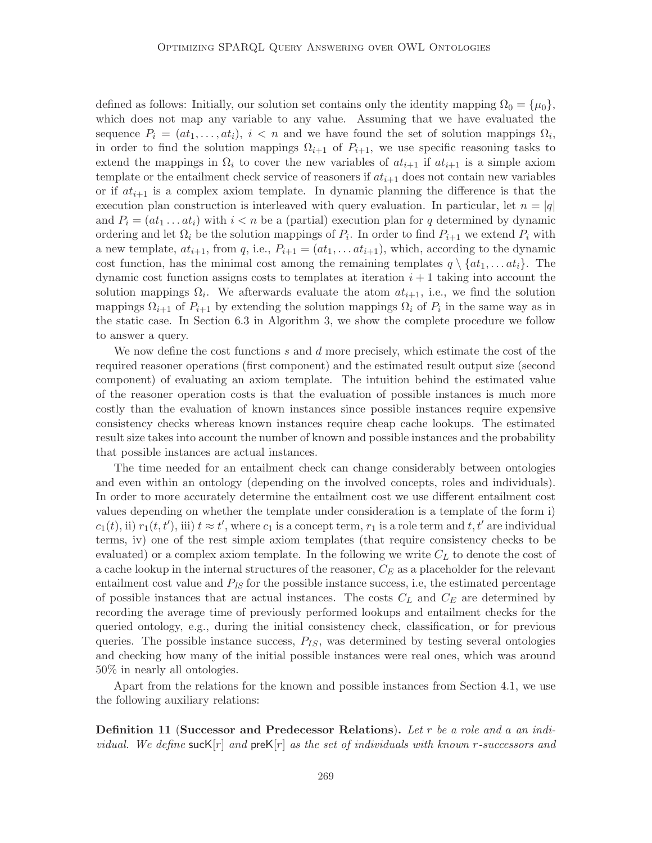defined as follows: Initially, our solution set contains only the identity mapping  $\Omega_0 = {\mu_0},$ which does not map any variable to any value. Assuming that we have evaluated the sequence  $P_i = (at_1, \ldots, at_i), i < n$  and we have found the set of solution mappings  $\Omega_i$ , in order to find the solution mappings  $\Omega_{i+1}$  of  $P_{i+1}$ , we use specific reasoning tasks to extend the mappings in  $\Omega_i$  to cover the new variables of  $at_{i+1}$  if  $at_{i+1}$  is a simple axiom template or the entailment check service of reasoners if  $at_{i+1}$  does not contain new variables or if  $at_{i+1}$  is a complex axiom template. In dynamic planning the difference is that the execution plan construction is interleaved with query evaluation. In particular, let  $n = |q|$ and  $P_i = (at_1 \dots at_i)$  with  $i < n$  be a (partial) execution plan for q determined by dynamic ordering and let  $\Omega_i$  be the solution mappings of  $P_i$ . In order to find  $P_{i+1}$  we extend  $P_i$  with a new template,  $at_{i+1}$ , from q, i.e.,  $P_{i+1} = (at_1, \ldots at_{i+1})$ , which, according to the dynamic cost function, has the minimal cost among the remaining templates  $q \setminus \{at_1, \ldots at_i\}$ . The dynamic cost function assigns costs to templates at iteration  $i + 1$  taking into account the solution mappings  $\Omega_i$ . We afterwards evaluate the atom  $at_{i+1}$ , i.e., we find the solution mappings  $\Omega_{i+1}$  of  $P_{i+1}$  by extending the solution mappings  $\Omega_i$  of  $P_i$  in the same way as in the static case. In Section 6.3 in Algorithm 3, we show the complete procedure we follow to answer a query.

We now define the cost functions  $s$  and  $d$  more precisely, which estimate the cost of the required reasoner operations (first component) and the estimated result output size (second component) of evaluating an axiom template. The intuition behind the estimated value of the reasoner operation costs is that the evaluation of possible instances is much more costly than the evaluation of known instances since possible instances require expensive consistency checks whereas known instances require cheap cache lookups. The estimated result size takes into account the number of known and possible instances and the probability that possible instances are actual instances.

The time needed for an entailment check can change considerably between ontologies and even within an ontology (depending on the involved concepts, roles and individuals). In order to more accurately determine the entailment cost we use different entailment cost values depending on whether the template under consideration is a template of the form i)  $c_1(t)$ , ii)  $r_1(t, t')$ , iii)  $t \approx t'$ , where  $c_1$  is a concept term,  $r_1$  is a role term and  $t, t'$  are individual terms, iv) one of the rest simple axiom templates (that require consistency checks to be evaluated) or a complex axiom template. In the following we write  $C<sub>L</sub>$  to denote the cost of a cache lookup in the internal structures of the reasoner,  $C_E$  as a placeholder for the relevant entailment cost value and  $P_{IS}$  for the possible instance success, i.e, the estimated percentage of possible instances that are actual instances. The costs  $C_L$  and  $C_E$  are determined by recording the average time of previously performed lookups and entailment checks for the queried ontology, e.g., during the initial consistency check, classification, or for previous queries. The possible instance success,  $P_{IS}$ , was determined by testing several ontologies and checking how many of the initial possible instances were real ones, which was around 50% in nearly all ontologies.

Apart from the relations for the known and possible instances from Section 4.1, we use the following auxiliary relations:

Definition 11 (Successor and Predecessor Relations). Let r be a role and a an individual. We define suck $[r]$  and pre $K[r]$  as the set of individuals with known r-successors and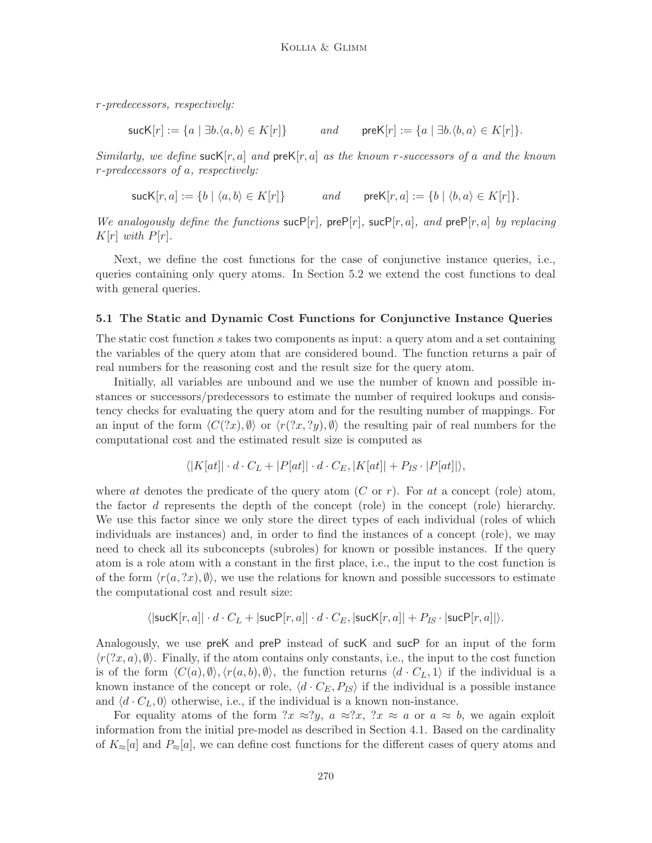r-predecessors, respectively:

$$
\mathsf{succ}[r] := \{ a \mid \exists b. \langle a, b \rangle \in K[r] \} \qquad \text{and} \qquad \mathsf{preK}[r] := \{ a \mid \exists b. \langle b, a \rangle \in K[r] \}.
$$

Similarly, we define suck  $[r, a]$  and pre $K[r, a]$  as the known r-successors of a and the known r-predecessors of a, respectively:

$$
\mathsf{succ}[r,a] := \{ b \mid \langle a,b \rangle \in K[r] \} \qquad \text{and} \qquad \mathsf{preK}[r,a] := \{ b \mid \langle b,a \rangle \in K[r] \}.
$$

We analogously define the functions  $\textsf{such}[r]$ ,  $\textsf{preP}[r]$ ,  $\textsf{such}[r, a]$ , and  $\textsf{preP}[r, a]$  by replacing  $K[r]$  with  $P[r]$ .

Next, we define the cost functions for the case of conjunctive instance queries, i.e., queries containing only query atoms. In Section 5.2 we extend the cost functions to deal with general queries.

#### 5.1 The Static and Dynamic Cost Functions for Conjunctive Instance Queries

The static cost function s takes two components as input: a query atom and a set containing the variables of the query atom that are considered bound. The function returns a pair of real numbers for the reasoning cost and the result size for the query atom.

Initially, all variables are unbound and we use the number of known and possible instances or successors/predecessors to estimate the number of required lookups and consistency checks for evaluating the query atom and for the resulting number of mappings. For an input of the form  $\langle C(2x), \emptyset \rangle$  or  $\langle r(2x, 2y), \emptyset \rangle$  the resulting pair of real numbers for the computational cost and the estimated result size is computed as

$$
\langle |K(at)| \cdot d \cdot C_L + |P(at)| \cdot d \cdot C_E, |K(at)| + P_{IS} \cdot |P(at)| \rangle,
$$

where at denotes the predicate of the query atom  $(C \text{ or } r)$ . For at a concept (role) atom, the factor d represents the depth of the concept (role) in the concept (role) hierarchy. We use this factor since we only store the direct types of each individual (roles of which individuals are instances) and, in order to find the instances of a concept (role), we may need to check all its subconcepts (subroles) for known or possible instances. If the query atom is a role atom with a constant in the first place, i.e., the input to the cost function is of the form  $\langle r(a, x), \emptyset \rangle$ , we use the relations for known and possible successors to estimate the computational cost and result size:

$$
\langle |\mathsf{succ}[r,a]| \cdot d \cdot C_L + |\mathsf{succ}[r,a]| \cdot d \cdot C_E, |\mathsf{succ}[r,a]| + P_{IS} \cdot |\mathsf{succ}[r,a]| \rangle.
$$

Analogously, we use preK and preP instead of sucK and sucP for an input of the form  $\langle r(2x, a), \emptyset \rangle$ . Finally, if the atom contains only constants, i.e., the input to the cost function is of the form  $\langle C(a), \emptyset \rangle, \langle r(a, b), \emptyset \rangle$ , the function returns  $\langle d \cdot C_L, 1 \rangle$  if the individual is a known instance of the concept or role,  $\langle d \cdot C_E, P_{IS} \rangle$  if the individual is a possible instance and  $\langle d \cdot C_L, 0 \rangle$  otherwise, i.e., if the individual is a known non-instance.

For equality atoms of the form  $x \approx y$ ,  $a \approx x$ ,  $x \approx a$  or  $a \approx b$ , we again exploit information from the initial pre-model as described in Section 4.1. Based on the cardinality of  $K_{\approx}[a]$  and  $P_{\approx}[a]$ , we can define cost functions for the different cases of query atoms and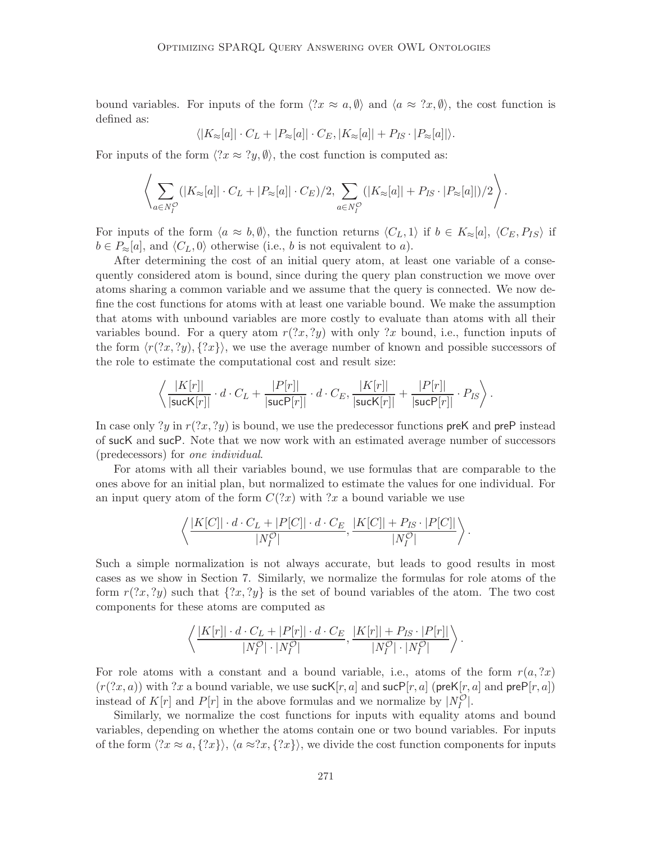bound variables. For inputs of the form  $\langle x \approx a, \emptyset \rangle$  and  $\langle a \approx \langle x, \emptyset \rangle$ , the cost function is defined as:

$$
\langle |K_{\approx}[a]| \cdot C_L + |P_{\approx}[a]| \cdot C_E, |K_{\approx}[a]| + P_{IS} \cdot |P_{\approx}[a]| \rangle.
$$

For inputs of the form  $\langle ?x \approx ?y, \emptyset \rangle$ , the cost function is computed as:

$$
\left\langle \sum_{a \in N_I^{\mathcal{O}}} (|K_{\approx}[a]| \cdot C_L + |P_{\approx}[a]| \cdot C_E)/2, \sum_{a \in N_I^{\mathcal{O}}} (|K_{\approx}[a]| + P_{IS} \cdot |P_{\approx}[a]|)/2 \right\rangle.
$$

For inputs of the form  $\langle a \approx b, \emptyset \rangle$ , the function returns  $\langle C_L, 1 \rangle$  if  $b \in K_{\approx}[a], \langle C_E, P_{IS} \rangle$  if  $b \in P_{\approx}[a]$ , and  $\langle C_L, 0 \rangle$  otherwise (i.e., b is not equivalent to a).

After determining the cost of an initial query atom, at least one variable of a consequently considered atom is bound, since during the query plan construction we move over atoms sharing a common variable and we assume that the query is connected. We now define the cost functions for atoms with at least one variable bound. We make the assumption that atoms with unbound variables are more costly to evaluate than atoms with all their variables bound. For a query atom  $r(2x, 2y)$  with only 2x bound, i.e., function inputs of the form  $\langle r(2x, 2y), \{2x\}\rangle$ , we use the average number of known and possible successors of the role to estimate the computational cost and result size:

$$
\left\langle \frac{|K[r]|}{|\mathsf{succ}[r]|} \cdot d \cdot C_L + \frac{|P[r]|}{|\mathsf{succ}[r]|} \cdot d \cdot C_E, \frac{|K[r]|}{|\mathsf{succ}[r]|} + \frac{|P[r]|}{|\mathsf{succ}[r]|} \cdot P_{IS} \right\rangle.
$$

In case only ?y in  $r(2x, 2y)$  is bound, we use the predecessor functions preK and preP instead of sucK and sucP. Note that we now work with an estimated average number of successors (predecessors) for one individual.

For atoms with all their variables bound, we use formulas that are comparable to the ones above for an initial plan, but normalized to estimate the values for one individual. For an input query atom of the form  $C(2x)$  with  $2x$  a bound variable we use

$$
\left\langle \frac{|K[C]| \cdot d \cdot C_L + |P[C]| \cdot d \cdot C_E}{|N_I^{\mathcal{O}}|}, \frac{|K[C]| + P_{IS} \cdot |P[C]|}{|N_I^{\mathcal{O}}|} \right\rangle.
$$

Such a simple normalization is not always accurate, but leads to good results in most cases as we show in Section 7. Similarly, we normalize the formulas for role atoms of the form  $r(2x, 2y)$  such that  $\{2x, 2y\}$  is the set of bound variables of the atom. The two cost components for these atoms are computed as

$$
\left\langle \frac{|K[r]| \cdot d \cdot C_L + |P[r]| \cdot d \cdot C_E}{|N_I^{\mathcal{O}}| \cdot |N_I^{\mathcal{O}}|}, \frac{|K[r]| + P_{IS} \cdot |P[r]|}{|N_I^{\mathcal{O}}| \cdot |N_I^{\mathcal{O}}|} \right\rangle.
$$

For role atoms with a constant and a bound variable, i.e., atoms of the form  $r(a, x)$  $(r(2x, a))$  with ?x a bound variable, we use suck  $[r, a]$  and suce  $[r, a]$  (preK $[r, a]$  and pre $P[r, a]$ ) instead of  $K[r]$  and  $P[r]$  in the above formulas and we normalize by  $|N_I^{\mathcal{O}}|$ .

Similarly, we normalize the cost functions for inputs with equality atoms and bound variables, depending on whether the atoms contain one or two bound variables. For inputs of the form  $\langle x \approx a, \{x\}\rangle$ ,  $\langle a \approx x, \{x\}\rangle$ , we divide the cost function components for inputs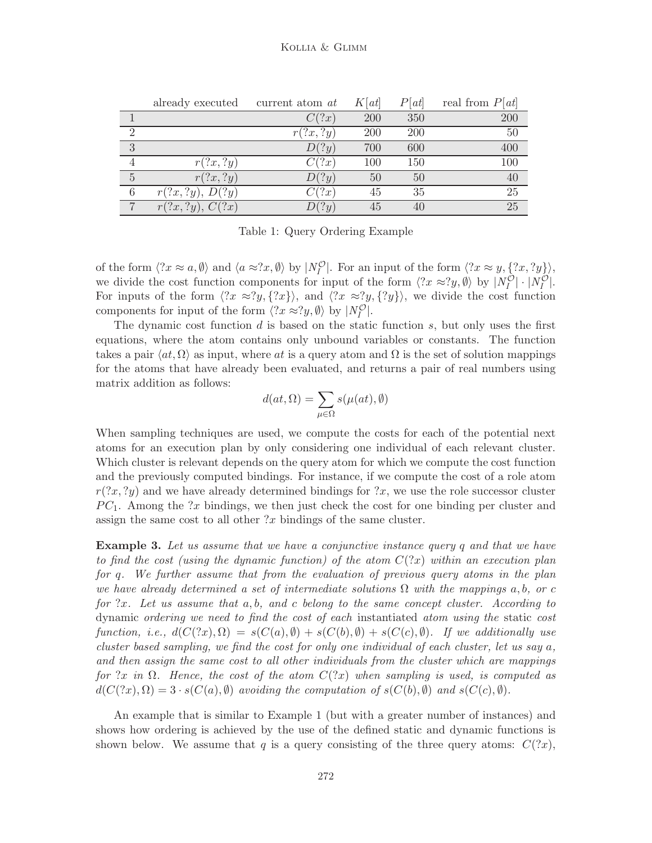|                  | already executed | current atom at | K[at] | P[at] | real from $P[at]$ |
|------------------|------------------|-----------------|-------|-------|-------------------|
|                  |                  | C(?x)           | 200   | 350   | 200               |
| $\overline{2}$   |                  | r(?x, ?y)       | 200   | 200   | 50                |
| 3                |                  | D(?y)           | 700   | 600   | 400               |
|                  | r(?x, ?y)        | C(?x)           | 100   | 150   | 100               |
| $\overline{5}$   | r(?x, ?y)        | D(?y)           | 50    | 50    | 40                |
| $\boldsymbol{6}$ | r(?x, ?y), D(?y) | C(?x)           | 45    | 35    | 25                |
| $\overline{7}$   | r(?x, ?y), C(?x) | D(?y)           | 45    | 40    | 25                |

Table 1: Query Ordering Example

of the form  $\langle ?x \approx a, \emptyset \rangle$  and  $\langle a \approx ?x, \emptyset \rangle$  by  $|N_I^{\mathcal{O}}|$ . For an input of the form  $\langle ?x \approx y, \{?x, ?y\} \rangle$ , we divide the cost function components for input of the form  $\langle ?x \approx ?y, \emptyset \rangle$  by  $|N_I^{\mathcal{O}}| \cdot |N_I^{\mathcal{O}}|$ . For inputs of the form  $\langle 2x \approx 2y, \{2x\}\rangle$ , and  $\langle 2x \approx 2y, \{2y\}\rangle$ , we divide the cost function components for input of the form  $\langle ?x \approx ?y, \emptyset \rangle$  by  $|N_I^{\mathcal{O}}|$ .

The dynamic cost function d is based on the static function  $s$ , but only uses the first equations, where the atom contains only unbound variables or constants. The function takes a pair  $\langle at, \Omega \rangle$  as input, where at is a query atom and  $\Omega$  is the set of solution mappings for the atoms that have already been evaluated, and returns a pair of real numbers using matrix addition as follows:

$$
d(at, \Omega) = \sum_{\mu \in \Omega} s(\mu(at), \emptyset)
$$

When sampling techniques are used, we compute the costs for each of the potential next atoms for an execution plan by only considering one individual of each relevant cluster. Which cluster is relevant depends on the query atom for which we compute the cost function and the previously computed bindings. For instance, if we compute the cost of a role atom  $r(2x, 2y)$  and we have already determined bindings for  $2x$ , we use the role successor cluster  $PC_1$ . Among the ?x bindings, we then just check the cost for one binding per cluster and assign the same cost to all other  $x$  bindings of the same cluster.

**Example 3.** Let us assume that we have a conjunctive instance query q and that we have to find the cost (using the dynamic function) of the atom  $C(2x)$  within an execution plan for q. We further assume that from the evaluation of previous query atoms in the plan we have already determined a set of intermediate solutions  $\Omega$  with the mappings a, b, or c for  $x$ . Let us assume that  $a, b$ , and c belong to the same concept cluster. According to dynamic ordering we need to find the cost of each instantiated atom using the static cost function, i.e.,  $d(C(2x), \Omega) = s(C(a), \emptyset) + s(C(b), \emptyset) + s(C(c), \emptyset)$ . If we additionally use cluster based sampling, we find the cost for only one individual of each cluster, let us say a, and then assign the same cost to all other individuals from the cluster which are mappings for ?x in  $\Omega$ . Hence, the cost of the atom  $C(2x)$  when sampling is used, is computed as  $d(C(?x), \Omega) = 3 \cdot s(C(a), \emptyset)$  avoiding the computation of  $s(C(b), \emptyset)$  and  $s(C(c), \emptyset)$ .

An example that is similar to Example 1 (but with a greater number of instances) and shows how ordering is achieved by the use of the defined static and dynamic functions is shown below. We assume that q is a query consisting of the three query atoms:  $C(?x)$ ,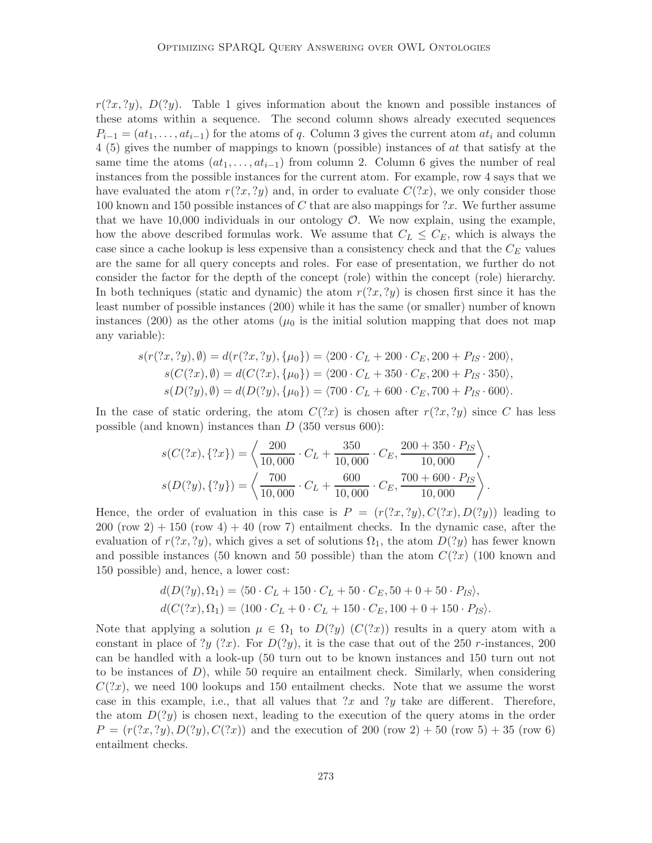$r(2x, 2y)$ ,  $D(2y)$ . Table 1 gives information about the known and possible instances of these atoms within a sequence. The second column shows already executed sequences  $P_{i-1} = (at_1, \ldots, at_{i-1})$  for the atoms of q. Column 3 gives the current atom  $at_i$  and column 4 (5) gives the number of mappings to known (possible) instances of at that satisfy at the same time the atoms  $(at_1, \ldots, at_{i-1})$  from column 2. Column 6 gives the number of real instances from the possible instances for the current atom. For example, row 4 says that we have evaluated the atom  $r(2x, 2y)$  and, in order to evaluate  $C(2x)$ , we only consider those 100 known and 150 possible instances of C that are also mappings for  $?x$ . We further assume that we have  $10,000$  individuals in our ontology  $\mathcal{O}$ . We now explain, using the example, how the above described formulas work. We assume that  $C_L \leq C_E$ , which is always the case since a cache lookup is less expensive than a consistency check and that the  $C_E$  values are the same for all query concepts and roles. For ease of presentation, we further do not consider the factor for the depth of the concept (role) within the concept (role) hierarchy. In both techniques (static and dynamic) the atom  $r(2x, 2y)$  is chosen first since it has the least number of possible instances (200) while it has the same (or smaller) number of known instances (200) as the other atoms ( $\mu_0$  is the initial solution mapping that does not map any variable):

$$
s(r(?x,?y), \emptyset) = d(r(?x,?y), \{\mu_0\}) = \langle 200 \cdot C_L + 200 \cdot C_E, 200 + P_{IS} \cdot 200 \rangle,
$$
  
\n
$$
s(C(?x), \emptyset) = d(C(?x), \{\mu_0\}) = \langle 200 \cdot C_L + 350 \cdot C_E, 200 + P_{IS} \cdot 350 \rangle,
$$
  
\n
$$
s(D(?y), \emptyset) = d(D(?y), \{\mu_0\}) = \langle 700 \cdot C_L + 600 \cdot C_E, 700 + P_{IS} \cdot 600 \rangle.
$$

In the case of static ordering, the atom  $C(2x)$  is chosen after  $r(2x, 2y)$  since C has less possible (and known) instances than  $D$  (350 versus 600):

$$
s(C(?x), \{?x\}) = \left\langle \frac{200}{10,000} \cdot C_L + \frac{350}{10,000} \cdot C_E, \frac{200 + 350 \cdot P_{IS}}{10,000} \right\rangle,
$$
  

$$
s(D(?y), \{?y\}) = \left\langle \frac{700}{10,000} \cdot C_L + \frac{600}{10,000} \cdot C_E, \frac{700 + 600 \cdot P_{IS}}{10,000} \right\rangle.
$$

Hence, the order of evaluation in this case is  $P = (r(2x, 2y), C(2x), D(2y))$  leading to  $200$  (row  $2) + 150$  (row  $4) + 40$  (row 7) entailment checks. In the dynamic case, after the evaluation of  $r(?x, ?y)$ , which gives a set of solutions  $\Omega_1$ , the atom  $D(?y)$  has fewer known and possible instances (50 known and 50 possible) than the atom  $C('x)$  (100 known and 150 possible) and, hence, a lower cost:

$$
d(D(?y), \Omega_1) = \langle 50 \cdot C_L + 150 \cdot C_L + 50 \cdot C_E, 50 + 0 + 50 \cdot P_{IS} \rangle,
$$
  

$$
d(C(?x), \Omega_1) = \langle 100 \cdot C_L + 0 \cdot C_L + 150 \cdot C_E, 100 + 0 + 150 \cdot P_{IS} \rangle.
$$

Note that applying a solution  $\mu \in \Omega_1$  to  $D(?y)$   $(C(?x))$  results in a query atom with a constant in place of ?y (?x). For  $D(?y)$ , it is the case that out of the 250 r-instances, 200 can be handled with a look-up (50 turn out to be known instances and 150 turn out not to be instances of  $D$ ), while 50 require an entailment check. Similarly, when considering  $C(2x)$ , we need 100 lookups and 150 entailment checks. Note that we assume the worst case in this example, i.e., that all values that  $\alpha$  and  $\gamma$  take are different. Therefore, the atom  $D(2y)$  is chosen next, leading to the execution of the query atoms in the order  $P = (r(2x, 2y), D(2y), C(2x))$  and the execution of 200 (row 2) + 50 (row 5) + 35 (row 6) entailment checks.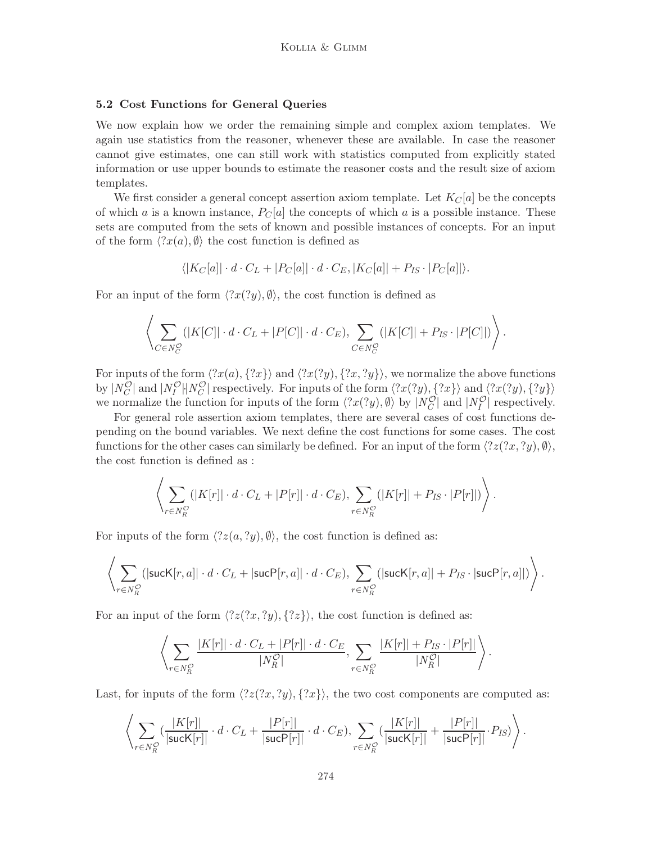### 5.2 Cost Functions for General Queries

We now explain how we order the remaining simple and complex axiom templates. We again use statistics from the reasoner, whenever these are available. In case the reasoner cannot give estimates, one can still work with statistics computed from explicitly stated information or use upper bounds to estimate the reasoner costs and the result size of axiom templates.

We first consider a general concept assertion axiom template. Let  $K_C[a]$  be the concepts of which a is a known instance,  $P_C[a]$  the concepts of which a is a possible instance. These sets are computed from the sets of known and possible instances of concepts. For an input of the form  $\langle 2x(a), \emptyset \rangle$  the cost function is defined as

$$
\langle |K_C[a]| \cdot d \cdot C_L + |P_C[a]| \cdot d \cdot C_E, |K_C[a]| + P_{IS} \cdot |P_C[a]| \rangle.
$$

For an input of the form  $\langle 2x(2y), \emptyset \rangle$ , the cost function is defined as

$$
\left\langle \sum_{C \in N_C^{\mathcal{O}}} (|K[C]| \cdot d \cdot C_L + |P[C]| \cdot d \cdot C_E), \sum_{C \in N_C^{\mathcal{O}}} (|K[C]| + P_{IS} \cdot |P[C]|) \right\rangle.
$$

For inputs of the form  $\langle 2x(a), {2x}\rangle$  and  $\langle 2x(2y), {2x, 2y}\rangle$ , we normalize the above functions by  $|N_C^{\mathcal{O}}|$  and  $|N_I^{\mathcal{O}}|$  |  $N_C^{\mathcal{O}}|$  respectively. For inputs of the form  $\langle ?x(?y), ?x \rangle$  and  $\langle ?x(?y), ?y \rangle$ we normalize the function for inputs of the form  $\langle 2x(2y), \emptyset \rangle$  by  $|N_C^{\mathcal{O}}|$  and  $|N_I^{\mathcal{O}}|$  respectively.

For general role assertion axiom templates, there are several cases of cost functions depending on the bound variables. We next define the cost functions for some cases. The cost functions for the other cases can similarly be defined. For an input of the form  $\langle 2z(2x, 2y), \emptyset \rangle$ , the cost function is defined as :

$$
\left\langle \sum_{r \in N_R^{\mathcal{O}}} (|K[r]| \cdot d \cdot C_L + |P[r]| \cdot d \cdot C_E), \sum_{r \in N_R^{\mathcal{O}}} (|K[r]| + P_{IS} \cdot |P[r]|) \right\rangle.
$$

For inputs of the form  $\langle 2z(a, ?y), \emptyset \rangle$ , the cost function is defined as:

$$
\left\langle \sum_{r \in N_R^{\mathcal{O}}} (|\mathsf{succ}[r,a]| \cdot d \cdot C_L + |\mathsf{succ}[r,a]| \cdot d \cdot C_E), \sum_{r \in N_R^{\mathcal{O}}} (|\mathsf{succ}[r,a]| + P_{IS} \cdot |\mathsf{succ}[r,a]|) \right\rangle.
$$

For an input of the form  $\langle 2z(2x, 2y), \{2z\}\rangle$ , the cost function is defined as:

$$
\left\langle \sum_{r \in N_R^{\mathcal{O}}} \frac{|K[r]| \cdot d \cdot C_L + |P[r]| \cdot d \cdot C_E}{|N_R^{\mathcal{O}}|}, \sum_{r \in N_R^{\mathcal{O}}} \frac{|K[r]| + P_{IS} \cdot |P[r]|}{|N_R^{\mathcal{O}}|} \right\rangle.
$$

Last, for inputs of the form  $\langle 2z(2x, 2y), \{2x\}\rangle$ , the two cost components are computed as:

$$
\left\langle \sum_{r \in N_R^{\mathcal{O}}} \left( \frac{|K[r]|}{|\mathsf{succ}[r]|} \cdot d \cdot C_L + \frac{|P[r]|}{|\mathsf{succ}[r]|} \cdot d \cdot C_E \right), \sum_{r \in N_R^{\mathcal{O}}} \left( \frac{|K[r]|}{|\mathsf{succ}[r]|} + \frac{|P[r]|}{|\mathsf{succ}[r]|} \cdot P_{IS} \right) \right\rangle.
$$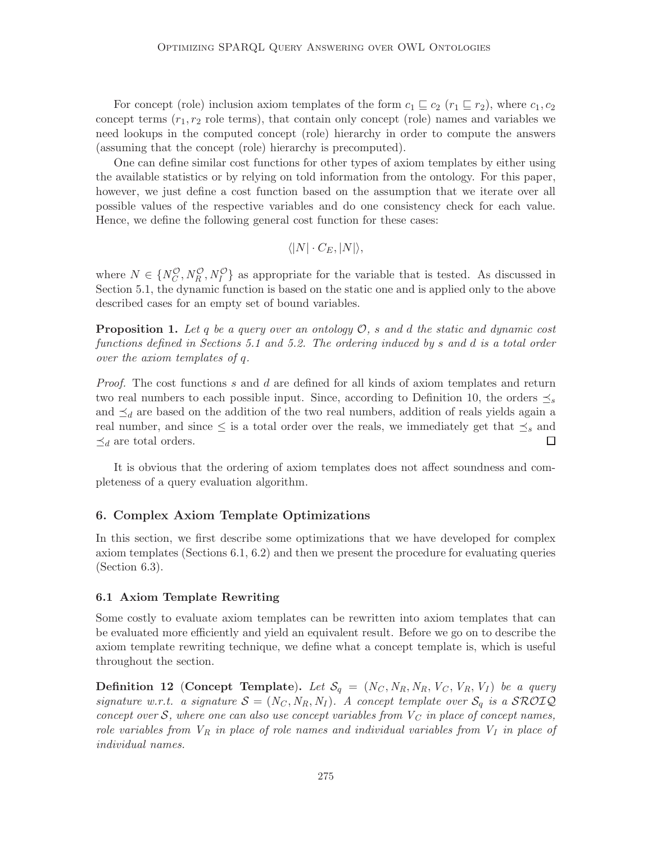For concept (role) inclusion axiom templates of the form  $c_1 \subseteq c_2$  ( $r_1 \subseteq r_2$ ), where  $c_1, c_2$ concept terms  $(r_1, r_2)$  role terms), that contain only concept (role) names and variables we need lookups in the computed concept (role) hierarchy in order to compute the answers (assuming that the concept (role) hierarchy is precomputed).

One can define similar cost functions for other types of axiom templates by either using the available statistics or by relying on told information from the ontology. For this paper, however, we just define a cost function based on the assumption that we iterate over all possible values of the respective variables and do one consistency check for each value. Hence, we define the following general cost function for these cases:

$$
\langle |N| \cdot C_E, |N| \rangle,
$$

where  $N \in \{N_C^{\mathcal{O}}, N_R^{\mathcal{O}}, N_I^{\mathcal{O}}\}$  as appropriate for the variable that is tested. As discussed in Section 5.1, the dynamic function is based on the static one and is applied only to the above described cases for an empty set of bound variables.

**Proposition 1.** Let q be a query over an ontology  $\mathcal{O}$ , s and d the static and dynamic cost functions defined in Sections 5.1 and 5.2. The ordering induced by s and d is a total order over the axiom templates of q.

Proof. The cost functions s and d are defined for all kinds of axiom templates and return two real numbers to each possible input. Since, according to Definition 10, the orders  $\preceq_s$ and  $\preceq_d$  are based on the addition of the two real numbers, addition of reals yields again a real number, and since  $\leq$  is a total order over the reals, we immediately get that  $\preceq_s$  and  $\preceq_d$  are total orders. П

It is obvious that the ordering of axiom templates does not affect soundness and completeness of a query evaluation algorithm.

#### 6. Complex Axiom Template Optimizations

In this section, we first describe some optimizations that we have developed for complex axiom templates (Sections 6.1, 6.2) and then we present the procedure for evaluating queries (Section 6.3).

#### 6.1 Axiom Template Rewriting

Some costly to evaluate axiom templates can be rewritten into axiom templates that can be evaluated more efficiently and yield an equivalent result. Before we go on to describe the axiom template rewriting technique, we define what a concept template is, which is useful throughout the section.

**Definition 12 (Concept Template).** Let  $\mathcal{S}_q = (N_C, N_R, N_R, V_C, V_R, V_I)$  be a query signature w.r.t. a signature  $S = (N_C, N_R, N_I)$ . A concept template over  $S_q$  is a SROIQ concept over  $S$ , where one can also use concept variables from  $V_C$  in place of concept names, role variables from  $V_R$  in place of role names and individual variables from  $V_I$  in place of individual names.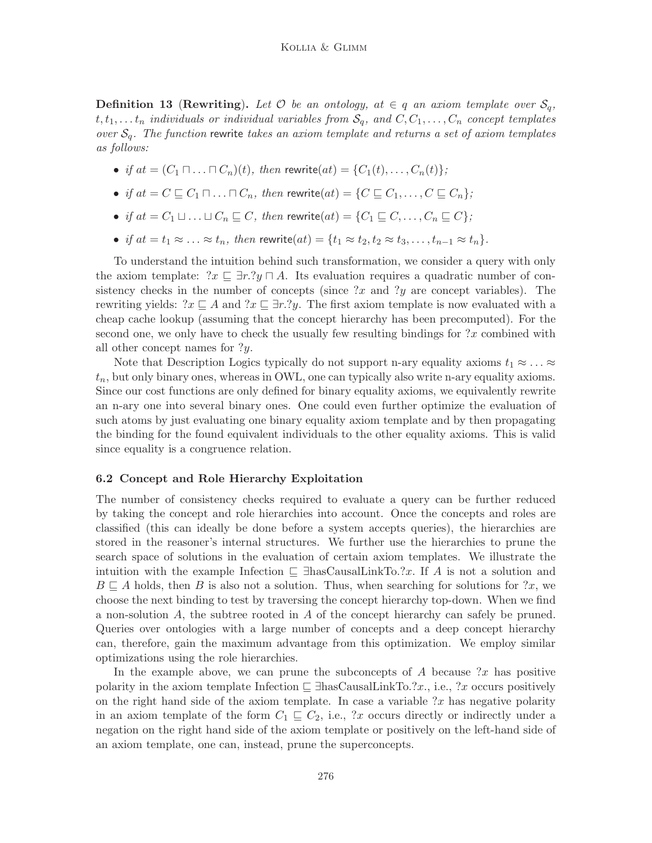**Definition 13 (Rewriting).** Let  $\mathcal{O}$  be an ontology, at  $\in q$  an axiom template over  $\mathcal{S}_q$ ,  $t, t_1, \ldots t_n$  individuals or individual variables from  $S_q$ , and  $C, C_1, \ldots, C_n$  concept templates over  $S_q$ . The function rewrite takes an axiom template and returns a set of axiom templates as follows:

- if  $at = (C_1 \sqcap ... \sqcap C_n)(t)$ , then rewrite $(at) = \{C_1(t), ..., C_n(t)\};$
- if  $at = C \sqsubseteq C_1 \sqcap \ldots \sqcap C_n$ , then rewrite $(at) = \{C \sqsubseteq C_1, \ldots, C \sqsubseteq C_n\}$ ;
- if  $at = C_1 \sqcup ... \sqcup C_n \sqsubseteq C$ , then rewrite $(at) = \{C_1 \sqsubseteq C, ..., C_n \sqsubseteq C\}$ ;
- if  $at = t_1 \approx \ldots \approx t_n$ , then rewrite $(at) = \{t_1 \approx t_2, t_2 \approx t_3, \ldots, t_{n-1} \approx t_n\}.$

To understand the intuition behind such transformation, we consider a query with only the axiom template:  $x \subseteq \exists r.$   $y \sqcap A$ . Its evaluation requires a quadratic number of consistency checks in the number of concepts (since  $2x$  and  $2y$  are concept variables). The rewriting yields:  $x \subseteq A$  and  $x \subseteq \exists r.$ ?y. The first axiom template is now evaluated with a cheap cache lookup (assuming that the concept hierarchy has been precomputed). For the second one, we only have to check the usually few resulting bindings for  $\alpha$  combined with all other concept names for ?y.

Note that Description Logics typically do not support n-ary equality axioms  $t_1 \approx \ldots \approx$  $t_n$ , but only binary ones, whereas in OWL, one can typically also write n-ary equality axioms. Since our cost functions are only defined for binary equality axioms, we equivalently rewrite an n-ary one into several binary ones. One could even further optimize the evaluation of such atoms by just evaluating one binary equality axiom template and by then propagating the binding for the found equivalent individuals to the other equality axioms. This is valid since equality is a congruence relation.

#### 6.2 Concept and Role Hierarchy Exploitation

The number of consistency checks required to evaluate a query can be further reduced by taking the concept and role hierarchies into account. Once the concepts and roles are classified (this can ideally be done before a system accepts queries), the hierarchies are stored in the reasoner's internal structures. We further use the hierarchies to prune the search space of solutions in the evaluation of certain axiom templates. We illustrate the intuition with the example Infection  $\Box$  ∃hasCausalLinkTo.?x. If A is not a solution and  $B \subseteq A$  holds, then B is also not a solution. Thus, when searching for solutions for ?x, we choose the next binding to test by traversing the concept hierarchy top-down. When we find a non-solution A, the subtree rooted in A of the concept hierarchy can safely be pruned. Queries over ontologies with a large number of concepts and a deep concept hierarchy can, therefore, gain the maximum advantage from this optimization. We employ similar optimizations using the role hierarchies.

In the example above, we can prune the subconcepts of  $A$  because ?x has positive polarity in the axiom template Infection  $\subseteq \exists$ hasCausalLinkTo.?x., i.e., ?x occurs positively on the right hand side of the axiom template. In case a variable  $x$  has negative polarity in an axiom template of the form  $C_1 \subseteq C_2$ , i.e., ?x occurs directly or indirectly under a negation on the right hand side of the axiom template or positively on the left-hand side of an axiom template, one can, instead, prune the superconcepts.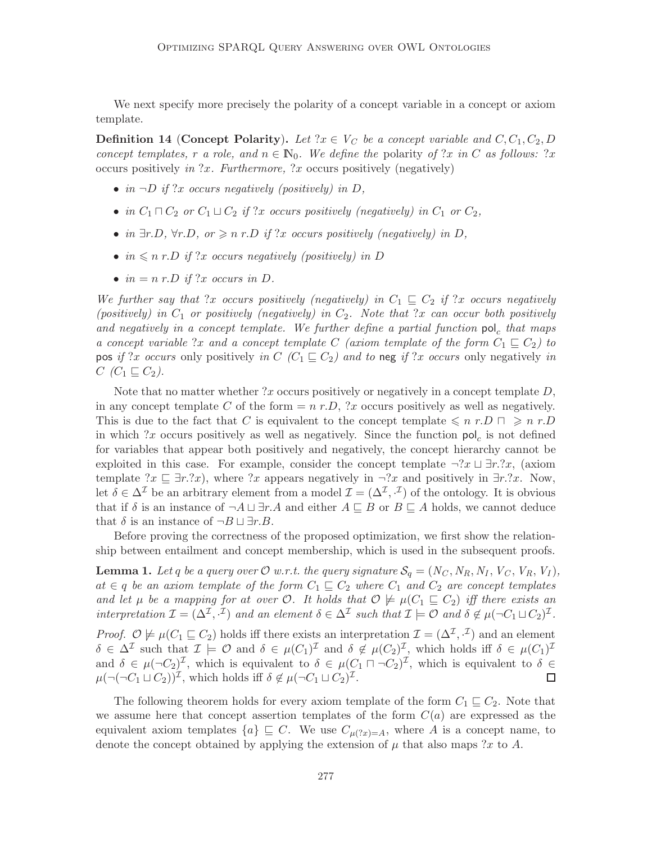We next specify more precisely the polarity of a concept variable in a concept or axiom template.

**Definition 14 (Concept Polarity).** Let  $x \in V_C$  be a concept variable and  $C, C_1, C_2, D$ concept templates, r a role, and  $n \in \mathbb{N}_0$ . We define the polarity of ?x in C as follows: ?x occurs positively in  $x$ . Furthermore,  $x$  occurs positively (negatively)

- in  $\neg D$  if ?x occurs negatively (positively) in D,
- in  $C_1 \sqcap C_2$  or  $C_1 \sqcup C_2$  if ?x occurs positively (negatively) in  $C_1$  or  $C_2$ ,
- in  $\exists r.D, \forall r.D, \text{ or } \geqslant n \text{ r.D if } !x \text{ occurs positively (negatively) in } D,$
- in  $\leqslant n$  r.D if ?x occurs negatively (positively) in D
- $in = n r.D$  if ?x occurs in D.

We further say that ?x occurs positively (negatively) in  $C_1 \subseteq C_2$  if ?x occurs negatively (positively) in  $C_1$  or positively (negatively) in  $C_2$ . Note that ?x can occur both positively and negatively in a concept template. We further define a partial function  $pol_c$  that maps a concept variable ?x and a concept template C (axiom template of the form  $C_1 \subseteq C_2$ ) to pos if ?x occurs only positively in C (C<sub>1</sub>  $\subseteq$  C<sub>2</sub>) and to neg if ?x occurs only negatively in  $C$  ( $C_1 \sqsubseteq C_2$ ).

Note that no matter whether ?x occurs positively or negatively in a concept template  $D$ , in any concept template C of the form  $=n r.D$ , ?x occurs positively as well as negatively. This is due to the fact that C is equivalent to the concept template  $\leq n r.D \rceil \geq n r.D$ in which ?x occurs positively as well as negatively. Since the function  $pol<sub>c</sub>$  is not defined for variables that appear both positively and negatively, the concept hierarchy cannot be exploited in this case. For example, consider the concept template  $\neg$ ?x  $\Box$  ∃r.?x, (axiom template  $?x \sqsubseteq \exists r.$ ?x), where ?x appears negatively in  $\neg ?x$  and positively in  $\exists r.$ ?x. Now, let  $\delta \in \Delta^{\mathcal{I}}$  be an arbitrary element from a model  $\mathcal{I} = (\Delta^{\mathcal{I}}, \cdot^{\mathcal{I}})$  of the ontology. It is obvious that if  $\delta$  is an instance of  $\neg A \sqcup \exists r.A$  and either  $A \sqsubseteq B$  or  $B \sqsubseteq A$  holds, we cannot deduce that  $\delta$  is an instance of  $\neg B \sqcup \exists r.B.$ 

Before proving the correctness of the proposed optimization, we first show the relationship between entailment and concept membership, which is used in the subsequent proofs.

**Lemma 1.** Let q be a query over  $\mathcal{O}$  w.r.t. the query signature  $\mathcal{S}_q = (N_C, N_R, N_I, V_C, V_R, V_I)$ ,  $at \in q$  be an axiom template of the form  $C_1 \sqsubseteq C_2$  where  $C_1$  and  $C_2$  are concept templates and let  $\mu$  be a mapping for at over  $\mathcal{O}$ . It holds that  $\mathcal{O} \not\models \mu(C_1 \sqsubseteq C_2)$  iff there exists an interpretation  $\mathcal{I} = (\Delta^{\mathcal{I}}, \cdot^{\mathcal{I}})$  and an element  $\delta \in \Delta^{\mathcal{I}}$  such that  $\mathcal{I} \models \mathcal{O}$  and  $\delta \notin \mu(\neg C_1 \sqcup C_2)^{\mathcal{I}}$ .

*Proof.*  $\mathcal{O} \not\models \mu(C_1 \sqsubseteq C_2)$  holds iff there exists an interpretation  $\mathcal{I} = (\Delta^{\mathcal{I}}, \cdot^{\mathcal{I}})$  and an element  $\delta \in \Delta^{\mathcal{I}}$  such that  $\mathcal{I} \models \mathcal{O}$  and  $\delta \in \mu(C_1)^{\mathcal{I}}$  and  $\delta \notin \mu(C_2)^{\mathcal{I}}$ , which holds iff  $\delta \in \mu(C_1)^{\mathcal{I}}$ and  $\delta \in \mu(\neg C_2)^{\mathcal{I}}$ , which is equivalent to  $\delta \in \mu(C_1 \sqcap \neg C_2)^{\mathcal{I}}$ , which is equivalent to  $\delta \in$  $\mu(\neg(C_1 \sqcup C_2))^{\mathcal{I}}$ , which holds iff  $\delta \notin \mu(\neg C_1 \sqcup C_2)^{\mathcal{I}}$ .  $\Box$ 

The following theorem holds for every axiom template of the form  $C_1 \subseteq C_2$ . Note that we assume here that concept assertion templates of the form  $C(a)$  are expressed as the equivalent axiom templates  $\{a\} \subseteq C$ . We use  $C_{\mu(2x)=A}$ , where A is a concept name, to denote the concept obtained by applying the extension of  $\mu$  that also maps ?x to A.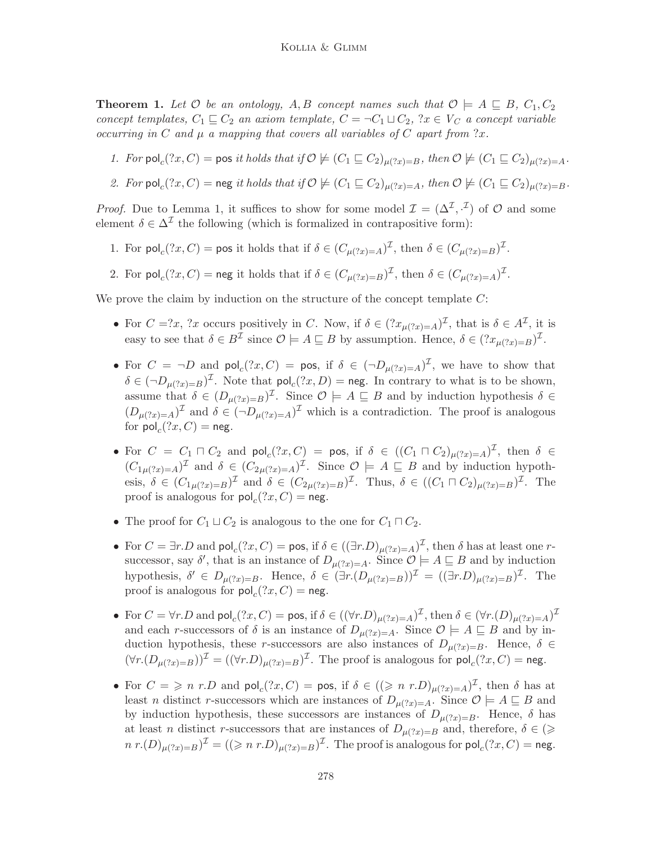**Theorem 1.** Let  $\mathcal{O}$  be an ontology, A, B concept names such that  $\mathcal{O} \models A \sqsubseteq B$ ,  $C_1, C_2$ concept templates,  $C_1 \sqsubseteq C_2$  an axiom template,  $C = \neg C_1 \sqcup C_2$ ,  $x \in V_C$  a concept variable occurring in C and  $\mu$  a mapping that covers all variables of C apart from ?x.

- 1. For pol<sub>c</sub> $(?x, C)$  = pos it holds that if  $\mathcal{O} \not\models (C_1 \sqsubseteq C_2)_{\mu(?x)=B}$ , then  $\mathcal{O} \not\models (C_1 \sqsubseteq C_2)_{\mu(?x)=A}$ .
- 2. For  $\textsf{pol}_c(?x,C) = \textsf{neg}$  it holds that if  $\mathcal{O} \not\models (C_1 \sqsubseteq C_2)_{\mu(?x)=A}$ , then  $\mathcal{O} \not\models (C_1 \sqsubseteq C_2)_{\mu(?x)=B}$ .

*Proof.* Due to Lemma 1, it suffices to show for some model  $\mathcal{I} = (\Delta^{\mathcal{I}}, \cdot^{\mathcal{I}})$  of  $\mathcal{O}$  and some element  $\delta \in \Delta^{\mathcal{I}}$  the following (which is formalized in contrapositive form):

- 1. For  $\textsf{pol}_c(?x,C) = \textsf{pos}$  it holds that if  $\delta \in (C_{\mu(?x)=A})^{\mathcal{I}}$ , then  $\delta \in (C_{\mu(?x)=B})^{\mathcal{I}}$ .
- 2. For  $\mathsf{pol}_c(?x,C) = \mathsf{neg}$  it holds that if  $\delta \in (C_{\mu(?x)=B})^{\mathcal{I}}$ , then  $\delta \in (C_{\mu(?x)=A})^{\mathcal{I}}$ .

We prove the claim by induction on the structure of the concept template  $C$ :

- For  $C = ?x$ ,  $?x$  occurs positively in C. Now, if  $\delta \in (?x_{\mu(?x)=A})^{\mathcal{I}}$ , that is  $\delta \in A^{\mathcal{I}}$ , it is easy to see that  $\delta \in B^{\mathcal{I}}$  since  $\mathcal{O} \models A \sqsubseteq B$  by assumption. Hence,  $\delta \in (?x_{\mu(?x)=B})^{\mathcal{I}}$ .
- For  $C = \neg D$  and  $\text{pol}_c(?x, C) = \text{pos}$ , if  $\delta \in (\neg D_{\mu(?x)=A})^{\mathcal{I}}$ , we have to show that  $\delta \in (\neg D_{\mu(?x)=B})^{\mathcal{I}}$ . Note that  $\mathsf{pol}_c(?x,D) = \mathsf{neg}$ . In contrary to what is to be shown, assume that  $\delta \in (D_{\mu(?x)=B})^{\mathcal{I}}$ . Since  $\mathcal{O} \models A \sqsubseteq B$  and by induction hypothesis  $\delta \in$  $(D_{\mu(?x)=A})^{\mathcal{I}}$  and  $\delta \in (\neg D_{\mu(?x)=A})^{\mathcal{I}}$  which is a contradiction. The proof is analogous for  $\mathsf{pol}_c(?x,C) = \mathsf{neg}.$
- For  $C = C_1 \sqcap C_2$  and  $\text{pol}_c(?x, C) = \text{pos}$ , if  $\delta \in ((C_1 \sqcap C_2)_{\mu(?x)=A})^{\mathcal{I}}$ , then  $\delta \in$  $(C_{1\mu(?x)=A})^{\mathcal{I}}$  and  $\delta \in (C_{2\mu(?x)=A})^{\mathcal{I}}$ . Since  $\mathcal{O} \models A \sqsubseteq B$  and by induction hypothesis,  $\delta \in (C_{1\mu(?x)=B})^{\mathcal{I}}$  and  $\delta \in (C_{2\mu(?x)=B})^{\mathcal{I}}$ . Thus,  $\delta \in ((C_1 \sqcap C_2)_{\mu(?x)=B})^{\mathcal{I}}$ . The proof is analogous for  $\mathsf{pol}_c(?x,C) = \mathsf{neg}.$
- The proof for  $C_1 \sqcup C_2$  is analogous to the one for  $C_1 \sqcap C_2$ .
- For  $C = \exists r.D$  and  $\text{pol}_c(?x, C) = \text{pos}$ , if  $\delta \in ((\exists r.D)_{\mu(?x)=A})^{\mathcal{I}}$ , then  $\delta$  has at least one rsuccessor, say  $\delta'$ , that is an instance of  $D_{\mu(?x)=A}$ . Since  $\mathcal{O}\models A\sqsubseteq B$  and by induction hypothesis,  $\delta' \in D_{\mu(?x)=B}$ . Hence,  $\delta \in (\exists r.(D_{\mu(?x)=B}))^{\mathcal{I}} = ((\exists r.D)_{\mu(?x)=B})^{\mathcal{I}}$ . The proof is analogous for  $\mathsf{pol}_c(?x,C) = \mathsf{neg}.$
- For  $C = \forall r.D$  and  $\mathsf{pol}_c(?x,C) = \mathsf{pos}$ , if  $\delta \in ((\forall r.D)_{\mu(?x)=A})^\mathcal{I}$ , then  $\delta \in (\forall r.(D)_{\mu(?x)=A})^\mathcal{I}$ and each r-successors of  $\delta$  is an instance of  $D_{\mu(?x)=A}$ . Since  $\mathcal{O}\models A\sqsubseteq B$  and by induction hypothesis, these r-successors are also instances of  $D_{\mu(?x)=B}$ . Hence,  $\delta \in$  $(\forall r.(D_{\mu(?x)=B}))^{\mathcal{I}} = ((\forall r.D)_{\mu(?x)=B})^{\mathcal{I}}$ . The proof is analogous for  $\mathsf{pol}_c(?x,C) = \mathsf{neg}.$
- For  $C = \geqslant n \ r.D$  and  $\text{pol}_c(?x, C) = \text{pos}$ , if  $\delta \in ((\geqslant n \ r.D)_{\mu(?x)=A})^{\mathcal{I}}$ , then  $\delta$  has at least n distinct r-successors which are instances of  $D_{\mu(?x)=A}$ . Since  $\mathcal{O}\models A\sqsubseteq B$  and by induction hypothesis, these successors are instances of  $D_{\mu(?x)=B}$ . Hence,  $\delta$  has at least *n* distinct *r*-successors that are instances of  $D_{\mu(?x)=B}$  and, therefore,  $\delta \in (\geq$  $n r.(D)_{\mu(?x)=B})^{\mathcal{I}} = ((\geqslant n r.D)_{\mu(?x)=B})^{\mathcal{I}}$ . The proof is analogous for  $\mathsf{pol}_c(?x,C) = \mathsf{neg}.$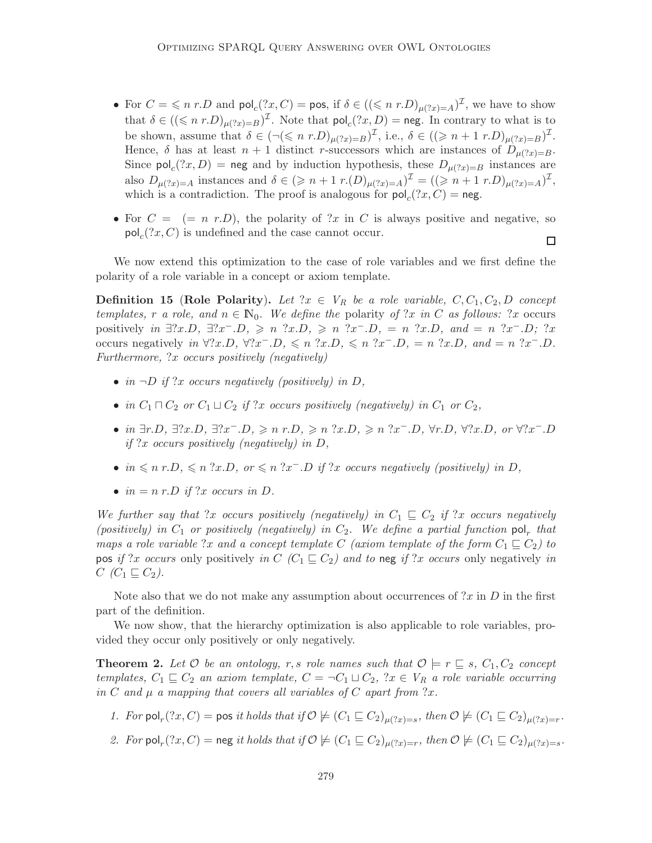- For  $C = \leq n \ r.D$  and  $\text{pol}_c(?x, C) = \text{pos}$ , if  $\delta \in ((\leq n \ r.D)_{\mu(?x)=A})^{\mathcal{I}}$ , we have to show that  $\delta \in ((\leq n \ r.D)_{\mu(?x)=B})^{\mathcal{I}}$ . Note that  $\mathsf{pol}_c(?x,D) = \mathsf{neg}$ . In contrary to what is to be shown, assume that  $\delta \in (\neg(\leqslant n \ r.D)_{\mu(?x)=B})^{\mathcal{I}}$ , i.e.,  $\delta \in ((\geqslant n+1 \ r.D)_{\mu(?x)=B})^{\mathcal{I}}$ . Hence,  $\delta$  has at least  $n + 1$  distinct r-successors which are instances of  $D_{\mu(?x)=B}$ . Since  $\text{pol}_c(?x, D) = \text{neg}$  and by induction hypothesis, these  $D_{\mu(?x)=B}$  instances are also  $D_{\mu(?x)=A}$  instances and  $\delta \in (\geq n+1 \ r.(D)_{\mu(?x)=A})^{\mathcal{I}} = ((\geq n+1 \ r.D)_{\mu(?x)=A})^{\mathcal{I}},$ which is a contradiction. The proof is analogous for  $\mathsf{pol}_c(?x,C) = \mathsf{neg}.$
- For  $C = (= n r.D)$ , the polarity of ?x in C is always positive and negative, so  $\mathsf{pol}_c(?x, C)$  is undefined and the case cannot occur.  $\Box$

We now extend this optimization to the case of role variables and we first define the polarity of a role variable in a concept or axiom template.

**Definition 15 (Role Polarity).** Let  $x \in V_R$  be a role variable,  $C, C_1, C_2, D$  concept templates, r a role, and  $n \in \mathbb{N}_0$ . We define the polarity of ?x in C as follows: ?x occurs positively in  $\exists$ ?x.D,  $\exists$ ?x<sup>-</sup>.D,  $\geq n$  ?x.D,  $\geq n$  ?x<sup>-</sup>.D,  $= n$  ?x.D, and  $= n$  ?x<sup>-</sup>.D; ?x occurs negatively in  $\forall ?x.D, \forall ?x^- .D, \leq n \ ?x.D, \leq n \ ?x^- .D, = n \ ?x.D, \ and = n \ ?x^- .D.$ Furthermore, ?x occurs positively (negatively)

- in  $\neg D$  if ?x occurs negatively (positively) in D,
- in  $C_1 \sqcap C_2$  or  $C_1 \sqcup C_2$  if ?x occurs positively (negatively) in  $C_1$  or  $C_2$ ,
- in  $\exists r.D, \exists?x.D, \exists?x^- .D, \geqslant n \ r.D, \geqslant n \ ?x.D, \geqslant n \ ?x^- .D, \forall r.D, \forall?x.D, \text{ or } \forall?x^- .D$ if ?x occurs positively (negatively) in  $D$ ,
- in  $\leqslant n$  r.D,  $\leqslant n$  ?x.D, or  $\leqslant n$  ?x-D if ?x occurs negatively (positively) in D,
- $in = n r.D$  if ?x occurs in D.

We further say that ?x occurs positively (negatively) in  $C_1 \subseteq C_2$  if ?x occurs negatively (positively) in  $C_1$  or positively (negatively) in  $C_2$ . We define a partial function  $\mathsf{pol}_r$  that maps a role variable ?x and a concept template C (axiom template of the form  $C_1 \subseteq C_2$ ) to pos if ?x occurs only positively in C (C<sub>1</sub>  $\subseteq$  C<sub>2</sub>) and to neg if ?x occurs only negatively in  $C$  ( $C_1 \sqsubseteq C_2$ ).

Note also that we do not make any assumption about occurrences of  $2x$  in D in the first part of the definition.

We now show, that the hierarchy optimization is also applicable to role variables, provided they occur only positively or only negatively.

**Theorem 2.** Let  $\mathcal O$  be an ontology, r, s role names such that  $\mathcal O \models r \sqsubseteq s$ ,  $C_1, C_2$  concept templates,  $C_1 \subseteq C_2$  an axiom template,  $C = \neg C_1 \sqcup C_2$ ,  $x \in V_R$  a role variable occurring in C and  $\mu$  a mapping that covers all variables of C apart from ?x.

- 1. For  $\text{pol}_r(?x,C) = \text{pos } it$  holds that if  $\mathcal{O} \not\models (C_1 \sqsubseteq C_2)_{\mu(?x)=s}$ , then  $\mathcal{O} \not\models (C_1 \sqsubseteq C_2)_{\mu(?x)=r}$ .
- 2. For  $\mathsf{pol}_r(?x,C) = \mathsf{neg}$  it holds that if  $\mathcal{O} \not\models (C_1 \sqsubseteq C_2)_{\mu(?x)=r}$ , then  $\mathcal{O} \not\models (C_1 \sqsubseteq C_2)_{\mu(?x)=s}$ .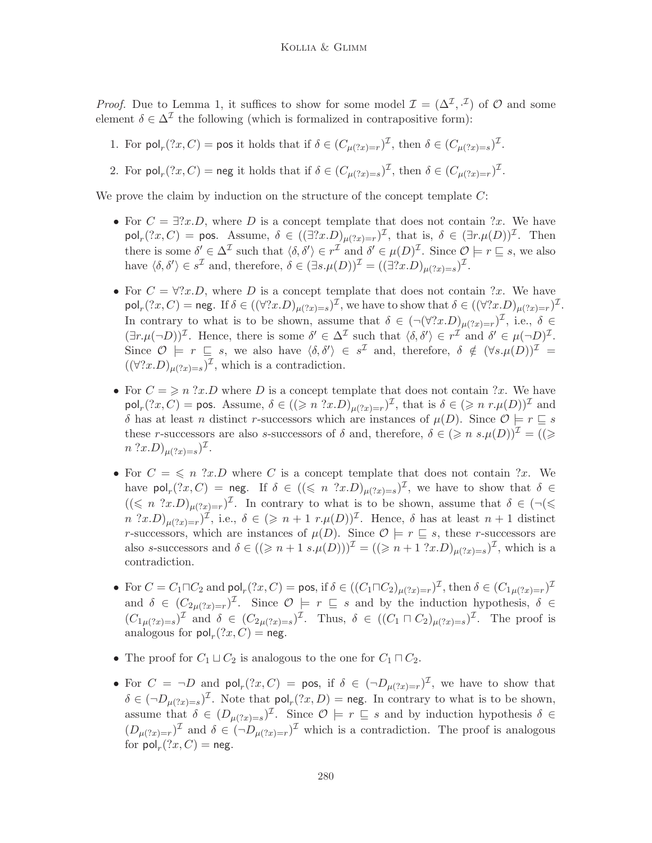*Proof.* Due to Lemma 1, it suffices to show for some model  $\mathcal{I} = (\Delta^{\mathcal{I}}, \cdot^{\mathcal{I}})$  of  $\mathcal{O}$  and some element  $\delta \in \Delta^{\mathcal{I}}$  the following (which is formalized in contrapositive form):

1. For  $\text{pol}_r(?x,C) = \text{pos}$  it holds that if  $\delta \in (C_{\mu(?x)=r})^{\mathcal{I}}$ , then  $\delta \in (C_{\mu(?x)=s})^{\mathcal{I}}$ .

2. For  $\text{pol}_r(?x,C) = \text{neg it holds that if } \delta \in (C_{\mu(?x)=s})^{\mathcal{I}}$ , then  $\delta \in (C_{\mu(?x)=r})^{\mathcal{I}}$ .

We prove the claim by induction on the structure of the concept template  $C$ :

- For  $C = \exists ?x.D$ , where D is a concept template that does not contain  $?x$ . We have  $\mathsf{pol}_r(?x,C) = \mathsf{pos}.$  Assume,  $\delta \in ((\exists?x.D)_{\mu(?x)=r})^{\mathcal{I}},$  that is,  $\delta \in (\exists r.\mu(D))^{\mathcal{I}}.$  Then there is some  $\delta' \in \Delta^{\mathcal{I}}$  such that  $\langle \delta, \delta' \rangle \in r^{\mathcal{I}}$  and  $\delta' \in \mu(D)^{\mathcal{I}}$ . Since  $\mathcal{O} \models r \sqsubseteq s$ , we also have  $\langle \delta, \delta' \rangle \in s^{\mathcal{I}}$  and, therefore,  $\delta \in (\exists s. \mu(D))^{\mathcal{I}} = ((\exists? x.D)_{\mu(?x)=s})^{\mathcal{I}}$ .
- For  $C = \forall ?x.D$ , where D is a concept template that does not contain  $?x$ . We have  $\mathsf{pol}_r(?x,C) = \mathsf{neg}. \text{ If } \delta \in ((\forall ?x.D)_{\mu(?x)=s})^\mathcal{I}, \text{ we have to show that } \delta \in ((\forall ?x.D)_{\mu(?x)=r})^\mathcal{I}.$ In contrary to what is to be shown, assume that  $\delta \in (\neg(\forall?x.D)_{\mu(?x)=r})^{\mathcal{I}}$ , i.e.,  $\delta \in$  $(\exists r.\mu(\neg D))^{\mathcal{I}}$ . Hence, there is some  $\delta' \in \Delta^{\mathcal{I}}$  such that  $\langle \delta, \delta' \rangle \in r^{\mathcal{I}}$  and  $\delta' \in \mu(\neg D)^{\mathcal{I}}$ . Since  $\mathcal{O} \models r \subseteq s$ , we also have  $\langle \delta, \delta' \rangle \in s^{\mathcal{I}}$  and, therefore,  $\delta \notin (\forall s. \mu(D))^{\mathcal{I}} =$  $((\forall?x.D)_{\mu(?x)=s})^{\mathcal{I}},$  which is a contradiction.
- For  $C = \geqslant n$  ?x.D where D is a concept template that does not contain ?x. We have  $\mathsf{pol}_r(?x,C) = \mathsf{pos}.$  Assume,  $\delta \in ((\geqslant n \ ? x.D)_{\mu(?x)=r})^\mathcal{I}$ , that is  $\delta \in (\geqslant n \ r.\mu(D))^\mathcal{I}$  and δ has at least *n* distinct *r*-successors which are instances of  $\mu(D)$ . Since  $\mathcal{O} \models r \sqsubseteq s$ these r-successors are also s-successors of  $\delta$  and, therefore,  $\delta \in (\geq n \ s.\mu(D))^{\mathcal{I}} = ((\geq$  $n$  ?  $x.D)_{\mu$  (?  $x)=s}$ )<sup> $\mathcal{I}$ </sup>.
- For  $C = \leq n$  ?x.D where C is a concept template that does not contain ?x. We have  $\mathsf{pol}_r(?x,C) = \mathsf{neg}.$  If  $\delta \in ((\leqslant n \ ?x.D)_{\mu(?x)=s})^\mathcal{I}$ , we have to show that  $\delta \in$  $((\leqslant n \text{ ?}x.D)_{\mu(?x)=r})^{\mathcal{I}}$ . In contrary to what is to be shown, assume that  $\delta \in (\neg(\leqslant$  $n$   $(x,D)_{\mu(2x)=r}$ , i.e.,  $\delta \in (\geq n+1 \ r.\mu(D))^{\mathcal{I}}$ . Hence,  $\delta$  has at least  $n+1$  distinct r-successors, which are instances of  $\mu(D)$ . Since  $\mathcal{O} \models r \sqsubseteq s$ , these r-successors are also s-successors and  $\delta \in ((\geq n+1 \ s.\mu(D)))^{\mathcal{I}} = ((\geq n+1 \ ?x.D)_{\mu(?x)=s})^{\mathcal{I}}$ , which is a contradiction.
- For  $C = C_1 \sqcap C_2$  and  $\mathsf{pol}_r(?x, C) = \mathsf{pos}$ , if  $\delta \in ((C_1 \sqcap C_2)_{\mu(?x) = r})^\mathcal{I}$ , then  $\delta \in (C_{1\mu(?x) = r})^\mathcal{I}$ and  $\delta \in (C_{2\mu(2x)=r})^{\mathcal{I}}$ . Since  $\mathcal{O} \models r \sqsubseteq s$  and by the induction hypothesis,  $\delta \in$  $(C_{1\mu(?x)=s})^{\mathcal{I}}$  and  $\delta \in (C_{2\mu(?x)=s})^{\mathcal{I}}$ . Thus,  $\delta \in ((C_1 \sqcap C_2)_{\mu(?x)=s})^{\mathcal{I}}$ . The proof is analogous for  $\mathsf{pol}_r(?x,C) = \mathsf{neg}.$
- The proof for  $C_1 \sqcup C_2$  is analogous to the one for  $C_1 \sqcap C_2$ .
- For  $C = \neg D$  and  $\text{pol}_r(?x, C) = \text{pos}$ , if  $\delta \in (\neg D_{\mu(?x)=r})^{\mathcal{I}}$ , we have to show that  $\delta \in (\neg D_{\mu(?x)=s})^{\mathcal{I}}.$  Note that  $\mathsf{pol}_r(?x,D) = \mathsf{neg}.$  In contrary to what is to be shown, assume that  $\delta \in (D_{\mu(?x)=s})^{\mathcal{I}}$ . Since  $\mathcal{O} \models r \sqsubseteq s$  and by induction hypothesis  $\delta \in$  $(D_{\mu(?x)=r})^{\mathcal{I}}$  and  $\delta \in (\neg D_{\mu(?x)=r})^{\mathcal{I}}$  which is a contradiction. The proof is analogous for  $\mathsf{pol}_r(?x,C) = \mathsf{neg}.$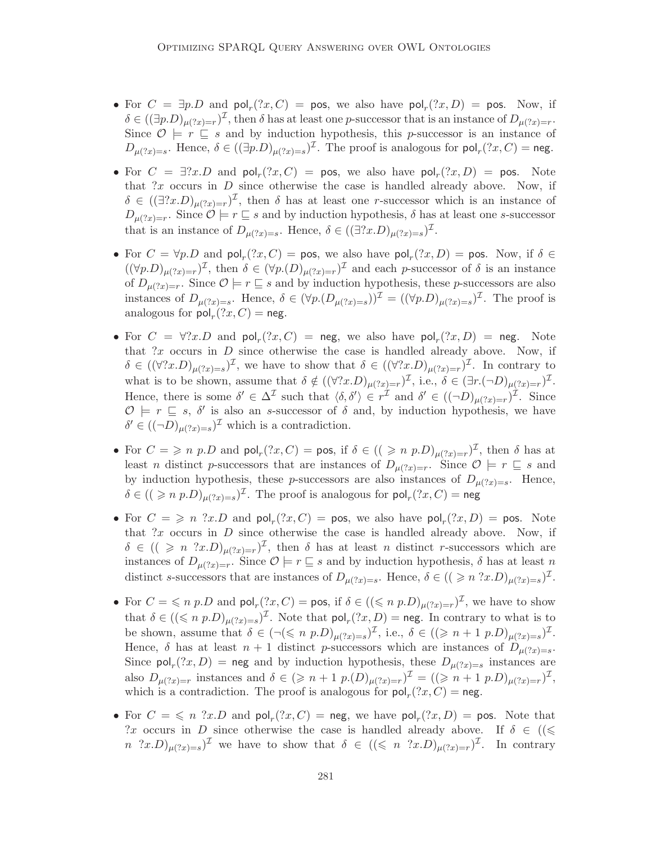- For  $C = \exists p.D$  and  $\text{pol}_r(?x,C) = \text{pos}$ , we also have  $\text{pol}_r(?x,D) = \text{pos}$ . Now, if  $\delta \in ((\exists p.D)_{\mu(?x)=r})^{\mathcal{I}},$  then  $\delta$  has at least one p-successor that is an instance of  $D_{\mu(?x)=r}$ . Since  $\mathcal{O} \models r \sqsubseteq s$  and by induction hypothesis, this p-successor is an instance of  $D_{\mu(?x)=s}$ . Hence,  $\delta \in ((\exists p.D)_{\mu(?x)=s})^{\mathcal{I}}$ . The proof is analogous for  $\mathsf{pol}_r(?x,C) = \mathsf{neg}.$
- For  $C = \exists?x.D$  and  $\text{pol}_r(?x,C) = \text{pos}$ , we also have  $\text{pol}_r(?x,D) = \text{pos}$ . Note that  $?x$  occurs in  $D$  since otherwise the case is handled already above. Now, if  $\delta \in ((\exists?x.D)_{\mu(?x)=r})^{\mathcal{I}}$ , then  $\delta$  has at least one *r*-successor which is an instance of  $D_{\mu(?x)=r}$ . Since  $\mathcal{O}\models r\sqsubseteq s$  and by induction hypothesis,  $\delta$  has at least one s-successor that is an instance of  $D_{\mu(?x)=s}$ . Hence,  $\delta \in ((\exists?x.D)_{\mu(?x)=s})^{\mathcal{I}}$ .
- For  $C = \forall p.D$  and  $\text{pol}_r(?x,C) = \text{pos}$ , we also have  $\text{pol}_r(?x,D) = \text{pos}$ . Now, if  $\delta \in$  $((\forall p.D)_{\mu(?x)=r})^{\mathcal{I}}$ , then  $\delta \in (\forall p.(D)_{\mu(?x)=r})^{\mathcal{I}}$  and each p-successor of  $\delta$  is an instance of  $D_{\mu(?x)=r}$ . Since  $\mathcal{O}\models r\sqsubseteq s$  and by induction hypothesis, these p-successors are also instances of  $D_{\mu(2x)=s}$ . Hence,  $\delta \in (\forall p.(D_{\mu(2x)=s}))^{\mathcal{I}} = ((\forall p.D)_{\mu(2x)=s})^{\mathcal{I}}$ . The proof is analogous for  $\mathsf{pol}_r(?x,C) = \mathsf{neg}.$
- For  $C = \forall ?x.D$  and  $\text{pol}_r(?x,C) = \text{neg}$ , we also have  $\text{pol}_r(?x,D) = \text{neg}$ . Note that ?x occurs in  $D$  since otherwise the case is handled already above. Now, if  $\delta \in ((\forall?x.D)_{\mu(?x)=s})^{\mathcal{I}}$ , we have to show that  $\delta \in ((\forall?x.D)_{\mu(?x)=r})^{\mathcal{I}}$ . In contrary to what is to be shown, assume that  $\delta \notin ((\forall?x.D)_{\mu(?x)=r})^{\mathcal{I}}$ , i.e.,  $\delta \in (\exists r.(\neg D)_{\mu(?x)=r})^{\mathcal{I}}$ . Hence, there is some  $\delta' \in \Delta^{\mathcal{I}}$  such that  $\langle \delta, \delta' \rangle \in r^{\mathcal{I}}$  and  $\delta' \in ((\neg D)_{\mu(?x)=r})^{\mathcal{I}}$ . Since  $\mathcal{O} \models r \sqsubseteq s$ ,  $\delta'$  is also an s-successor of  $\delta$  and, by induction hypothesis, we have  $\delta' \in ((\neg D)_{\mu(?x)=s})^{\mathcal{I}}$  which is a contradiction.
- For  $C = \geqslant n \ p.D$  and  $\text{pol}_r(?x,C) = \text{pos}$ , if  $\delta \in ((\geqslant n \ p.D)_{\mu(?x)=r})^{\mathcal{I}}$ , then  $\delta$  has at least *n* distinct *p*-successors that are instances of  $D_{\mu(?x)=r}$ . Since  $\mathcal{O}\models r\subseteq s$  and by induction hypothesis, these p-successors are also instances of  $D_{\mu(2x)=s}$ . Hence,  $\delta \in ((\geqslant n \ p.D)_{\mu(?x)=s})^{\mathcal{I}}$ . The proof is analogous for  $\mathsf{pol}_r(?x,C) = \mathsf{neg}$
- For  $C = \geqslant n$  ?x.D and  $\text{pol}_r(?x, C) = \text{pos}$ , we also have  $\text{pol}_r(?x, D) = \text{pos}$ . Note that  $?x$  occurs in  $D$  since otherwise the case is handled already above. Now, if  $\delta \in ((\geqslant n \ \text{?}x.D)_{\mu(?x)=r})^{\mathcal{I}}$ , then  $\delta$  has at least n distinct r-successors which are instances of  $D_{\mu(?x)=r}$ . Since  $\mathcal{O}\models r\sqsubseteq s$  and by induction hypothesis,  $\delta$  has at least n distinct s-successors that are instances of  $D_{\mu(?x)=s}$ . Hence,  $\delta \in ((\geqslant n \; ?x.D)_{\mu(?x)=s})^{\mathcal{I}}$ .
- For  $C = \leq n \ p.D$  and  $\text{pol}_r(?x,C) = \text{pos}$ , if  $\delta \in ((\leq n \ p.D)_{\mu(?x)=r})^{\mathcal{I}}$ , we have to show that  $\delta \in ((\leq n \ p.D)_{\mu(?x)=s})^{\mathcal{I}}$ . Note that  $\mathsf{pol}_r(?x,D) = \mathsf{neg}$ . In contrary to what is to be shown, assume that  $\delta \in (\neg(\leqslant n \ p.D)_{\mu(?x)=s})^{\mathcal{I}}$ , i.e.,  $\delta \in ((\geqslant n+1 \ p.D)_{\mu(?x)=s})^{\mathcal{I}}$ . Hence,  $\delta$  has at least  $n+1$  distinct p-successors which are instances of  $D_{\mu(?x)=s}$ . Since  $\text{pol}_r(?x, D) = \text{neg}$  and by induction hypothesis, these  $D_{\mu(?x)=s}$  instances are also  $D_{\mu(?x)=r}$  instances and  $\delta \in (\geq n+1 \ p.(D)_{\mu(?x)=r})^{\mathcal{I}} = ((\geq n+1 \ p.D)_{\mu(?x)=r})^{\mathcal{I}},$ which is a contradiction. The proof is analogous for  $\text{pol}_r(?x,C) = \text{neg}.$
- For  $C = \leqslant n$  ?x.D and  $\text{pol}_r(?x, C) = \text{neg}$ , we have  $\text{pol}_r(?x, D) = \text{pos}$ . Note that ?x occurs in D since otherwise the case is handled already above. If  $\delta \in \mathcal{G}$  $n \quad ?x.D)_{\mu(?x)=s}$  we have to show that  $\delta \in ((\leq n \quad ?x.D)_{\mu(?x)=r})^{\mathcal{I}}$ . In contrary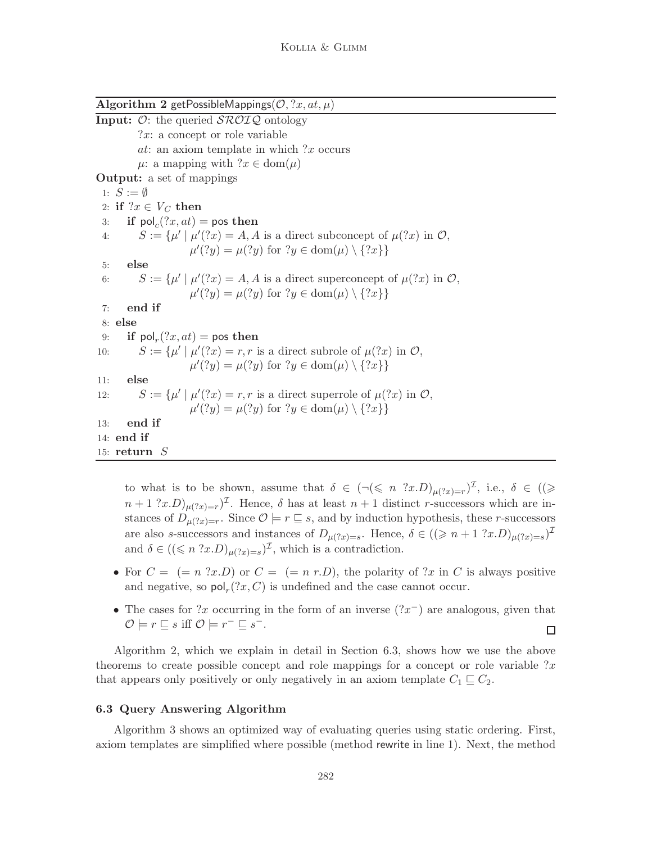Algorithm 2 getPossibleMappings( $\mathcal{O},$  ?x, at,  $\mu$ ) **Input:**  $\mathcal{O}$ : the queried  $\mathcal{SROIO}$  ontology  $?x: a concept or role variable$ at: an axiom template in which  $?x$  occurs  $\mu$ : a mapping with  $?x \in \text{dom}(\mu)$ Output: a set of mappings 1:  $S := \emptyset$ 2: if  $?x \in V_C$  then 3: if  $\text{pol}_c(?x, at) = \text{pos}$  then 4:  $S := {\mu' | \mu'(?x) = A, A \text{ is a direct subconcept of } \mu(?x) \text{ in } \mathcal{O},$  $\mu'(?y) = \mu(?y)$  for  $?y \in \text{dom}(\mu) \setminus \{?x\}$ 5: else 6:  $S := {\mu' | \mu' (?x) = A, A \text{ is a direct superconcept of } \mu (?x) \text{ in } \mathcal{O},$  $\mu'(?y) = \mu(?y)$  for  $?y \in \text{dom}(\mu) \setminus \{?x\}$ 7: end if 8: else 9: if  $\mathsf{pol}_r(?x,at) = \mathsf{pos}$  then 10:  $S := \{ \mu' \mid \mu'(?x) = r, r \text{ is a direct subrole of } \mu(?x) \text{ in } \mathcal{O},$  $\mu'(?y) = \mu(?y)$  for  $?y \in \text{dom}(\mu) \setminus \{?x\}$ 11: else 12:  $S := \{ \mu' \mid \mu'(?x) = r, r \text{ is a direct superrole of } \mu(?x) \text{ in } \mathcal{O},$  $\mu'(?y) = \mu(?y)$  for  $?y \in \text{dom}(\mu) \setminus \{?x\}$ 13: end if 14: end if 15: return S

to what is to be shown, assume that  $\delta \in (\neg(\leq n \ ?x.D)_{\mu(?x)=r})^{\mathcal{I}}$ , i.e.,  $\delta \in ((\geq$  $(n+1 \tcdot 2x) \mu_{(2x)=r}$ . Hence,  $\delta$  has at least  $n+1$  distinct r-successors which are instances of  $D_{\mu(?x)=r}$ . Since  $\mathcal{O}\models r\sqsubseteq s$ , and by induction hypothesis, these r-successors are also s-successors and instances of  $D_{\mu(?x)=s}$ . Hence,  $\delta \in ((\geq n+1 \; ?x.D)_{\mu(?x)=s})^{\mathcal{I}}$ and  $\delta \in ((\leq n \cdot 2 \cdot x \cdot D)_{\mu(2x)=s})^{\mathcal{I}}$ , which is a contradiction.

- For  $C = (n \ 3x)$  or  $C = (n \ r)$ , the polarity of  $3x$  in C is always positive and negative, so  $\text{pol}_r(?x, C)$  is undefined and the case cannot occur.
- The cases for ?x occurring in the form of an inverse  $(2x^{-})$  are analogous, given that  $\mathcal{O} \models r \sqsubseteq s \text{ iff } \mathcal{O} \models r^- \sqsubseteq s^-.$  $\Box$

Algorithm 2, which we explain in detail in Section 6.3, shows how we use the above theorems to create possible concept and role mappings for a concept or role variable  $x$ that appears only positively or only negatively in an axiom template  $C_1 \sqsubseteq C_2$ .

## 6.3 Query Answering Algorithm

Algorithm 3 shows an optimized way of evaluating queries using static ordering. First, axiom templates are simplified where possible (method rewrite in line 1). Next, the method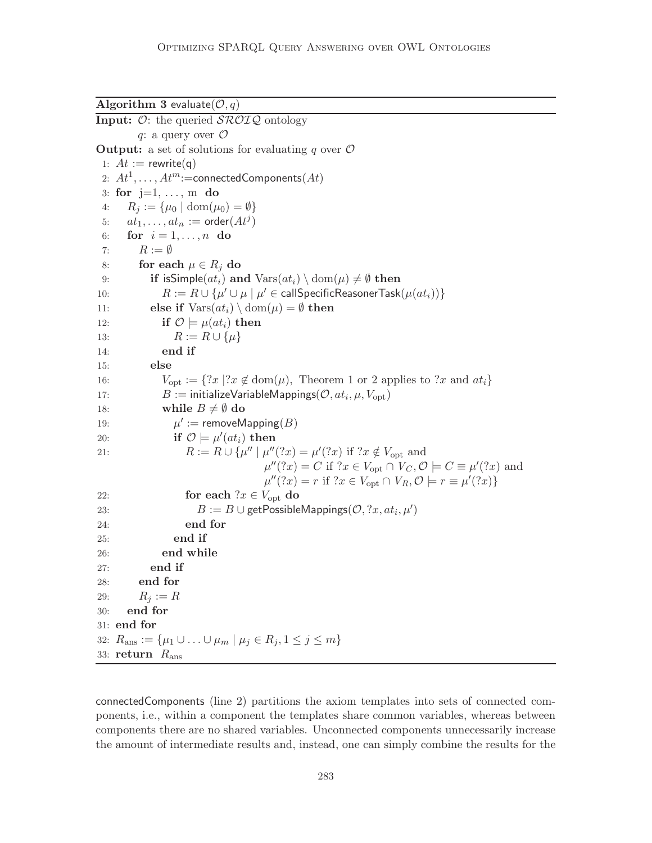Algorithm 3 evaluate( $\mathcal{O}, q$ ) **Input:**  $\mathcal{O}:$  the queried  $\mathcal{SROTQ}$  ontology q: a query over  $\mathcal O$ **Output:** a set of solutions for evaluating q over  $\mathcal{O}$ 1:  $At := \text{rewrite}(q)$ 2:  $At^1, \ldots, At^m$ :=connectedComponents $(At)$ 3: for  $j=1, \ldots, m$  do 4:  $R_i := \{\mu_0 \mid \text{dom}(\mu_0) = \emptyset\}$ 5:  $at_1, \ldots, at_n := \mathsf{order}(At^j)$ 6: for  $i=1,\ldots,n$  do 7:  $R := \emptyset$ 8: for each  $\mu \in R_i$  do 9: if isSimple $(at_i)$  and  $Vars(at_i) \setminus dom(\mu) \neq \emptyset$  then 10:  $R := R \cup \{\mu' \cup \mu \mid \mu' \in \mathsf{callSpecificReasonerTask}(\mu(at_i))\}$ 11: **else if**  $\text{Vars}(at_i) \setminus \text{dom}(\mu) = \emptyset$  then 12: if  $\mathcal{O} \models \mu(at_i)$  then 13:  $R := R \cup \{\mu\}$ 14: end if 15: else 16:  $V_{\text{opt}} := \{?x \mid ?x \notin \text{dom}(\mu), \text{ Theorem 1 or 2 applies to } ?x \text{ and } at_i\}$ 17:  $B := \text{initializeVariableMappings}(\mathcal{O}, at_i, \mu, V_{\text{opt}})$ 18: while  $B \neq \emptyset$  do 19:  $\mathcal{C} := \mathsf{removeMapping}(B)$ 20: **if**  $\mathcal{O} \models \mu'(at_i)$  then 21:  $R := R \cup \{\mu'' \mid \mu''(?x) = \mu'(?x) \text{ if } ?x \notin V_{\text{opt}} \text{ and }$  $\mu''(?x) = C$  if  $?x \in V_{\text{opt}} \cap V_C, \mathcal{O} \models C \equiv \mu'(?x)$  and  $\mu''(?x) = r \text{ if } ?x \in V_{\text{opt}} \cap V_R, \mathcal{O} \models r \equiv \mu'(?x) \}$ 22: for each  $?x \in V_{\text{opt}}$  do 23:  $B := B \cup \text{getPossibleMappings}(\mathcal{O}, ?x, at_i, \mu')$ 24: end for 25: end if 26: end while 27: end if 28: end for 29:  $R_i := R$ 30: end for 31: end for 32:  $R_{\text{ans}} := \{\mu_1 \cup \ldots \cup \mu_m \mid \mu_j \in R_j, 1 \leq j \leq m\}$ 33: return  $R_{\text{ans}}$ 

connectedComponents (line 2) partitions the axiom templates into sets of connected components, i.e., within a component the templates share common variables, whereas between components there are no shared variables. Unconnected components unnecessarily increase the amount of intermediate results and, instead, one can simply combine the results for the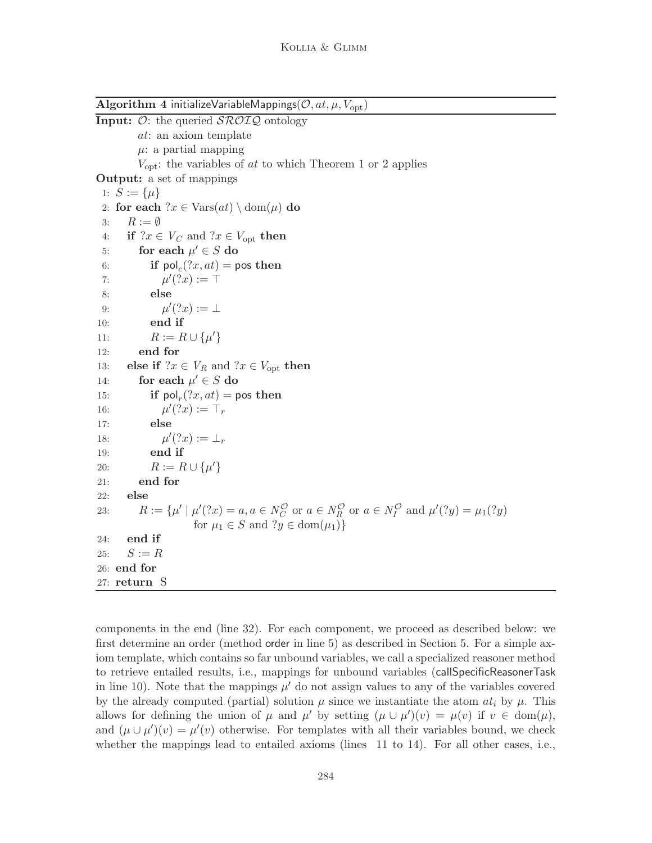Algorithm 4 initializeVariableMappings( $\mathcal{O}, at, \mu, V_{\text{opt}}$ )

**Input:**  $\mathcal{O}$ : the queried  $\mathcal{SROIQ}$  ontology at: an axiom template  $\mu$ : a partial mapping  $V_{\text{opt}}$ : the variables of *at* to which Theorem 1 or 2 applies Output: a set of mappings 1:  $S := {\mu}$ 2: for each  $x \in \text{Vars}(at) \setminus \text{dom}(\mu)$  do 3:  $R := \emptyset$ 4: if  $?x \in V_C$  and  $?x \in V_{\text{opt}}$  then 5: for each  $\mu' \in S$  do 6: if  $\mathsf{pol}_c(?x,at) = \mathsf{pos}$  then 7:  $\mu'(?x) := \top$ 8: else 9:  $\mu'(?x) := \bot$ 10: end if 11:  $R := R \cup \{\mu'\}$ 12: end for 13: else if  $?x \in V_R$  and  $?x \in V_{\text{opt}}$  then 14: for each  $\mu' \in S$  do 15: if  $\text{pol}_r(?x, at) = \text{pos}$  then 16: µ  $\prime$ (?x) :=  $\top_r$ 17: else 18: µ  $\prime$ (?x) :=  $\perp_r$ 19: end if 20:  $R := R \cup \{\mu'\}$ 21: end for 22: else 23:  $R := \{ \mu' \mid \mu'(?x) = a, a \in N_C^{\mathcal{O}} \text{ or } a \in N_R^{\mathcal{O}} \text{ or } a \in N_I^{\mathcal{O}} \text{ and } \mu'(?y) = \mu_1(?y)$ for  $\mu_1 \in S$  and  $?y \in \text{dom}(\mu_1)$ 24: end if 25:  $S := R$ 26: end for 27: return S

components in the end (line 32). For each component, we proceed as described below: we first determine an order (method order in line 5) as described in Section 5. For a simple axiom template, which contains so far unbound variables, we call a specialized reasoner method to retrieve entailed results, i.e., mappings for unbound variables (callSpecificReasonerTask in line 10). Note that the mappings  $\mu'$  do not assign values to any of the variables covered by the already computed (partial) solution  $\mu$  since we instantiate the atom  $at_i$  by  $\mu$ . This allows for defining the union of  $\mu$  and  $\mu'$  by setting  $(\mu \cup \mu')(v) = \mu(v)$  if  $v \in \text{dom}(\mu)$ , and  $(\mu \cup \mu')(v) = \mu'(v)$  otherwise. For templates with all their variables bound, we check whether the mappings lead to entailed axioms (lines 11 to 14). For all other cases, i.e.,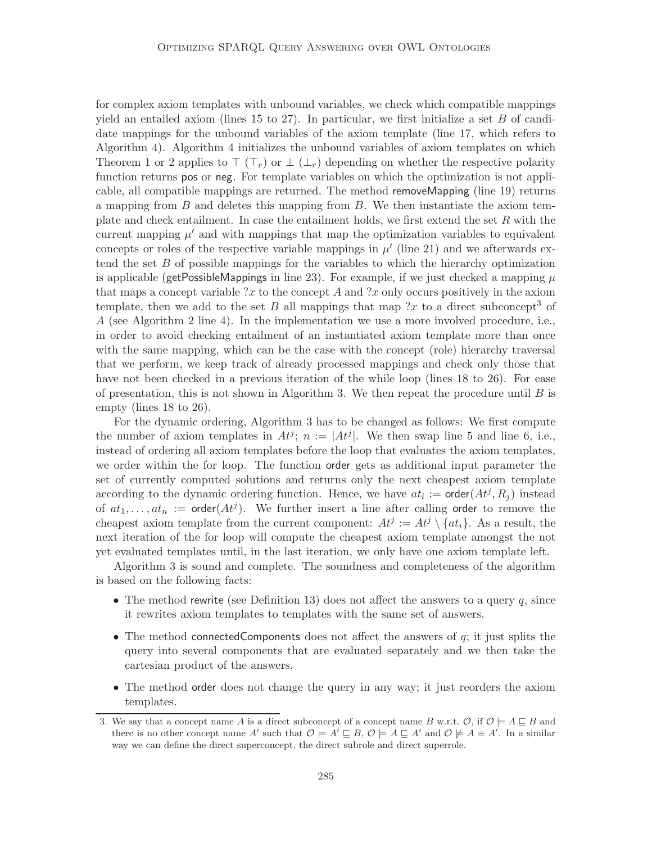for complex axiom templates with unbound variables, we check which compatible mappings yield an entailed axiom (lines 15 to 27). In particular, we first initialize a set  $B$  of candidate mappings for the unbound variables of the axiom template (line 17, which refers to Algorithm 4). Algorithm 4 initializes the unbound variables of axiom templates on which Theorem 1 or 2 applies to  $\top (\top_r)$  or  $\bot (\bot_r)$  depending on whether the respective polarity function returns pos or neg. For template variables on which the optimization is not applicable, all compatible mappings are returned. The method removeMapping (line 19) returns a mapping from  $B$  and deletes this mapping from  $B$ . We then instantiate the axiom template and check entailment. In case the entailment holds, we first extend the set  $R$  with the current mapping  $\mu'$  and with mappings that map the optimization variables to equivalent concepts or roles of the respective variable mappings in  $\mu'$  (line 21) and we afterwards extend the set  $B$  of possible mappings for the variables to which the hierarchy optimization is applicable (getPossibleMappings in line 23). For example, if we just checked a mapping  $\mu$ that maps a concept variable  $?x$  to the concept A and  $?x$  only occurs positively in the axiom template, then we add to the set B all mappings that map  $?x$  to a direct subconcept<sup>3</sup> of A (see Algorithm 2 line 4). In the implementation we use a more involved procedure, i.e., in order to avoid checking entailment of an instantiated axiom template more than once with the same mapping, which can be the case with the concept (role) hierarchy traversal that we perform, we keep track of already processed mappings and check only those that have not been checked in a previous iteration of the while loop (lines 18 to 26). For ease of presentation, this is not shown in Algorithm 3. We then repeat the procedure until  $B$  is empty (lines 18 to 26).

For the dynamic ordering, Algorithm 3 has to be changed as follows: We first compute the number of axiom templates in  $At^{j}$ ;  $n := |At^{j}|$ . We then swap line 5 and line 6, i.e., instead of ordering all axiom templates before the loop that evaluates the axiom templates, we order within the for loop. The function order gets as additional input parameter the set of currently computed solutions and returns only the next cheapest axiom template according to the dynamic ordering function. Hence, we have  $at_i := \text{order}(At^j, R_j)$  instead of  $at_1, \ldots, at_n := \text{order}(At^j)$ . We further insert a line after calling order to remove the cheapest axiom template from the current component:  $At^{j} := At^{j} \setminus \{at_{i}\}\$ . As a result, the next iteration of the for loop will compute the cheapest axiom template amongst the not yet evaluated templates until, in the last iteration, we only have one axiom template left.

Algorithm 3 is sound and complete. The soundness and completeness of the algorithm is based on the following facts:

- The method rewrite (see Definition 13) does not affect the answers to a query  $q$ , since it rewrites axiom templates to templates with the same set of answers.
- The method connected Components does not affect the answers of  $q$ ; it just splits the query into several components that are evaluated separately and we then take the cartesian product of the answers.
- The method order does not change the query in any way; it just reorders the axiom templates.

<sup>3.</sup> We say that a concept name A is a direct subconcept of a concept name B w.r.t.  $\mathcal{O}$ , if  $\mathcal{O} \models A \sqsubseteq B$  and there is no other concept name A' such that  $\mathcal{O} \models A' \sqsubseteq B$ ,  $\mathcal{O} \models A \sqsubseteq A'$  and  $\mathcal{O} \not\models A \equiv A'$ . In a similar way we can define the direct superconcept, the direct subrole and direct superrole.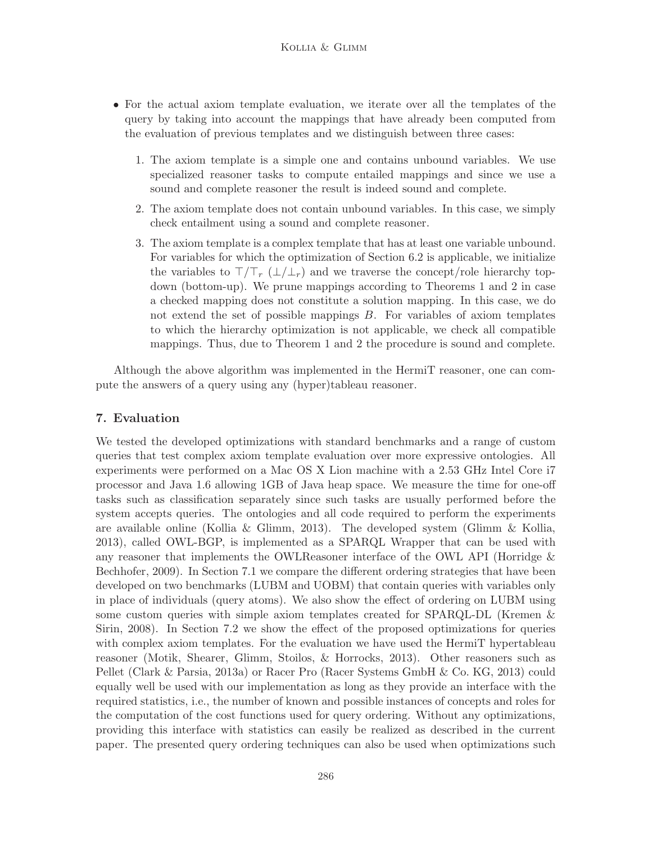- For the actual axiom template evaluation, we iterate over all the templates of the query by taking into account the mappings that have already been computed from the evaluation of previous templates and we distinguish between three cases:
	- 1. The axiom template is a simple one and contains unbound variables. We use specialized reasoner tasks to compute entailed mappings and since we use a sound and complete reasoner the result is indeed sound and complete.
	- 2. The axiom template does not contain unbound variables. In this case, we simply check entailment using a sound and complete reasoner.
	- 3. The axiom template is a complex template that has at least one variable unbound. For variables for which the optimization of Section 6.2 is applicable, we initialize the variables to  $\top/\top_r$  ( $\bot/\bot_r$ ) and we traverse the concept/role hierarchy topdown (bottom-up). We prune mappings according to Theorems 1 and 2 in case a checked mapping does not constitute a solution mapping. In this case, we do not extend the set of possible mappings B. For variables of axiom templates to which the hierarchy optimization is not applicable, we check all compatible mappings. Thus, due to Theorem 1 and 2 the procedure is sound and complete.

Although the above algorithm was implemented in the HermiT reasoner, one can compute the answers of a query using any (hyper)tableau reasoner.

## 7. Evaluation

We tested the developed optimizations with standard benchmarks and a range of custom queries that test complex axiom template evaluation over more expressive ontologies. All experiments were performed on a Mac OS X Lion machine with a 2.53 GHz Intel Core i7 processor and Java 1.6 allowing 1GB of Java heap space. We measure the time for one-off tasks such as classification separately since such tasks are usually performed before the system accepts queries. The ontologies and all code required to perform the experiments are available online (Kollia & Glimm, 2013). The developed system (Glimm & Kollia, 2013), called OWL-BGP, is implemented as a SPARQL Wrapper that can be used with any reasoner that implements the OWLReasoner interface of the OWL API (Horridge & Bechhofer, 2009). In Section 7.1 we compare the different ordering strategies that have been developed on two benchmarks (LUBM and UOBM) that contain queries with variables only in place of individuals (query atoms). We also show the effect of ordering on LUBM using some custom queries with simple axiom templates created for SPARQL-DL (Kremen & Sirin, 2008). In Section 7.2 we show the effect of the proposed optimizations for queries with complex axiom templates. For the evaluation we have used the HermiT hypertableau reasoner (Motik, Shearer, Glimm, Stoilos, & Horrocks, 2013). Other reasoners such as Pellet (Clark & Parsia, 2013a) or Racer Pro (Racer Systems GmbH & Co. KG, 2013) could equally well be used with our implementation as long as they provide an interface with the required statistics, i.e., the number of known and possible instances of concepts and roles for the computation of the cost functions used for query ordering. Without any optimizations, providing this interface with statistics can easily be realized as described in the current paper. The presented query ordering techniques can also be used when optimizations such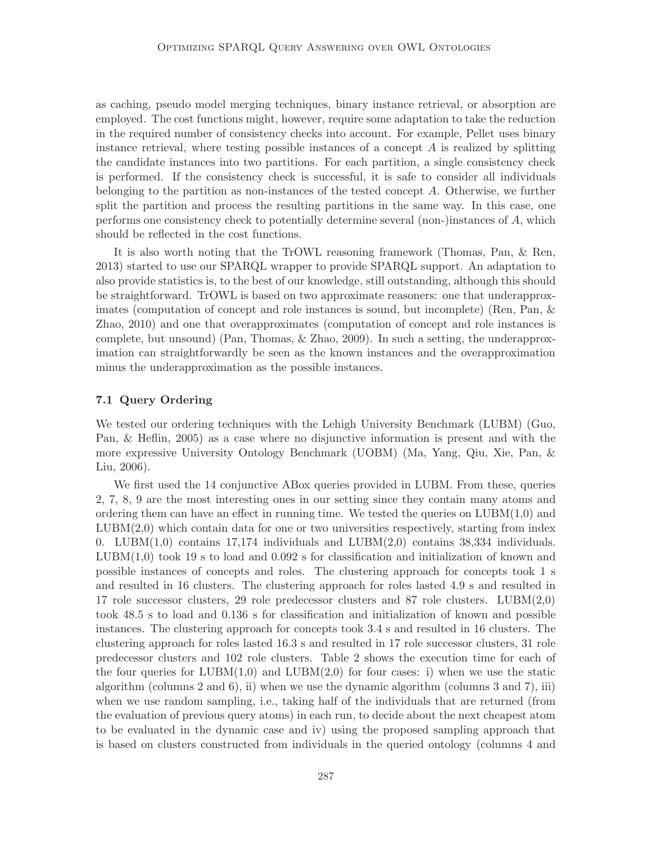as caching, pseudo model merging techniques, binary instance retrieval, or absorption are employed. The cost functions might, however, require some adaptation to take the reduction in the required number of consistency checks into account. For example, Pellet uses binary instance retrieval, where testing possible instances of a concept  $A$  is realized by splitting the candidate instances into two partitions. For each partition, a single consistency check is performed. If the consistency check is successful, it is safe to consider all individuals belonging to the partition as non-instances of the tested concept A. Otherwise, we further split the partition and process the resulting partitions in the same way. In this case, one performs one consistency check to potentially determine several (non-)instances of A, which should be reflected in the cost functions.

It is also worth noting that the TrOWL reasoning framework (Thomas, Pan, & Ren, 2013) started to use our SPARQL wrapper to provide SPARQL support. An adaptation to also provide statistics is, to the best of our knowledge, still outstanding, although this should be straightforward. TrOWL is based on two approximate reasoners: one that underapproximates (computation of concept and role instances is sound, but incomplete) (Ren, Pan, & Zhao, 2010) and one that overapproximates (computation of concept and role instances is complete, but unsound) (Pan, Thomas, & Zhao, 2009). In such a setting, the underapproximation can straightforwardly be seen as the known instances and the overapproximation minus the underapproximation as the possible instances.

## 7.1 Query Ordering

We tested our ordering techniques with the Lehigh University Benchmark (LUBM) (Guo, Pan, & Heflin, 2005) as a case where no disjunctive information is present and with the more expressive University Ontology Benchmark (UOBM) (Ma, Yang, Qiu, Xie, Pan, & Liu, 2006).

We first used the 14 conjunctive ABox queries provided in LUBM. From these, queries 2, 7, 8, 9 are the most interesting ones in our setting since they contain many atoms and ordering them can have an effect in running time. We tested the queries on  $LUBM(1,0)$  and  $LUBM(2,0)$  which contain data for one or two universities respectively, starting from index 0. LUBM $(1,0)$  contains 17,174 individuals and LUBM $(2,0)$  contains 38,334 individuals.  $LUBM(1,0)$  took 19 s to load and 0.092 s for classification and initialization of known and possible instances of concepts and roles. The clustering approach for concepts took 1 s and resulted in 16 clusters. The clustering approach for roles lasted 4.9 s and resulted in 17 role successor clusters, 29 role predecessor clusters and 87 role clusters.  $LUBM(2,0)$ took 48.5 s to load and 0.136 s for classification and initialization of known and possible instances. The clustering approach for concepts took 3.4 s and resulted in 16 clusters. The clustering approach for roles lasted 16.3 s and resulted in 17 role successor clusters, 31 role predecessor clusters and 102 role clusters. Table 2 shows the execution time for each of the four queries for  $LUBM(1,0)$  and  $LUBM(2,0)$  for four cases: i) when we use the static algorithm (columns 2 and 6), ii) when we use the dynamic algorithm (columns 3 and 7), iii) when we use random sampling, i.e., taking half of the individuals that are returned (from the evaluation of previous query atoms) in each run, to decide about the next cheapest atom to be evaluated in the dynamic case and iv) using the proposed sampling approach that is based on clusters constructed from individuals in the queried ontology (columns 4 and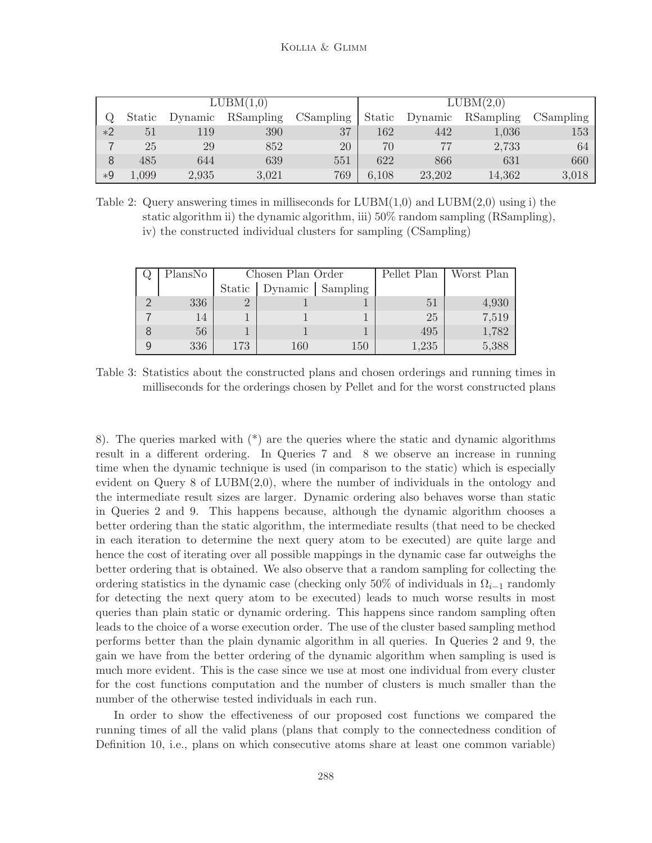|      | LUBM(1,0) |         |           |           |       |                | LUBM(2,0) |           |
|------|-----------|---------|-----------|-----------|-------|----------------|-----------|-----------|
| Q    | Static    | Dynamic | RSampling | CSampling |       | Static Dynamic | RSampling | CSampling |
| $*2$ | 51        | 119     | 390       | 37        | 162   | 442            | 1,036     | 153       |
|      | 25        | 29      | 852       | 20        | 70    | 77             | 2,733     | 64        |
| 8    | 485       | 644     | 639       | 551       | 622   | 866            | 631       | 660       |
| $*9$ | 1,099     | 2,935   | 3,021     | 769       | 6,108 | 23,202         | 14,362    | 3,018     |

Table 2: Query answering times in milliseconds for  $LUBM(1,0)$  and  $LUBM(2,0)$  using i) the static algorithm ii) the dynamic algorithm, iii) 50% random sampling (RSampling), iv) the constructed individual clusters for sampling (CSampling)

| Q, | PlansNo |     | Chosen Plan Order           |     |       | Pellet Plan   Worst Plan |
|----|---------|-----|-----------------------------|-----|-------|--------------------------|
|    |         |     | Static   Dynamic   Sampling |     |       |                          |
| ⌒  | 336     |     |                             |     | 51    | 4.930                    |
|    |         |     |                             |     | 25    | 7,519                    |
| 8  | 56      |     |                             |     | 495   | 1,782                    |
| 9  | 336     | 173 | $160\,$                     | 150 | 1,235 | 5,388                    |

Table 3: Statistics about the constructed plans and chosen orderings and running times in milliseconds for the orderings chosen by Pellet and for the worst constructed plans

8). The queries marked with (\*) are the queries where the static and dynamic algorithms result in a different ordering. In Queries 7 and 8 we observe an increase in running time when the dynamic technique is used (in comparison to the static) which is especially evident on Query 8 of LUBM(2,0), where the number of individuals in the ontology and the intermediate result sizes are larger. Dynamic ordering also behaves worse than static in Queries 2 and 9. This happens because, although the dynamic algorithm chooses a better ordering than the static algorithm, the intermediate results (that need to be checked in each iteration to determine the next query atom to be executed) are quite large and hence the cost of iterating over all possible mappings in the dynamic case far outweighs the better ordering that is obtained. We also observe that a random sampling for collecting the ordering statistics in the dynamic case (checking only 50% of individuals in  $\Omega_{i-1}$  randomly for detecting the next query atom to be executed) leads to much worse results in most queries than plain static or dynamic ordering. This happens since random sampling often leads to the choice of a worse execution order. The use of the cluster based sampling method performs better than the plain dynamic algorithm in all queries. In Queries 2 and 9, the gain we have from the better ordering of the dynamic algorithm when sampling is used is much more evident. This is the case since we use at most one individual from every cluster for the cost functions computation and the number of clusters is much smaller than the number of the otherwise tested individuals in each run.

In order to show the effectiveness of our proposed cost functions we compared the running times of all the valid plans (plans that comply to the connectedness condition of Definition 10, i.e., plans on which consecutive atoms share at least one common variable)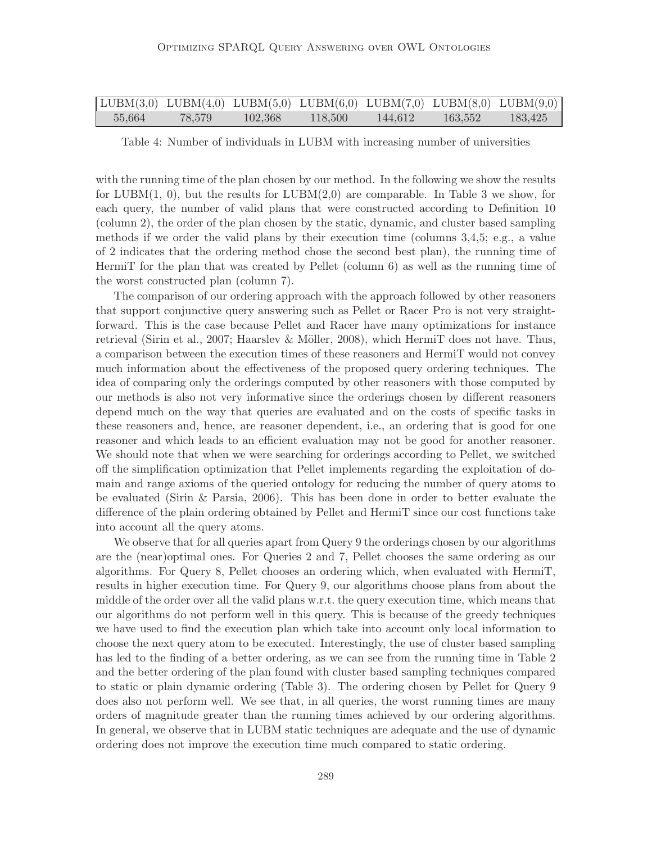|        |        | $LUBM(3,0) LUBM(4,0) LUBM(5,0) LUBM(6,0) LUBM(7,0) LUBM(8,0) LUBM(9,0)$ |         |         |         |         |
|--------|--------|-------------------------------------------------------------------------|---------|---------|---------|---------|
| 55,664 | 78,579 | 102.368                                                                 | 118,500 | 144,612 | 163,552 | 183,425 |

Table 4: Number of individuals in LUBM with increasing number of universities

with the running time of the plan chosen by our method. In the following we show the results for  $LUBM(1, 0)$ , but the results for  $LUBM(2,0)$  are comparable. In Table 3 we show, for each query, the number of valid plans that were constructed according to Definition 10 (column 2), the order of the plan chosen by the static, dynamic, and cluster based sampling methods if we order the valid plans by their execution time (columns 3,4,5; e.g., a value of 2 indicates that the ordering method chose the second best plan), the running time of HermiT for the plan that was created by Pellet (column 6) as well as the running time of the worst constructed plan (column 7).

The comparison of our ordering approach with the approach followed by other reasoners that support conjunctive query answering such as Pellet or Racer Pro is not very straightforward. This is the case because Pellet and Racer have many optimizations for instance retrieval (Sirin et al., 2007; Haarslev & Möller, 2008), which HermiT does not have. Thus, a comparison between the execution times of these reasoners and HermiT would not convey much information about the effectiveness of the proposed query ordering techniques. The idea of comparing only the orderings computed by other reasoners with those computed by our methods is also not very informative since the orderings chosen by different reasoners depend much on the way that queries are evaluated and on the costs of specific tasks in these reasoners and, hence, are reasoner dependent, i.e., an ordering that is good for one reasoner and which leads to an efficient evaluation may not be good for another reasoner. We should note that when we were searching for orderings according to Pellet, we switched off the simplification optimization that Pellet implements regarding the exploitation of domain and range axioms of the queried ontology for reducing the number of query atoms to be evaluated (Sirin & Parsia, 2006). This has been done in order to better evaluate the difference of the plain ordering obtained by Pellet and HermiT since our cost functions take into account all the query atoms.

We observe that for all queries apart from Query 9 the orderings chosen by our algorithms are the (near)optimal ones. For Queries 2 and 7, Pellet chooses the same ordering as our algorithms. For Query 8, Pellet chooses an ordering which, when evaluated with HermiT, results in higher execution time. For Query 9, our algorithms choose plans from about the middle of the order over all the valid plans w.r.t. the query execution time, which means that our algorithms do not perform well in this query. This is because of the greedy techniques we have used to find the execution plan which take into account only local information to choose the next query atom to be executed. Interestingly, the use of cluster based sampling has led to the finding of a better ordering, as we can see from the running time in Table 2 and the better ordering of the plan found with cluster based sampling techniques compared to static or plain dynamic ordering (Table 3). The ordering chosen by Pellet for Query 9 does also not perform well. We see that, in all queries, the worst running times are many orders of magnitude greater than the running times achieved by our ordering algorithms. In general, we observe that in LUBM static techniques are adequate and the use of dynamic ordering does not improve the execution time much compared to static ordering.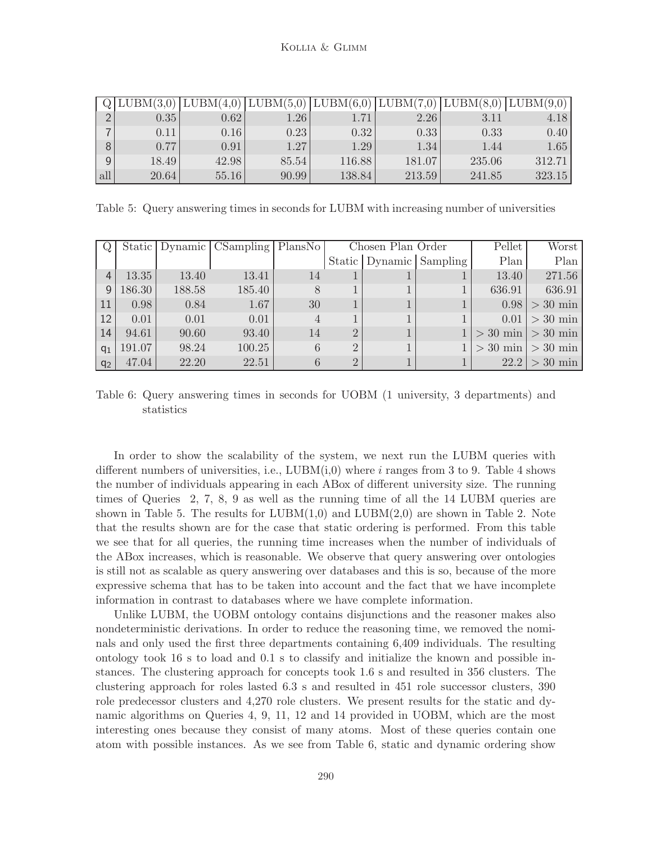|     | $\boxed{Q LUBM(3,0) LUBM(4,0) LUBM(5,0) LUBM(6,0) LUBM(7,0) LUBM(8,0) LUBM(9,0) }$ |       |          |        |        |        |        |
|-----|------------------------------------------------------------------------------------|-------|----------|--------|--------|--------|--------|
|     | 0.35                                                                               | 0.62  | $1.26\,$ |        | 2.26   | 3.11   | 4.18   |
|     | 0.11                                                                               | 0.16  | 0.23     | 0.32   | 0.33   | 0.33   | 0.40   |
|     | 0.77                                                                               | 0.91  | 1.27     | 1.29   | 1.34   | 1.44   | 1.65   |
| 9   | 18.49                                                                              | 42.98 | 85.54    | 116.88 | 181.07 | 235.06 | 312.71 |
| all | 20.64                                                                              | 55.16 | 90.99    | 138.84 | 213.59 | 241.85 | 323.15 |

Table 5: Query answering times in seconds for LUBM with increasing number of universities

|       |        |        | Static   Dynamic   CSampling   PlansNo |                | Chosen Plan Order |              |                             | Pellet                | Worst                   |
|-------|--------|--------|----------------------------------------|----------------|-------------------|--------------|-----------------------------|-----------------------|-------------------------|
|       |        |        |                                        |                |                   |              | Static   Dynamic   Sampling | Plan                  | Plan                    |
| 4     | 13.35  | 13.40  | 13.41                                  | 14             |                   |              |                             | 13.40                 | 271.56                  |
| 9     | 186.30 | 188.58 | 185.40                                 | 8              |                   |              |                             | 636.91                | 636.91                  |
| 11    | 0.98   | 0.84   | 1.67                                   | 30             |                   | 1            |                             |                       | $0.98 > 30 \text{ min}$ |
| 12    | 0.01   | 0.01   | 0.01                                   | $\overline{4}$ |                   | 1            |                             |                       | $0.01 > 30$ min         |
| 14    | 94.61  | 90.60  | 93.40                                  | 14             | $\overline{2}$    | 1            |                             | $>$ 30 min $>$ 30 min |                         |
| $q_1$ | 191.07 | 98.24  | 100.25                                 | 6              | $\overline{2}$    | $\mathbf{1}$ |                             | $>$ 30 min $>$ 30 min |                         |
| $q_2$ | 47.04  | 22.20  | 22.51                                  | 6              | $\overline{2}$    | 1            |                             |                       | $22.2 > 30 \text{ min}$ |

Table 6: Query answering times in seconds for UOBM (1 university, 3 departments) and statistics

In order to show the scalability of the system, we next run the LUBM queries with different numbers of universities, i.e.,  $LUBM(i,0)$  where i ranges from 3 to 9. Table 4 shows the number of individuals appearing in each ABox of different university size. The running times of Queries 2, 7, 8, 9 as well as the running time of all the 14 LUBM queries are shown in Table 5. The results for  $LUBM(1,0)$  and  $LUBM(2,0)$  are shown in Table 2. Note that the results shown are for the case that static ordering is performed. From this table we see that for all queries, the running time increases when the number of individuals of the ABox increases, which is reasonable. We observe that query answering over ontologies is still not as scalable as query answering over databases and this is so, because of the more expressive schema that has to be taken into account and the fact that we have incomplete information in contrast to databases where we have complete information.

Unlike LUBM, the UOBM ontology contains disjunctions and the reasoner makes also nondeterministic derivations. In order to reduce the reasoning time, we removed the nominals and only used the first three departments containing 6,409 individuals. The resulting ontology took 16 s to load and 0.1 s to classify and initialize the known and possible instances. The clustering approach for concepts took 1.6 s and resulted in 356 clusters. The clustering approach for roles lasted 6.3 s and resulted in 451 role successor clusters, 390 role predecessor clusters and 4,270 role clusters. We present results for the static and dynamic algorithms on Queries 4, 9, 11, 12 and 14 provided in UOBM, which are the most interesting ones because they consist of many atoms. Most of these queries contain one atom with possible instances. As we see from Table 6, static and dynamic ordering show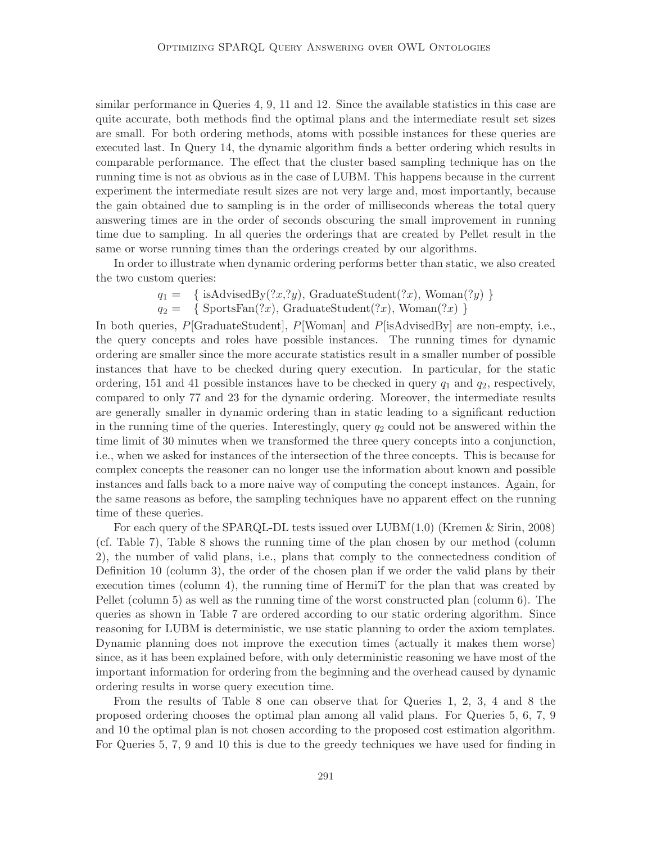similar performance in Queries 4, 9, 11 and 12. Since the available statistics in this case are quite accurate, both methods find the optimal plans and the intermediate result set sizes are small. For both ordering methods, atoms with possible instances for these queries are executed last. In Query 14, the dynamic algorithm finds a better ordering which results in comparable performance. The effect that the cluster based sampling technique has on the running time is not as obvious as in the case of LUBM. This happens because in the current experiment the intermediate result sizes are not very large and, most importantly, because the gain obtained due to sampling is in the order of milliseconds whereas the total query answering times are in the order of seconds obscuring the small improvement in running time due to sampling. In all queries the orderings that are created by Pellet result in the same or worse running times than the orderings created by our algorithms.

In order to illustrate when dynamic ordering performs better than static, we also created the two custom queries:

$$
q_1 = \{ isAdvisedBy(?x,?y), GraduateStudent(?x), Woman(?y) \}
$$

 $q_2 = \{$  SportsFan $(?x)$ , GraduateStudent $(?x)$ , Woman $(?x)$  }

In both queries,  $P[\text{GraduateStudent}]$ ,  $P[\text{Woman}]$  and  $P[\text{isAdvisedBy}]$  are non-empty, i.e., the query concepts and roles have possible instances. The running times for dynamic ordering are smaller since the more accurate statistics result in a smaller number of possible instances that have to be checked during query execution. In particular, for the static ordering, 151 and 41 possible instances have to be checked in query  $q_1$  and  $q_2$ , respectively, compared to only 77 and 23 for the dynamic ordering. Moreover, the intermediate results are generally smaller in dynamic ordering than in static leading to a significant reduction in the running time of the queries. Interestingly, query  $q_2$  could not be answered within the time limit of 30 minutes when we transformed the three query concepts into a conjunction, i.e., when we asked for instances of the intersection of the three concepts. This is because for complex concepts the reasoner can no longer use the information about known and possible instances and falls back to a more naive way of computing the concept instances. Again, for the same reasons as before, the sampling techniques have no apparent effect on the running time of these queries.

For each query of the SPARQL-DL tests issued over LUBM(1,0) (Kremen & Sirin, 2008) (cf. Table 7), Table 8 shows the running time of the plan chosen by our method (column 2), the number of valid plans, i.e., plans that comply to the connectedness condition of Definition 10 (column 3), the order of the chosen plan if we order the valid plans by their execution times (column 4), the running time of HermiT for the plan that was created by Pellet (column 5) as well as the running time of the worst constructed plan (column 6). The queries as shown in Table 7 are ordered according to our static ordering algorithm. Since reasoning for LUBM is deterministic, we use static planning to order the axiom templates. Dynamic planning does not improve the execution times (actually it makes them worse) since, as it has been explained before, with only deterministic reasoning we have most of the important information for ordering from the beginning and the overhead caused by dynamic ordering results in worse query execution time.

From the results of Table 8 one can observe that for Queries 1, 2, 3, 4 and 8 the proposed ordering chooses the optimal plan among all valid plans. For Queries 5, 6, 7, 9 and 10 the optimal plan is not chosen according to the proposed cost estimation algorithm. For Queries 5, 7, 9 and 10 this is due to the greedy techniques we have used for finding in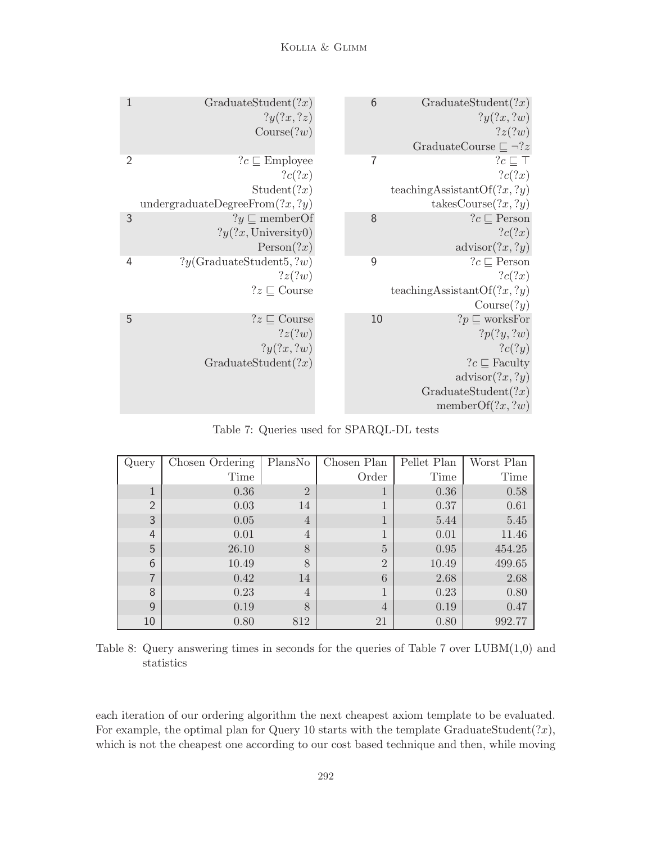| 1              | GraduateStudent(?x)                | $6\phantom{1}6$ | GraduateStudent(?x)                  |
|----------------|------------------------------------|-----------------|--------------------------------------|
|                | ?y(?x,?z)                          |                 | ?y(?x, ?w)                           |
|                | Course(?w)                         |                 | ?z(?w)                               |
|                |                                    |                 | GraduateCourse $\sqsubseteq \neg ?z$ |
| $\overline{2}$ | $?c \sqsubseteq$ Employee          | 7               | $?c \sqsubseteq \top$                |
|                | ?c(?x)                             |                 | ?c(?x)                               |
|                | Student(?x)                        |                 | teaching Assistant Of $(?x, ?y)$     |
|                | undergraduateDegreeFrom $(?x, ?y)$ |                 | takesCourse(?x, ?y)                  |
| 3              | $?y \sqsubseteq \text{memberOf}$   | 8               | $?c \sqsubseteq$ Person              |
|                | ?y(?x, University0)                |                 | ?c(?x)                               |
|                | Person(?x)                         |                 | $\text{advisor}(?x, ?y)$             |
| 4              | $?y$ (GraduateStudent5, ?w)        | 9               | $?c \sqsubseteq$ Person              |
|                | ?z(?w)                             |                 | ?c(?x)                               |
|                | $?z \sqsubseteq \text{Course}$     |                 | teaching Assistant Of $(?x, ?y)$     |
|                |                                    |                 | Course(?y)                           |
| 5              | $?z \sqsubseteq \text{Course}$     | 10              | $?p \sqsubseteq$ worksFor            |
|                | ?z(?w)                             |                 | ?p(?y, ?w)                           |
|                | ?y(?x, ?w)                         |                 | ?c(?y)                               |
|                | GraduateStudent(?x)                |                 | $?c \sqsubseteq$ Faculty             |
|                |                                    |                 | $\text{advisor}(?x, ?y)$             |
|                |                                    |                 | GraduateStudent(?x)                  |
|                |                                    |                 | memberOf $(?x, ?w)$                  |
|                |                                    |                 |                                      |

Table 7: Queries used for SPARQL-DL tests

| Query          | Chosen Ordering | PlansNo        | Chosen Plan    | Pellet Plan | Worst Plan |
|----------------|-----------------|----------------|----------------|-------------|------------|
|                | Time            |                | Order          | Time        | Time       |
| 1              | 0.36            | $\overline{2}$ | T              | 0.36        | 0.58       |
| $\overline{2}$ | 0.03            | 14             | T              | 0.37        | 0.61       |
| 3              | 0.05            | 4              | $\mathbf{I}$   | 5.44        | 5.45       |
| 4              | 0.01            | 4              |                | 0.01        | 11.46      |
| 5              | 26.10           | 8              | $\overline{5}$ | 0.95        | 454.25     |
| 6              | 10.49           | 8              | $\overline{2}$ | 10.49       | 499.65     |
| 7              | 0.42            | 14             | 6              | 2.68        | 2.68       |
| 8              | 0.23            | 4              | 1              | 0.23        | 0.80       |
| 9              | 0.19            | 8              | $\overline{4}$ | 0.19        | 0.47       |
| 10             | 0.80            | 812            | 21             | 0.80        | 992.77     |

Table 8: Query answering times in seconds for the queries of Table 7 over  $LUBM(1,0)$  and statistics

each iteration of our ordering algorithm the next cheapest axiom template to be evaluated. For example, the optimal plan for Query 10 starts with the template GraduateStudent $(?x)$ , which is not the cheapest one according to our cost based technique and then, while moving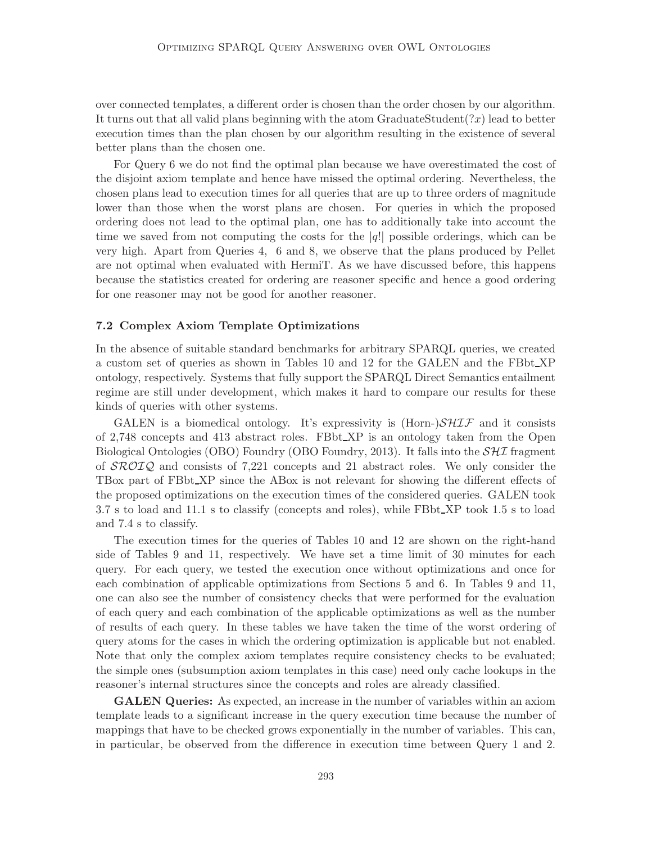over connected templates, a different order is chosen than the order chosen by our algorithm. It turns out that all valid plans beginning with the atom GraduateStudent $(2x)$  lead to better execution times than the plan chosen by our algorithm resulting in the existence of several better plans than the chosen one.

For Query 6 we do not find the optimal plan because we have overestimated the cost of the disjoint axiom template and hence have missed the optimal ordering. Nevertheless, the chosen plans lead to execution times for all queries that are up to three orders of magnitude lower than those when the worst plans are chosen. For queries in which the proposed ordering does not lead to the optimal plan, one has to additionally take into account the time we saved from not computing the costs for the  $|q!|$  possible orderings, which can be very high. Apart from Queries 4, 6 and 8, we observe that the plans produced by Pellet are not optimal when evaluated with HermiT. As we have discussed before, this happens because the statistics created for ordering are reasoner specific and hence a good ordering for one reasoner may not be good for another reasoner.

#### 7.2 Complex Axiom Template Optimizations

In the absence of suitable standard benchmarks for arbitrary SPARQL queries, we created a custom set of queries as shown in Tables 10 and 12 for the GALEN and the FBbt XP ontology, respectively. Systems that fully support the SPARQL Direct Semantics entailment regime are still under development, which makes it hard to compare our results for these kinds of queries with other systems.

GALEN is a biomedical ontology. It's expressivity is  $(Horn-)SHIF$  and it consists of 2,748 concepts and 413 abstract roles. FBbt XP is an ontology taken from the Open Biological Ontologies (OBO) Foundry (OBO Foundry, 2013). It falls into the  $\mathcal{SHI}$  fragment of  $\mathcal{SROLQ}$  and consists of 7,221 concepts and 21 abstract roles. We only consider the TBox part of FBbt XP since the ABox is not relevant for showing the different effects of the proposed optimizations on the execution times of the considered queries. GALEN took 3.7 s to load and 11.1 s to classify (concepts and roles), while FBbt XP took 1.5 s to load and 7.4 s to classify.

The execution times for the queries of Tables 10 and 12 are shown on the right-hand side of Tables 9 and 11, respectively. We have set a time limit of 30 minutes for each query. For each query, we tested the execution once without optimizations and once for each combination of applicable optimizations from Sections 5 and 6. In Tables 9 and 11, one can also see the number of consistency checks that were performed for the evaluation of each query and each combination of the applicable optimizations as well as the number of results of each query. In these tables we have taken the time of the worst ordering of query atoms for the cases in which the ordering optimization is applicable but not enabled. Note that only the complex axiom templates require consistency checks to be evaluated; the simple ones (subsumption axiom templates in this case) need only cache lookups in the reasoner's internal structures since the concepts and roles are already classified.

GALEN Queries: As expected, an increase in the number of variables within an axiom template leads to a significant increase in the query execution time because the number of mappings that have to be checked grows exponentially in the number of variables. This can, in particular, be observed from the difference in execution time between Query 1 and 2.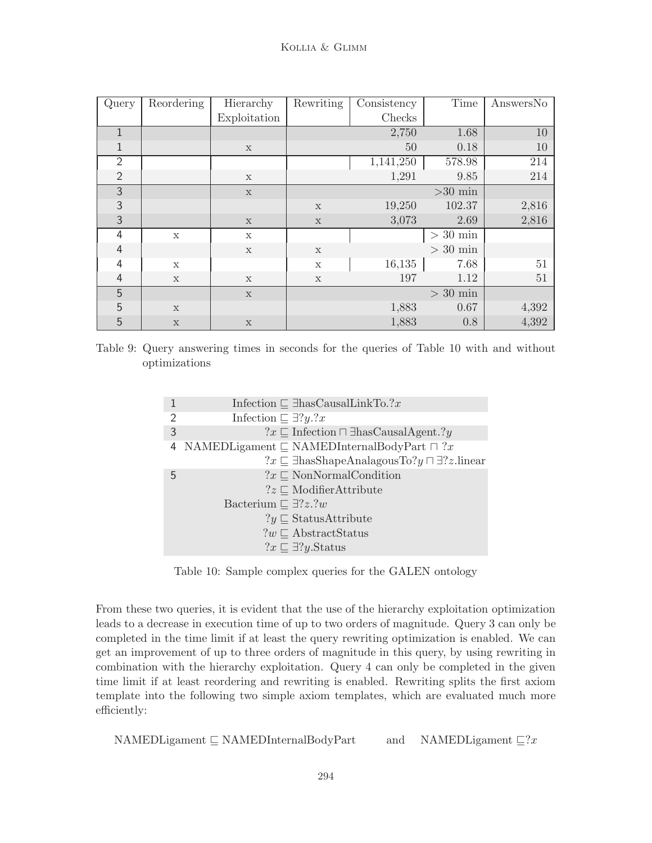| Query          | Reordering   | Hierarchy    | Rewriting   | Consistency | Time       | AnswersNo |
|----------------|--------------|--------------|-------------|-------------|------------|-----------|
|                |              | Exploitation |             | Checks      |            |           |
| $\mathbf{1}$   |              |              |             | 2,750       | 1.68       | 10        |
| 1              |              | $\mathbf X$  |             | 50          | 0.18       | 10        |
| $\overline{2}$ |              |              |             | 1,141,250   | 578.98     | 214       |
| $\overline{2}$ |              | $\mathbf x$  |             | 1,291       | 9.85       | 214       |
| $\overline{3}$ |              | $\mathbf x$  |             |             | $>30$ min  |           |
| 3              |              |              | $\mathbf X$ | 19,250      | 102.37     | 2,816     |
| 3              |              | $\mathbf x$  | $\mathbf x$ | 3,073       | 2.69       | 2,816     |
| 4              | $\mathbf x$  | $\mathbf X$  |             |             | $>$ 30 min |           |
| 4              |              | $\mathbf x$  | $\mathbf X$ |             | $>$ 30 min |           |
| 4              | $\mathbf{x}$ |              | $\mathbf x$ | 16,135      | 7.68       | 51        |
| $\overline{4}$ | $\mathbf x$  | $\mathbf x$  | $\mathbf X$ | 197         | 1.12       | 51        |
| 5              |              | $\mathbf x$  |             |             | $> 30$ min |           |
| 5              | $\mathbf x$  |              |             | 1,883       | 0.67       | 4,392     |
| 5              | $\mathbf x$  | $\mathbf x$  |             | 1,883       | 0.8        | 4,392     |

Table 9: Query answering times in seconds for the queries of Table 10 with and without optimizations

|               | Infection $\Box$ ThasCausalLinkTo.?x                                       |
|---------------|----------------------------------------------------------------------------|
| $\mathcal{P}$ | Infection $\Box \exists ?y. ?x$                                            |
| 3             | $?x \sqsubseteq$ Infection $\sqcap \exists$ hasCausalAgent.?y              |
|               | 4 NAMEDLigament $\subseteq$ NAMEDInternalBodyPart $\sqcap$ ?x              |
|               | $?x \sqsubseteq \exists$ hasShapeAnalagousTo?y $\sqcap \exists ?z$ .linear |
| 5             | $?x \sqsubset \text{NonNormalCondition}$                                   |
|               | $?z \sqsubset \text{ModifierAttribute}$                                    |
|               | Bacterium $\Box$ 7? <i>z</i> .? <i>w</i>                                   |
|               | $?y \sqsubseteq$ StatusAttribute                                           |
|               | $?w \sqsubset$ AbstractStatus                                              |
|               | $?x \sqsubseteq \exists ?y$ . Status                                       |

Table 10: Sample complex queries for the GALEN ontology

From these two queries, it is evident that the use of the hierarchy exploitation optimization leads to a decrease in execution time of up to two orders of magnitude. Query 3 can only be completed in the time limit if at least the query rewriting optimization is enabled. We can get an improvement of up to three orders of magnitude in this query, by using rewriting in combination with the hierarchy exploitation. Query 4 can only be completed in the given time limit if at least reordering and rewriting is enabled. Rewriting splits the first axiom template into the following two simple axiom templates, which are evaluated much more efficiently:

NAMEDLigament ⊑ NAMEDInternalBodyPart and NAMEDLigament ⊑?x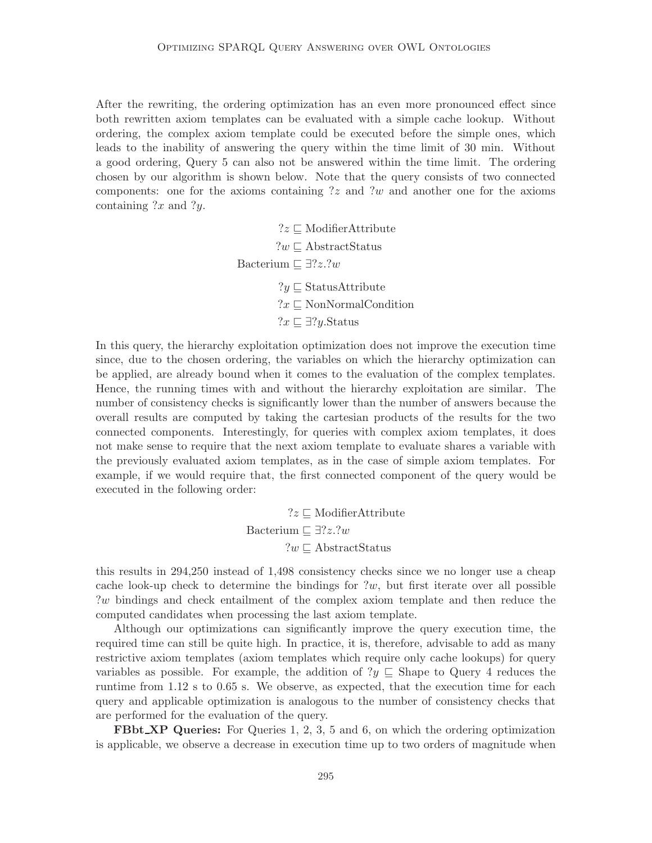After the rewriting, the ordering optimization has an even more pronounced effect since both rewritten axiom templates can be evaluated with a simple cache lookup. Without ordering, the complex axiom template could be executed before the simple ones, which leads to the inability of answering the query within the time limit of 30 min. Without a good ordering, Query 5 can also not be answered within the time limit. The ordering chosen by our algorithm is shown below. Note that the query consists of two connected components: one for the axioms containing ?z and ?w and another one for the axioms containing  $?x$  and  $?y$ .

> ?z ⊑ ModifierAttribute ?w ⊑ AbstractStatus Bacterium  $\Box$  ∃?z.?w ?y ⊑ StatusAttribute ?x ⊑ NonNormalCondition ?x ⊑ ∃?y.Status

In this query, the hierarchy exploitation optimization does not improve the execution time since, due to the chosen ordering, the variables on which the hierarchy optimization can be applied, are already bound when it comes to the evaluation of the complex templates. Hence, the running times with and without the hierarchy exploitation are similar. The number of consistency checks is significantly lower than the number of answers because the overall results are computed by taking the cartesian products of the results for the two connected components. Interestingly, for queries with complex axiom templates, it does not make sense to require that the next axiom template to evaluate shares a variable with the previously evaluated axiom templates, as in the case of simple axiom templates. For example, if we would require that, the first connected component of the query would be executed in the following order:

> ?z ⊑ ModifierAttribute Bacterium  $\Box$  ∃?z.?w ?w ⊑ AbstractStatus

this results in 294,250 instead of 1,498 consistency checks since we no longer use a cheap cache look-up check to determine the bindings for  $?w$ , but first iterate over all possible ?w bindings and check entailment of the complex axiom template and then reduce the computed candidates when processing the last axiom template.

Although our optimizations can significantly improve the query execution time, the required time can still be quite high. In practice, it is, therefore, advisable to add as many restrictive axiom templates (axiom templates which require only cache lookups) for query variables as possible. For example, the addition of  $?y \subseteq$  Shape to Query 4 reduces the runtime from 1.12 s to 0.65 s. We observe, as expected, that the execution time for each query and applicable optimization is analogous to the number of consistency checks that are performed for the evaluation of the query.

**FBbt\_XP Queries:** For Queries 1, 2, 3, 5 and 6, on which the ordering optimization is applicable, we observe a decrease in execution time up to two orders of magnitude when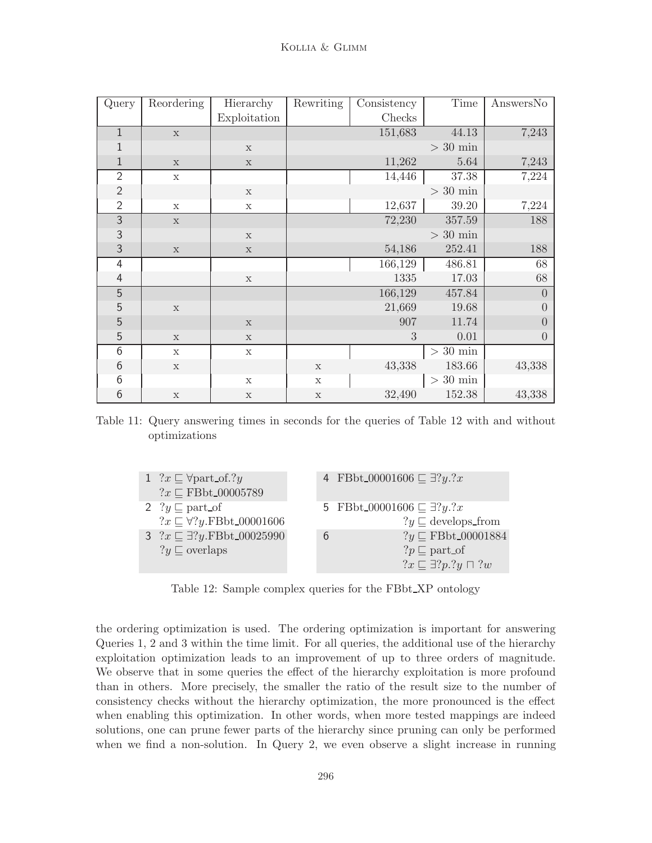| Query          | Reordering  | Hierarchy    | Rewriting   | Consistency | Time              | AnswersNo      |
|----------------|-------------|--------------|-------------|-------------|-------------------|----------------|
|                |             | Exploitation |             | Checks      |                   |                |
| $\,1\,$        | $\mathbf x$ |              |             | 151,683     | 44.13             | 7,243          |
| $\mathbf{1}$   |             | $\mathbf x$  |             |             | $>$ 30 min        |                |
| $1\,$          | $\mathbf x$ | $\mathbf x$  |             | 11,262      | 5.64              | 7,243          |
| $\overline{2}$ | $\mathbf X$ |              |             | 14,446      | 37.38             | 7,224          |
| $\mathbf{2}$   |             | $\mathbf x$  |             |             | $>$ 30 min        |                |
| $\overline{2}$ | $\mathbf x$ | $\mathbf X$  |             | 12,637      | 39.20             | 7,224          |
| $\overline{3}$ | $\mathbf x$ |              |             | 72,230      | 357.59            | 188            |
| $\overline{3}$ |             | $\mathbf x$  |             |             | $>$ 30 $\rm{min}$ |                |
| $\mathfrak{Z}$ | $\mathbf x$ | $\mathbf x$  |             | 54,186      | 252.41            | 188            |
| $\overline{4}$ |             |              |             | 166,129     | 486.81            | 68             |
| $\overline{4}$ |             | $\mathbf X$  |             | 1335        | 17.03             | 68             |
| $\overline{5}$ |             |              |             | 166,129     | 457.84            | $\overline{0}$ |
| 5              | $\mathbf x$ |              |             | 21,669      | 19.68             | $\overline{0}$ |
| $\sqrt{5}$     |             | $\mathbf x$  |             | 907         | 11.74             | $\overline{0}$ |
| $\sqrt{5}$     | $\mathbf x$ | $\mathbf X$  |             | 3           | 0.01              | $\overline{0}$ |
| $\overline{6}$ | $\mathbf x$ | $\mathbf X$  |             |             | $>$ 30 $\rm{min}$ |                |
| $6\,$          | $\mathbf x$ |              | $\mathbf X$ | 43,338      | 183.66            | 43,338         |
| $6\,$          |             | $\mathbf X$  | $\mathbf X$ |             | $>$ 30 min        |                |
| $\sqrt{6}$     | $\mathbf X$ | $\mathbf X$  | $\mathbf X$ | 32,490      | 152.38            | 43,338         |

Table 11: Query answering times in seconds for the queries of Table 12 with and without optimizations

| 1 $?x \sqsubseteq \forall$ part_of.?y<br>$?x \sqsubseteq \text{FBbt}\_00005789$ |               | 4 FBbt_00001606 $\sqsubseteq \exists ?y. ?x$                                                                    |
|---------------------------------------------------------------------------------|---------------|-----------------------------------------------------------------------------------------------------------------|
| 2 $?y \sqsubseteq$ part of<br>$?x \sqsubseteq \forall ?y$ FBbt_00001606         |               | 5 FBbt 00001606 $\sqsubseteq \exists ?y. ?x$<br>$?y \sqsubseteq$ develops_from                                  |
| 3 $?x \sqsubseteq \exists ?y$ .FBbt_00025990<br>$?y \sqsubseteq$ overlaps       | $\mathfrak b$ | $?y \sqsubseteq \text{FBbt}\_00001884$<br>$?p \sqsubseteq$ part_of<br>$?x \sqsubseteq \exists ?p. ?y \sqcap ?w$ |

Table 12: Sample complex queries for the FBbt XP ontology

the ordering optimization is used. The ordering optimization is important for answering Queries 1, 2 and 3 within the time limit. For all queries, the additional use of the hierarchy exploitation optimization leads to an improvement of up to three orders of magnitude. We observe that in some queries the effect of the hierarchy exploitation is more profound than in others. More precisely, the smaller the ratio of the result size to the number of consistency checks without the hierarchy optimization, the more pronounced is the effect when enabling this optimization. In other words, when more tested mappings are indeed solutions, one can prune fewer parts of the hierarchy since pruning can only be performed when we find a non-solution. In Query 2, we even observe a slight increase in running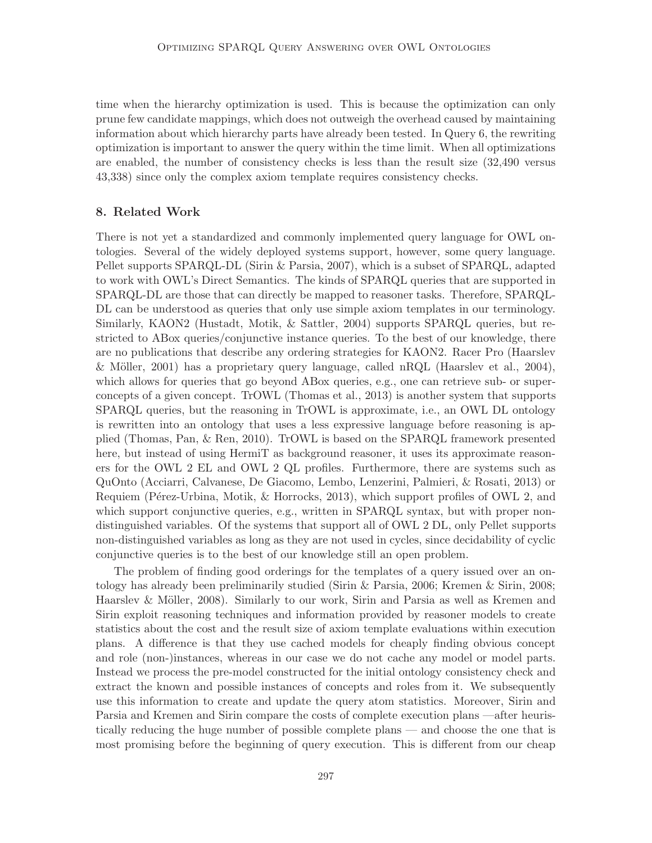time when the hierarchy optimization is used. This is because the optimization can only prune few candidate mappings, which does not outweigh the overhead caused by maintaining information about which hierarchy parts have already been tested. In Query 6, the rewriting optimization is important to answer the query within the time limit. When all optimizations are enabled, the number of consistency checks is less than the result size (32,490 versus 43,338) since only the complex axiom template requires consistency checks.

## 8. Related Work

There is not yet a standardized and commonly implemented query language for OWL ontologies. Several of the widely deployed systems support, however, some query language. Pellet supports SPARQL-DL (Sirin & Parsia, 2007), which is a subset of SPARQL, adapted to work with OWL's Direct Semantics. The kinds of SPARQL queries that are supported in SPARQL-DL are those that can directly be mapped to reasoner tasks. Therefore, SPARQL-DL can be understood as queries that only use simple axiom templates in our terminology. Similarly, KAON2 (Hustadt, Motik, & Sattler, 2004) supports SPARQL queries, but restricted to ABox queries/conjunctive instance queries. To the best of our knowledge, there are no publications that describe any ordering strategies for KAON2. Racer Pro (Haarslev  $\&$  Möller, 2001) has a proprietary query language, called nRQL (Haarslev et al., 2004), which allows for queries that go beyond ABox queries, e.g., one can retrieve sub- or superconcepts of a given concept. TrOWL (Thomas et al., 2013) is another system that supports SPARQL queries, but the reasoning in TrOWL is approximate, i.e., an OWL DL ontology is rewritten into an ontology that uses a less expressive language before reasoning is applied (Thomas, Pan, & Ren, 2010). TrOWL is based on the SPARQL framework presented here, but instead of using HermiT as background reasoner, it uses its approximate reasoners for the OWL 2 EL and OWL 2 QL profiles. Furthermore, there are systems such as QuOnto (Acciarri, Calvanese, De Giacomo, Lembo, Lenzerini, Palmieri, & Rosati, 2013) or Requiem (Pérez-Urbina, Motik,  $\&$  Horrocks, 2013), which support profiles of OWL 2, and which support conjunctive queries, e.g., written in SPARQL syntax, but with proper nondistinguished variables. Of the systems that support all of OWL 2 DL, only Pellet supports non-distinguished variables as long as they are not used in cycles, since decidability of cyclic conjunctive queries is to the best of our knowledge still an open problem.

The problem of finding good orderings for the templates of a query issued over an ontology has already been preliminarily studied (Sirin & Parsia, 2006; Kremen & Sirin, 2008; Haarslev & Möller, 2008). Similarly to our work, Sirin and Parsia as well as Kremen and Sirin exploit reasoning techniques and information provided by reasoner models to create statistics about the cost and the result size of axiom template evaluations within execution plans. A difference is that they use cached models for cheaply finding obvious concept and role (non-)instances, whereas in our case we do not cache any model or model parts. Instead we process the pre-model constructed for the initial ontology consistency check and extract the known and possible instances of concepts and roles from it. We subsequently use this information to create and update the query atom statistics. Moreover, Sirin and Parsia and Kremen and Sirin compare the costs of complete execution plans —after heuristically reducing the huge number of possible complete plans — and choose the one that is most promising before the beginning of query execution. This is different from our cheap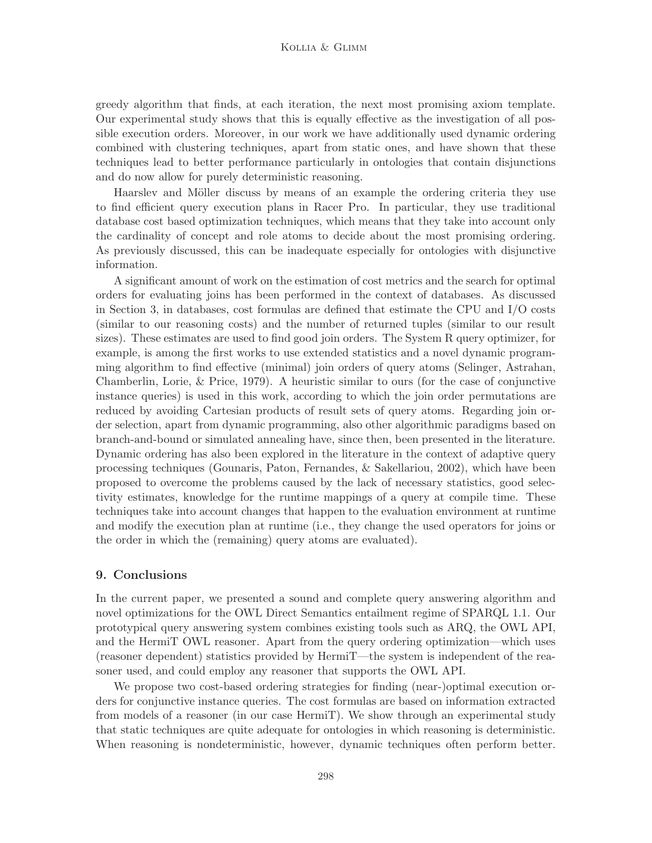greedy algorithm that finds, at each iteration, the next most promising axiom template. Our experimental study shows that this is equally effective as the investigation of all possible execution orders. Moreover, in our work we have additionally used dynamic ordering combined with clustering techniques, apart from static ones, and have shown that these techniques lead to better performance particularly in ontologies that contain disjunctions and do now allow for purely deterministic reasoning.

Haarslev and Möller discuss by means of an example the ordering criteria they use to find efficient query execution plans in Racer Pro. In particular, they use traditional database cost based optimization techniques, which means that they take into account only the cardinality of concept and role atoms to decide about the most promising ordering. As previously discussed, this can be inadequate especially for ontologies with disjunctive information.

A significant amount of work on the estimation of cost metrics and the search for optimal orders for evaluating joins has been performed in the context of databases. As discussed in Section 3, in databases, cost formulas are defined that estimate the CPU and I/O costs (similar to our reasoning costs) and the number of returned tuples (similar to our result sizes). These estimates are used to find good join orders. The System R query optimizer, for example, is among the first works to use extended statistics and a novel dynamic programming algorithm to find effective (minimal) join orders of query atoms (Selinger, Astrahan, Chamberlin, Lorie, & Price, 1979). A heuristic similar to ours (for the case of conjunctive instance queries) is used in this work, according to which the join order permutations are reduced by avoiding Cartesian products of result sets of query atoms. Regarding join order selection, apart from dynamic programming, also other algorithmic paradigms based on branch-and-bound or simulated annealing have, since then, been presented in the literature. Dynamic ordering has also been explored in the literature in the context of adaptive query processing techniques (Gounaris, Paton, Fernandes, & Sakellariou, 2002), which have been proposed to overcome the problems caused by the lack of necessary statistics, good selectivity estimates, knowledge for the runtime mappings of a query at compile time. These techniques take into account changes that happen to the evaluation environment at runtime and modify the execution plan at runtime (i.e., they change the used operators for joins or the order in which the (remaining) query atoms are evaluated).

### 9. Conclusions

In the current paper, we presented a sound and complete query answering algorithm and novel optimizations for the OWL Direct Semantics entailment regime of SPARQL 1.1. Our prototypical query answering system combines existing tools such as ARQ, the OWL API, and the HermiT OWL reasoner. Apart from the query ordering optimization—which uses (reasoner dependent) statistics provided by HermiT—the system is independent of the reasoner used, and could employ any reasoner that supports the OWL API.

We propose two cost-based ordering strategies for finding (near-)optimal execution orders for conjunctive instance queries. The cost formulas are based on information extracted from models of a reasoner (in our case HermiT). We show through an experimental study that static techniques are quite adequate for ontologies in which reasoning is deterministic. When reasoning is nondeterministic, however, dynamic techniques often perform better.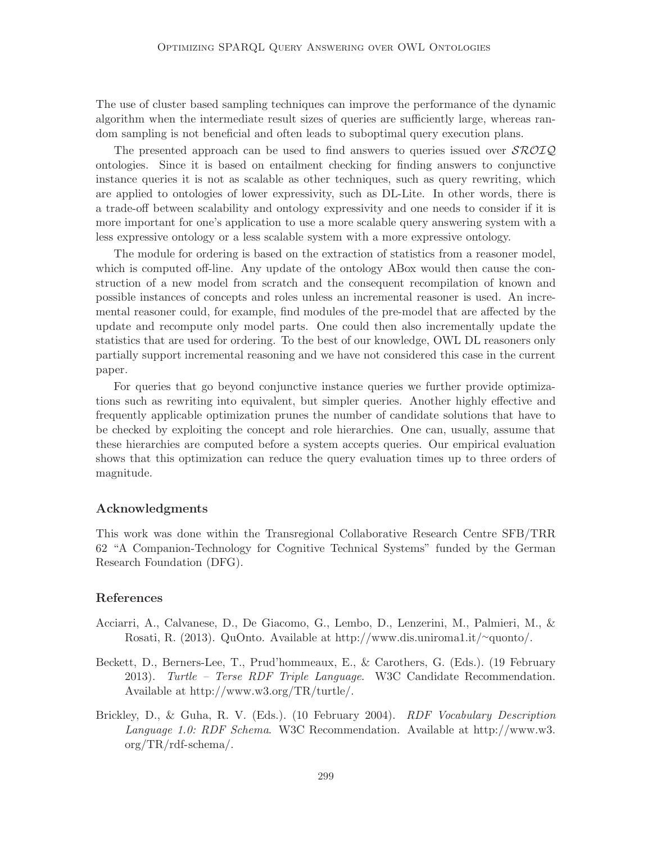The use of cluster based sampling techniques can improve the performance of the dynamic algorithm when the intermediate result sizes of queries are sufficiently large, whereas random sampling is not beneficial and often leads to suboptimal query execution plans.

The presented approach can be used to find answers to queries issued over  $\mathcal{SROIO}$ ontologies. Since it is based on entailment checking for finding answers to conjunctive instance queries it is not as scalable as other techniques, such as query rewriting, which are applied to ontologies of lower expressivity, such as DL-Lite. In other words, there is a trade-off between scalability and ontology expressivity and one needs to consider if it is more important for one's application to use a more scalable query answering system with a less expressive ontology or a less scalable system with a more expressive ontology.

The module for ordering is based on the extraction of statistics from a reasoner model, which is computed off-line. Any update of the ontology ABox would then cause the construction of a new model from scratch and the consequent recompilation of known and possible instances of concepts and roles unless an incremental reasoner is used. An incremental reasoner could, for example, find modules of the pre-model that are affected by the update and recompute only model parts. One could then also incrementally update the statistics that are used for ordering. To the best of our knowledge, OWL DL reasoners only partially support incremental reasoning and we have not considered this case in the current paper.

For queries that go beyond conjunctive instance queries we further provide optimizations such as rewriting into equivalent, but simpler queries. Another highly effective and frequently applicable optimization prunes the number of candidate solutions that have to be checked by exploiting the concept and role hierarchies. One can, usually, assume that these hierarchies are computed before a system accepts queries. Our empirical evaluation shows that this optimization can reduce the query evaluation times up to three orders of magnitude.

## Acknowledgments

This work was done within the Transregional Collaborative Research Centre SFB/TRR 62 "A Companion-Technology for Cognitive Technical Systems" funded by the German Research Foundation (DFG).

## References

- Acciarri, A., Calvanese, D., De Giacomo, G., Lembo, D., Lenzerini, M., Palmieri, M., & Rosati, R. (2013). QuOnto. Available at http://www.dis.uniroma1.it/∼quonto/.
- Beckett, D., Berners-Lee, T., Prud'hommeaux, E., & Carothers, G. (Eds.). (19 February 2013). Turtle – Terse RDF Triple Language. W3C Candidate Recommendation. Available at http://www.w3.org/TR/turtle/.
- Brickley, D., & Guha, R. V. (Eds.). (10 February 2004). RDF Vocabulary Description Language 1.0: RDF Schema. W3C Recommendation. Available at http://www.w3. org/TR/rdf-schema/.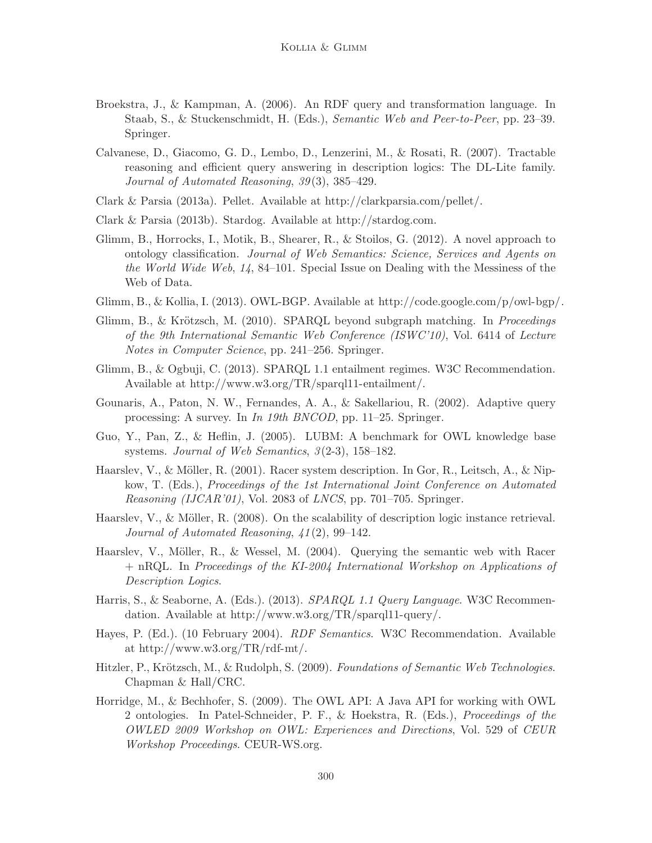- Broekstra, J., & Kampman, A. (2006). An RDF query and transformation language. In Staab, S., & Stuckenschmidt, H. (Eds.), Semantic Web and Peer-to-Peer, pp. 23–39. Springer.
- Calvanese, D., Giacomo, G. D., Lembo, D., Lenzerini, M., & Rosati, R. (2007). Tractable reasoning and efficient query answering in description logics: The DL-Lite family. Journal of Automated Reasoning, 39(3), 385–429.
- Clark & Parsia (2013a). Pellet. Available at http://clarkparsia.com/pellet/.
- Clark & Parsia (2013b). Stardog. Available at http://stardog.com.
- Glimm, B., Horrocks, I., Motik, B., Shearer, R., & Stoilos, G. (2012). A novel approach to ontology classification. Journal of Web Semantics: Science, Services and Agents on the World Wide Web,  $1/4$ , 84–101. Special Issue on Dealing with the Messiness of the Web of Data.
- Glimm, B., & Kollia, I. (2013). OWL-BGP. Available at http://code.google.com/p/owl-bgp/.
- Glimm, B., & Krötzsch, M. (2010). SPARQL beyond subgraph matching. In *Proceedings* of the 9th International Semantic Web Conference (ISWC'10), Vol. 6414 of Lecture Notes in Computer Science, pp. 241–256. Springer.
- Glimm, B., & Ogbuji, C. (2013). SPARQL 1.1 entailment regimes. W3C Recommendation. Available at http://www.w3.org/TR/sparql11-entailment/.
- Gounaris, A., Paton, N. W., Fernandes, A. A., & Sakellariou, R. (2002). Adaptive query processing: A survey. In In 19th BNCOD, pp. 11–25. Springer.
- Guo, Y., Pan, Z., & Heflin, J. (2005). LUBM: A benchmark for OWL knowledge base systems. Journal of Web Semantics, 3(2-3), 158–182.
- Haarslev, V., & Möller, R. (2001). Racer system description. In Gor, R., Leitsch, A., & Nipkow, T. (Eds.), Proceedings of the 1st International Joint Conference on Automated *Reasoning (IJCAR'01)*, Vol. 2083 of *LNCS*, pp. 701–705. Springer.
- Haarslev, V., & Möller, R. (2008). On the scalability of description logic instance retrieval. Journal of Automated Reasoning, 41(2), 99–142.
- Haarslev, V., Möller, R., & Wessel, M. (2004). Querying the semantic web with Racer + nRQL. In Proceedings of the KI-2004 International Workshop on Applications of Description Logics.
- Harris, S., & Seaborne, A. (Eds.). (2013). SPARQL 1.1 Query Language. W3C Recommendation. Available at http://www.w3.org/TR/sparql11-query/.
- Hayes, P. (Ed.). (10 February 2004). RDF Semantics. W3C Recommendation. Available at http://www.w3.org/TR/rdf-mt/.
- Hitzler, P., Krötzsch, M., & Rudolph, S. (2009). Foundations of Semantic Web Technologies. Chapman & Hall/CRC.
- Horridge, M., & Bechhofer, S. (2009). The OWL API: A Java API for working with OWL 2 ontologies. In Patel-Schneider, P. F., & Hoekstra, R. (Eds.), Proceedings of the OWLED 2009 Workshop on OWL: Experiences and Directions, Vol. 529 of CEUR Workshop Proceedings. CEUR-WS.org.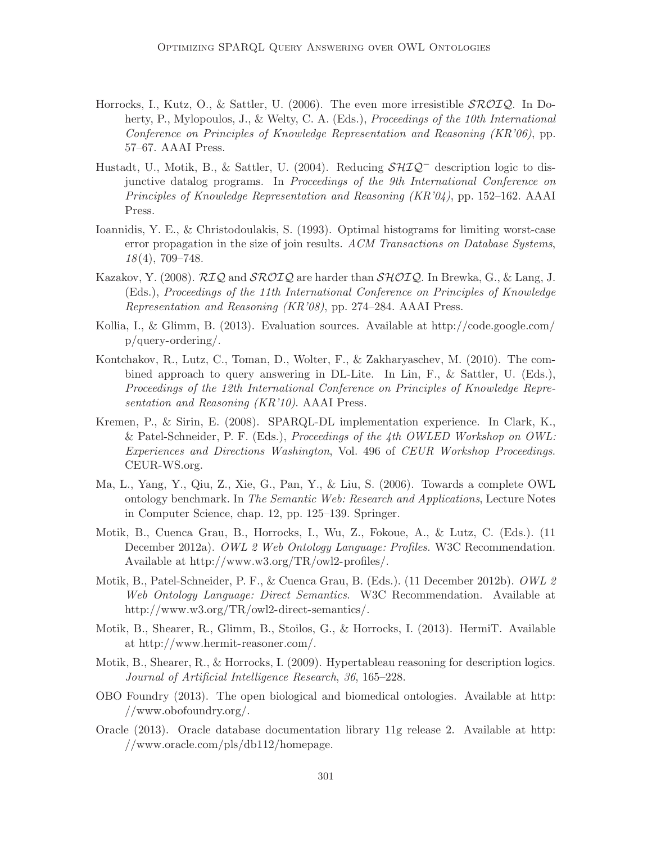- Horrocks, I., Kutz, O., & Sattler, U. (2006). The even more irresistible  $\mathcal{SROLQ}$ . In Doherty, P., Mylopoulos, J., & Welty, C. A. (Eds.), Proceedings of the 10th International Conference on Principles of Knowledge Representation and Reasoning (KR'06), pp. 57–67. AAAI Press.
- Hustadt, U., Motik, B., & Sattler, U. (2004). Reducing  $\mathcal{SHQ}^-$  description logic to disjunctive datalog programs. In Proceedings of the 9th International Conference on Principles of Knowledge Representation and Reasoning (KR'04), pp. 152–162. AAAI Press.
- Ioannidis, Y. E., & Christodoulakis, S. (1993). Optimal histograms for limiting worst-case error propagation in the size of join results. ACM Transactions on Database Systems, 18(4), 709–748.
- Kazakov, Y. (2008).  $\mathcal{R}IQ$  and  $\mathcal{SROLQ}$  are harder than  $\mathcal{SHOLQ}$ . In Brewka, G., & Lang, J. (Eds.), Proceedings of the 11th International Conference on Principles of Knowledge Representation and Reasoning (KR'08), pp. 274–284. AAAI Press.
- Kollia, I., & Glimm, B. (2013). Evaluation sources. Available at http://code.google.com/ p/query-ordering/.
- Kontchakov, R., Lutz, C., Toman, D., Wolter, F., & Zakharyaschev, M. (2010). The combined approach to query answering in DL-Lite. In Lin, F., & Sattler, U. (Eds.), Proceedings of the 12th International Conference on Principles of Knowledge Representation and Reasoning (KR'10). AAAI Press.
- Kremen, P., & Sirin, E. (2008). SPARQL-DL implementation experience. In Clark, K., & Patel-Schneider, P. F. (Eds.), Proceedings of the 4th OWLED Workshop on OWL: Experiences and Directions Washington, Vol. 496 of CEUR Workshop Proceedings. CEUR-WS.org.
- Ma, L., Yang, Y., Qiu, Z., Xie, G., Pan, Y., & Liu, S. (2006). Towards a complete OWL ontology benchmark. In The Semantic Web: Research and Applications, Lecture Notes in Computer Science, chap. 12, pp. 125–139. Springer.
- Motik, B., Cuenca Grau, B., Horrocks, I., Wu, Z., Fokoue, A., & Lutz, C. (Eds.). (11 December 2012a). OWL 2 Web Ontology Language: Profiles. W3C Recommendation. Available at http://www.w3.org/TR/owl2-profiles/.
- Motik, B., Patel-Schneider, P. F., & Cuenca Grau, B. (Eds.). (11 December 2012b). OWL 2 Web Ontology Language: Direct Semantics. W3C Recommendation. Available at http://www.w3.org/TR/owl2-direct-semantics/.
- Motik, B., Shearer, R., Glimm, B., Stoilos, G., & Horrocks, I. (2013). HermiT. Available at http://www.hermit-reasoner.com/.
- Motik, B., Shearer, R., & Horrocks, I. (2009). Hypertableau reasoning for description logics. Journal of Artificial Intelligence Research, 36, 165–228.
- OBO Foundry (2013). The open biological and biomedical ontologies. Available at http: //www.obofoundry.org/.
- Oracle (2013). Oracle database documentation library 11g release 2. Available at http: //www.oracle.com/pls/db112/homepage.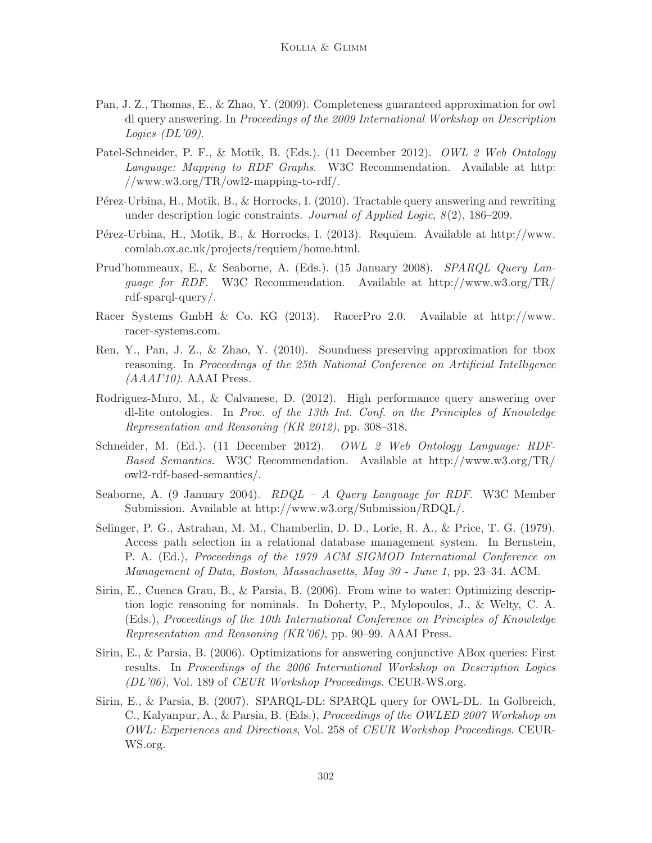- Pan, J. Z., Thomas, E., & Zhao, Y. (2009). Completeness guaranteed approximation for owl dl query answering. In Proceedings of the 2009 International Workshop on Description Logics  $(DL'09)$ .
- Patel-Schneider, P. F., & Motik, B. (Eds.). (11 December 2012). OWL 2 Web Ontology Language: Mapping to RDF Graphs. W3C Recommendation. Available at http: //www.w3.org/TR/owl2-mapping-to-rdf/.
- Pérez-Urbina, H., Motik, B., & Horrocks, I. (2010). Tractable query answering and rewriting under description logic constraints. Journal of Applied Logic,  $8(2)$ , 186–209.
- Pérez-Urbina, H., Motik, B., & Horrocks, I. (2013). Requiem. Available at http://www. comlab.ox.ac.uk/projects/requiem/home.html.
- Prud'hommeaux, E., & Seaborne, A. (Eds.). (15 January 2008). SPARQL Query Lanquage for RDF. W3C Recommendation. Available at http://www.w3.org/TR/ rdf-sparql-query/.
- Racer Systems GmbH & Co. KG (2013). RacerPro 2.0. Available at http://www. racer-systems.com.
- Ren, Y., Pan, J. Z., & Zhao, Y. (2010). Soundness preserving approximation for tbox reasoning. In Proceedings of the 25th National Conference on Artificial Intelligence  $(AAAI'10)$ . AAAI Press.
- Rodriguez-Muro, M., & Calvanese, D. (2012). High performance query answering over dl-lite ontologies. In Proc. of the 13th Int. Conf. on the Principles of Knowledge Representation and Reasoning (KR 2012), pp. 308–318.
- Schneider, M. (Ed.). (11 December 2012). OWL 2 Web Ontology Language: RDF-Based Semantics. W3C Recommendation. Available at http://www.w3.org/TR/ owl2-rdf-based-semantics/.
- Seaborne, A. (9 January 2004).  $RDQL A$  Query Language for RDF. W3C Member Submission. Available at http://www.w3.org/Submission/RDQL/.
- Selinger, P. G., Astrahan, M. M., Chamberlin, D. D., Lorie, R. A., & Price, T. G. (1979). Access path selection in a relational database management system. In Bernstein, P. A. (Ed.), Proceedings of the 1979 ACM SIGMOD International Conference on Management of Data, Boston, Massachusetts, May 30 - June 1, pp. 23–34. ACM.
- Sirin, E., Cuenca Grau, B., & Parsia, B. (2006). From wine to water: Optimizing description logic reasoning for nominals. In Doherty, P., Mylopoulos, J., & Welty, C. A. (Eds.), Proceedings of the 10th International Conference on Principles of Knowledge Representation and Reasoning (KR'06), pp. 90–99. AAAI Press.
- Sirin, E., & Parsia, B. (2006). Optimizations for answering conjunctive ABox queries: First results. In Proceedings of the 2006 International Workshop on Description Logics (DL'06), Vol. 189 of CEUR Workshop Proceedings. CEUR-WS.org.
- Sirin, E., & Parsia, B. (2007). SPARQL-DL: SPARQL query for OWL-DL. In Golbreich, C., Kalyanpur, A., & Parsia, B. (Eds.), Proceedings of the OWLED 2007 Workshop on OWL: Experiences and Directions, Vol. 258 of CEUR Workshop Proceedings. CEUR-WS.org.